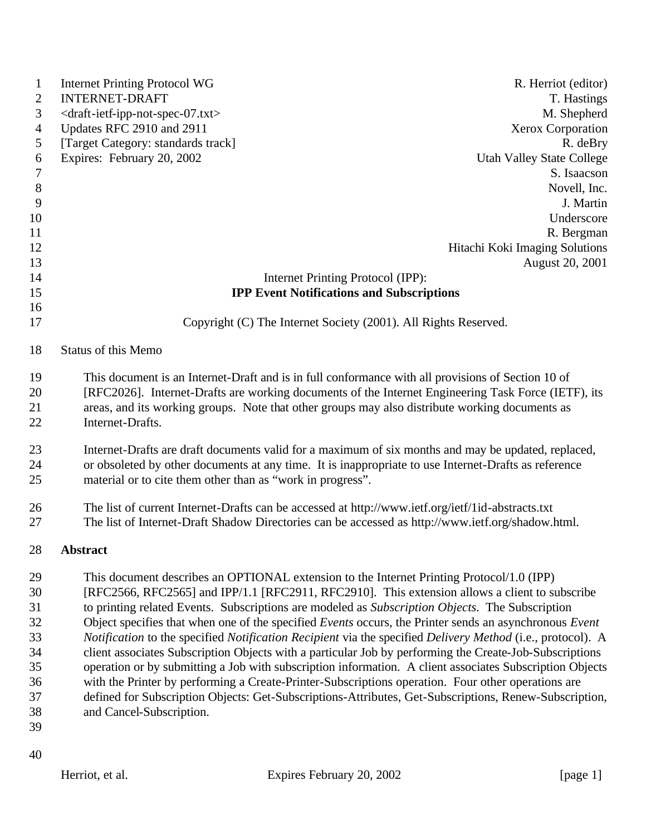| $\mathbf{1}$     | <b>Internet Printing Protocol WG</b>                                                                                                                                                                                                                                                                        | R. Herriot (editor)                                                                                        |  |
|------------------|-------------------------------------------------------------------------------------------------------------------------------------------------------------------------------------------------------------------------------------------------------------------------------------------------------------|------------------------------------------------------------------------------------------------------------|--|
| $\overline{2}$   | <b>INTERNET-DRAFT</b>                                                                                                                                                                                                                                                                                       | T. Hastings                                                                                                |  |
| 3                | <draft-ietf-ipp-not-spec-07.txt></draft-ietf-ipp-not-spec-07.txt>                                                                                                                                                                                                                                           | M. Shepherd                                                                                                |  |
| $\overline{4}$   | Updates RFC 2910 and 2911                                                                                                                                                                                                                                                                                   | Xerox Corporation                                                                                          |  |
| 5                | [Target Category: standards track]                                                                                                                                                                                                                                                                          | R. deBry                                                                                                   |  |
| 6                | Expires: February 20, 2002                                                                                                                                                                                                                                                                                  | <b>Utah Valley State College</b>                                                                           |  |
| $\boldsymbol{7}$ |                                                                                                                                                                                                                                                                                                             | S. Isaacson                                                                                                |  |
| $\,8\,$          |                                                                                                                                                                                                                                                                                                             | Novell, Inc.                                                                                               |  |
| 9                |                                                                                                                                                                                                                                                                                                             | J. Martin                                                                                                  |  |
| 10               |                                                                                                                                                                                                                                                                                                             | Underscore                                                                                                 |  |
| 11               |                                                                                                                                                                                                                                                                                                             | R. Bergman                                                                                                 |  |
| 12               |                                                                                                                                                                                                                                                                                                             | Hitachi Koki Imaging Solutions                                                                             |  |
| 13               |                                                                                                                                                                                                                                                                                                             | August 20, 2001                                                                                            |  |
| 14               |                                                                                                                                                                                                                                                                                                             | Internet Printing Protocol (IPP):                                                                          |  |
| 15               |                                                                                                                                                                                                                                                                                                             | <b>IPP Event Notifications and Subscriptions</b>                                                           |  |
| 16<br>17         |                                                                                                                                                                                                                                                                                                             | Copyright (C) The Internet Society (2001). All Rights Reserved.                                            |  |
| 18               | <b>Status of this Memo</b>                                                                                                                                                                                                                                                                                  |                                                                                                            |  |
| 19<br>20<br>21   | This document is an Internet-Draft and is in full conformance with all provisions of Section 10 of<br>[RFC2026]. Internet-Drafts are working documents of the Internet Engineering Task Force (IETF), its<br>areas, and its working groups. Note that other groups may also distribute working documents as |                                                                                                            |  |
| 22               | Internet-Drafts.                                                                                                                                                                                                                                                                                            |                                                                                                            |  |
| 23               |                                                                                                                                                                                                                                                                                                             | Internet-Drafts are draft documents valid for a maximum of six months and may be updated, replaced,        |  |
| 24               |                                                                                                                                                                                                                                                                                                             | or obsoleted by other documents at any time. It is inappropriate to use Internet-Drafts as reference       |  |
| 25               | material or to cite them other than as "work in progress".                                                                                                                                                                                                                                                  |                                                                                                            |  |
| 26               |                                                                                                                                                                                                                                                                                                             | The list of current Internet-Drafts can be accessed at http://www.ietf.org/ietf/1id-abstracts.txt          |  |
| 27               |                                                                                                                                                                                                                                                                                                             | The list of Internet-Draft Shadow Directories can be accessed as http://www.ietf.org/shadow.html.          |  |
| 28               | <b>Abstract</b>                                                                                                                                                                                                                                                                                             |                                                                                                            |  |
| 29               |                                                                                                                                                                                                                                                                                                             | This document describes an OPTIONAL extension to the Internet Printing Protocol/1.0 (IPP)                  |  |
| 30               |                                                                                                                                                                                                                                                                                                             | [RFC2566, RFC2565] and IPP/1.1 [RFC2911, RFC2910]. This extension allows a client to subscribe             |  |
| 31               |                                                                                                                                                                                                                                                                                                             | to printing related Events. Subscriptions are modeled as Subscription Objects. The Subscription            |  |
| 32               |                                                                                                                                                                                                                                                                                                             | Object specifies that when one of the specified Events occurs, the Printer sends an asynchronous Event     |  |
| 33               |                                                                                                                                                                                                                                                                                                             | Notification to the specified Notification Recipient via the specified Delivery Method (i.e., protocol). A |  |
| 34               |                                                                                                                                                                                                                                                                                                             | client associates Subscription Objects with a particular Job by performing the Create-Job-Subscriptions    |  |
| 35               |                                                                                                                                                                                                                                                                                                             | operation or by submitting a Job with subscription information. A client associates Subscription Objects   |  |
| 36               |                                                                                                                                                                                                                                                                                                             | with the Printer by performing a Create-Printer-Subscriptions operation. Four other operations are         |  |
| 37               |                                                                                                                                                                                                                                                                                                             | defined for Subscription Objects: Get-Subscriptions-Attributes, Get-Subscriptions, Renew-Subscription,     |  |
| 38               | and Cancel-Subscription.                                                                                                                                                                                                                                                                                    |                                                                                                            |  |
| 39               |                                                                                                                                                                                                                                                                                                             |                                                                                                            |  |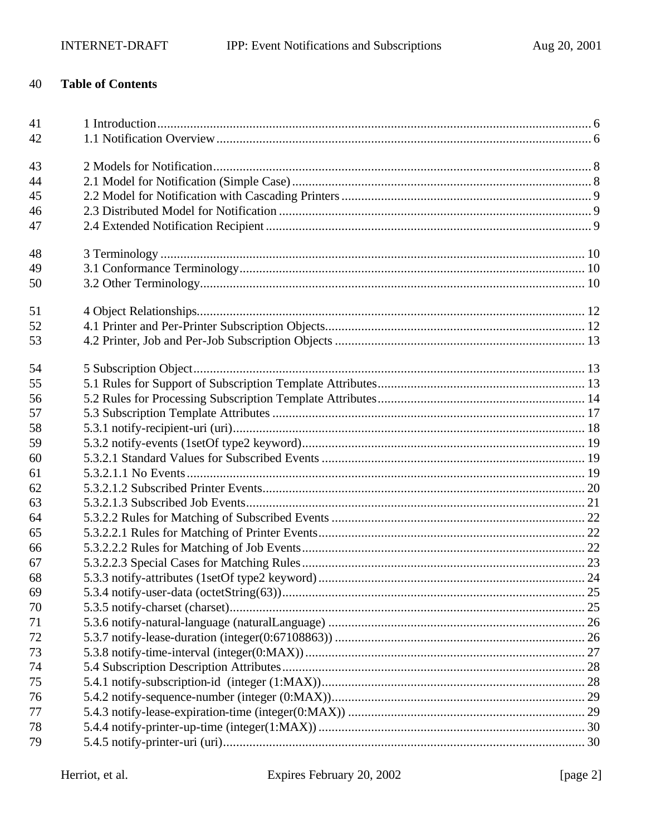#### 40 **Table of Contents**

| 41 |  |
|----|--|
| 42 |  |
|    |  |
| 43 |  |
| 44 |  |
| 45 |  |
| 46 |  |
| 47 |  |
| 48 |  |
| 49 |  |
| 50 |  |
|    |  |
| 51 |  |
| 52 |  |
| 53 |  |
| 54 |  |
| 55 |  |
| 56 |  |
| 57 |  |
| 58 |  |
| 59 |  |
| 60 |  |
| 61 |  |
| 62 |  |
| 63 |  |
| 64 |  |
| 65 |  |
| 66 |  |
| 67 |  |
| 68 |  |
| 69 |  |
| 70 |  |
| 71 |  |
| 72 |  |
| 73 |  |
| 74 |  |
| 75 |  |
| 76 |  |
| 77 |  |
| 78 |  |
| 79 |  |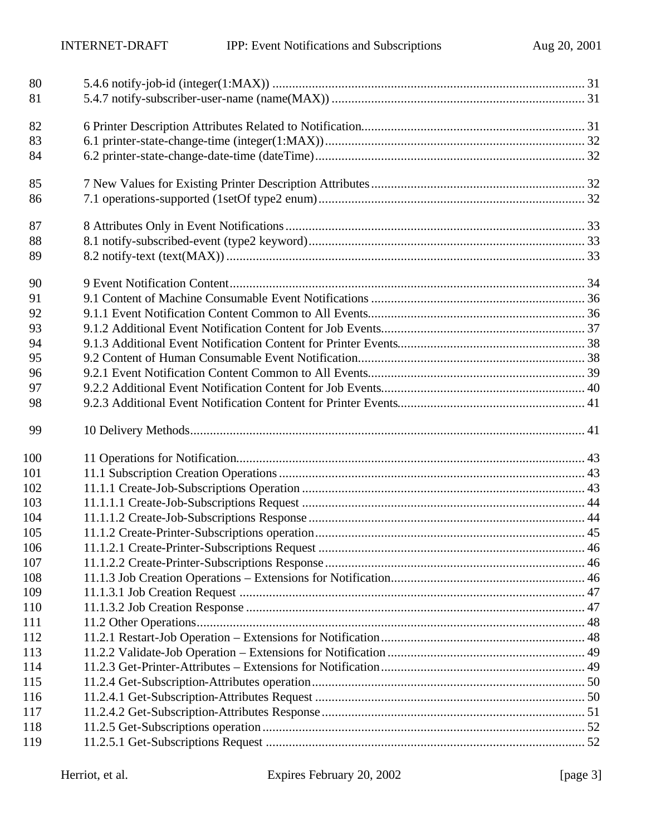| 80  |  |
|-----|--|
| 81  |  |
| 82  |  |
| 83  |  |
| 84  |  |
|     |  |
| 85  |  |
| 86  |  |
| 87  |  |
| 88  |  |
| 89  |  |
| 90  |  |
| 91  |  |
| 92  |  |
| 93  |  |
|     |  |
| 94  |  |
| 95  |  |
| 96  |  |
| 97  |  |
| 98  |  |
| 99  |  |
| 100 |  |
| 101 |  |
| 102 |  |
| 103 |  |
| 104 |  |
| 105 |  |
| 106 |  |
| 107 |  |
| 108 |  |
| 109 |  |
| 110 |  |
| 111 |  |
| 112 |  |
| 113 |  |
| 114 |  |
| 115 |  |
| 116 |  |
| 117 |  |
| 118 |  |
| 119 |  |
|     |  |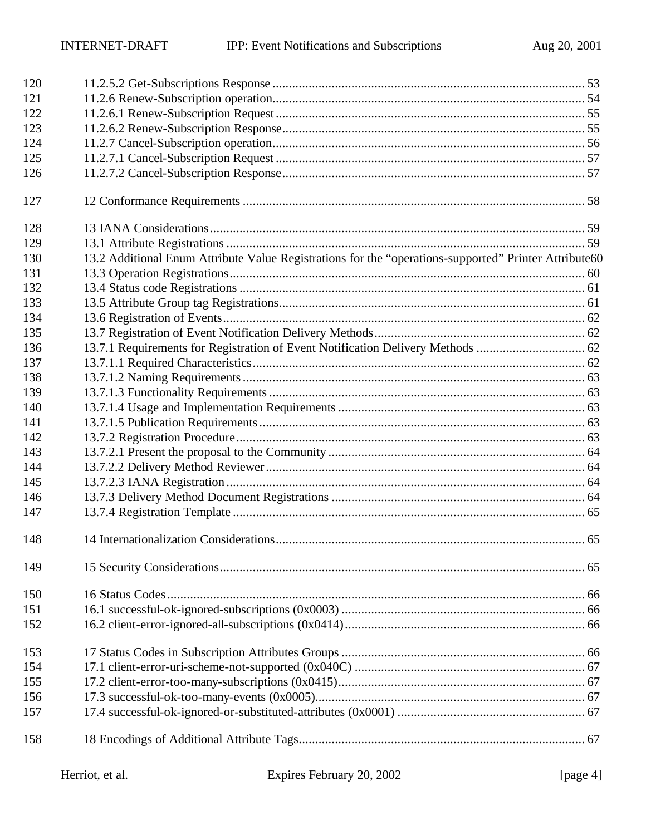| 120 |                                                                                                       |  |
|-----|-------------------------------------------------------------------------------------------------------|--|
| 121 |                                                                                                       |  |
| 122 |                                                                                                       |  |
| 123 |                                                                                                       |  |
| 124 |                                                                                                       |  |
| 125 |                                                                                                       |  |
| 126 |                                                                                                       |  |
| 127 |                                                                                                       |  |
| 128 |                                                                                                       |  |
| 129 |                                                                                                       |  |
| 130 | 13.2 Additional Enum Attribute Value Registrations for the "operations-supported" Printer Attribute60 |  |
| 131 |                                                                                                       |  |
| 132 |                                                                                                       |  |
| 133 |                                                                                                       |  |
| 134 |                                                                                                       |  |
| 135 |                                                                                                       |  |
| 136 | 13.7.1 Requirements for Registration of Event Notification Delivery Methods  62                       |  |
| 137 |                                                                                                       |  |
| 138 |                                                                                                       |  |
| 139 |                                                                                                       |  |
| 140 |                                                                                                       |  |
| 141 |                                                                                                       |  |
| 142 |                                                                                                       |  |
| 143 |                                                                                                       |  |
| 144 |                                                                                                       |  |
| 145 |                                                                                                       |  |
| 146 |                                                                                                       |  |
| 147 |                                                                                                       |  |
| 148 |                                                                                                       |  |
| 149 |                                                                                                       |  |
| 150 |                                                                                                       |  |
| 151 |                                                                                                       |  |
| 152 |                                                                                                       |  |
| 153 |                                                                                                       |  |
| 154 |                                                                                                       |  |
| 155 |                                                                                                       |  |
| 156 |                                                                                                       |  |
| 157 |                                                                                                       |  |
| 158 |                                                                                                       |  |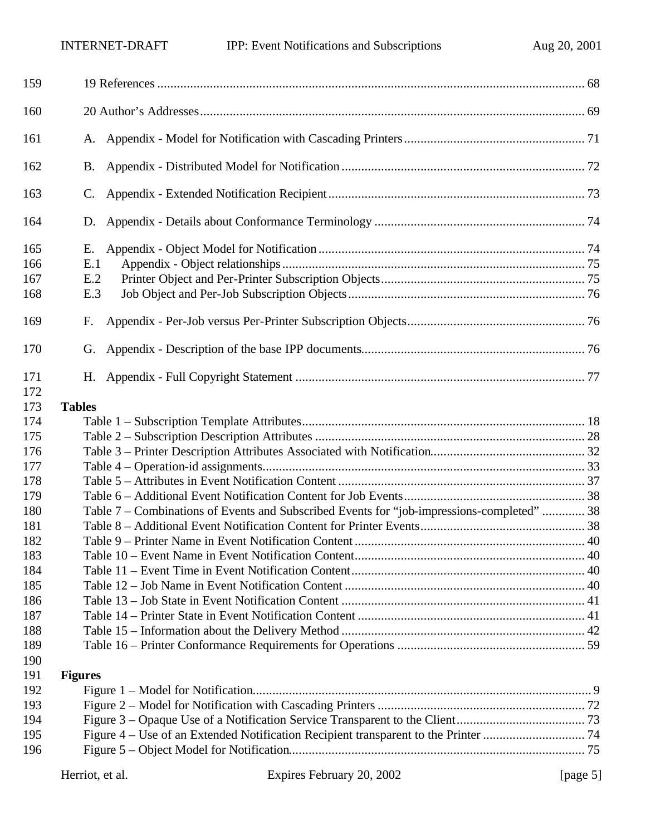| 159                      |                                                                                            |  |
|--------------------------|--------------------------------------------------------------------------------------------|--|
| 160                      |                                                                                            |  |
| 161                      |                                                                                            |  |
| 162                      | <b>B.</b>                                                                                  |  |
| 163                      | C.                                                                                         |  |
| 164                      | D.                                                                                         |  |
| 165<br>166<br>167<br>168 | Е.<br>E.1<br>E.2<br>E.3                                                                    |  |
| 169                      | F.                                                                                         |  |
| 170                      | G.                                                                                         |  |
| 171<br>172               |                                                                                            |  |
| 173                      | <b>Tables</b>                                                                              |  |
| 174                      |                                                                                            |  |
| 175                      |                                                                                            |  |
| 176                      |                                                                                            |  |
| 177                      |                                                                                            |  |
| 178                      |                                                                                            |  |
| 179                      |                                                                                            |  |
| 180                      | Table 7 - Combinations of Events and Subscribed Events for "job-impressions-completed"  38 |  |
| 181                      |                                                                                            |  |
| 182                      |                                                                                            |  |
| 183                      |                                                                                            |  |
| 184                      |                                                                                            |  |
| 185                      |                                                                                            |  |
| 186                      |                                                                                            |  |
| 187                      |                                                                                            |  |
| 188                      |                                                                                            |  |
| 189                      |                                                                                            |  |
| 190                      |                                                                                            |  |
| 191                      |                                                                                            |  |
| 192                      | <b>Figures</b>                                                                             |  |
| 193                      |                                                                                            |  |
|                          |                                                                                            |  |
| 194                      |                                                                                            |  |
| 195                      |                                                                                            |  |
| 196                      |                                                                                            |  |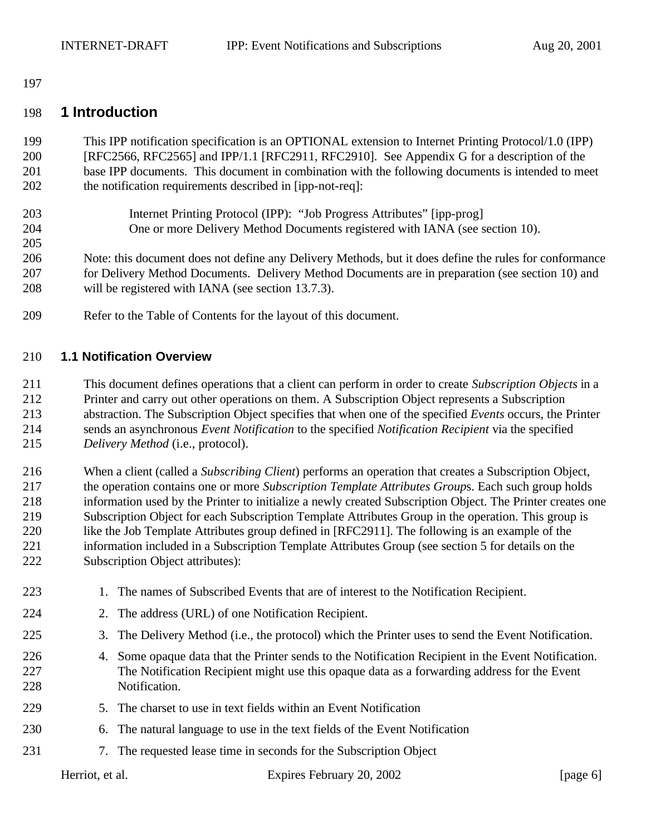#### 

#### **1 Introduction**

 This IPP notification specification is an OPTIONAL extension to Internet Printing Protocol/1.0 (IPP) [RFC2566, RFC2565] and IPP/1.1 [RFC2911, RFC2910]. See Appendix G for a description of the base IPP documents. This document in combination with the following documents is intended to meet the notification requirements described in [ipp-not-req]:

- Internet Printing Protocol (IPP): "Job Progress Attributes" [ipp-prog] One or more Delivery Method Documents registered with IANA (see section 10).
- 

 Note: this document does not define any Delivery Methods, but it does define the rules for conformance for Delivery Method Documents. Delivery Method Documents are in preparation (see section 10) and will be registered with IANA (see section 13.7.3).

Refer to the Table of Contents for the layout of this document.

#### **1.1 Notification Overview**

 This document defines operations that a client can perform in order to create *Subscription Objects* in a Printer and carry out other operations on them. A Subscription Object represents a Subscription abstraction. The Subscription Object specifies that when one of the specified *Events* occurs, the Printer sends an asynchronous *Event Notification* to the specified *Notification Recipient* via the specified *Delivery Method* (i.e., protocol).

 When a client (called a *Subscribing Client*) performs an operation that creates a Subscription Object, the operation contains one or more *Subscription Template Attributes Group*s. Each such group holds information used by the Printer to initialize a newly created Subscription Object. The Printer creates one Subscription Object for each Subscription Template Attributes Group in the operation. This group is 220 like the Job Template Attributes group defined in [RFC2911]. The following is an example of the information included in a Subscription Template Attributes Group (see section 5 for details on the Subscription Object attributes):

223 1. The names of Subscribed Events that are of interest to the Notification Recipient. 2. The address (URL) of one Notification Recipient. 3. The Delivery Method (i.e., the protocol) which the Printer uses to send the Event Notification. 4. Some opaque data that the Printer sends to the Notification Recipient in the Event Notification. The Notification Recipient might use this opaque data as a forwarding address for the Event Notification. 5. The charset to use in text fields within an Event Notification 6. The natural language to use in the text fields of the Event Notification 7. The requested lease time in seconds for the Subscription Object

Herriot, et al. Expires February 20, 2002 [page 6]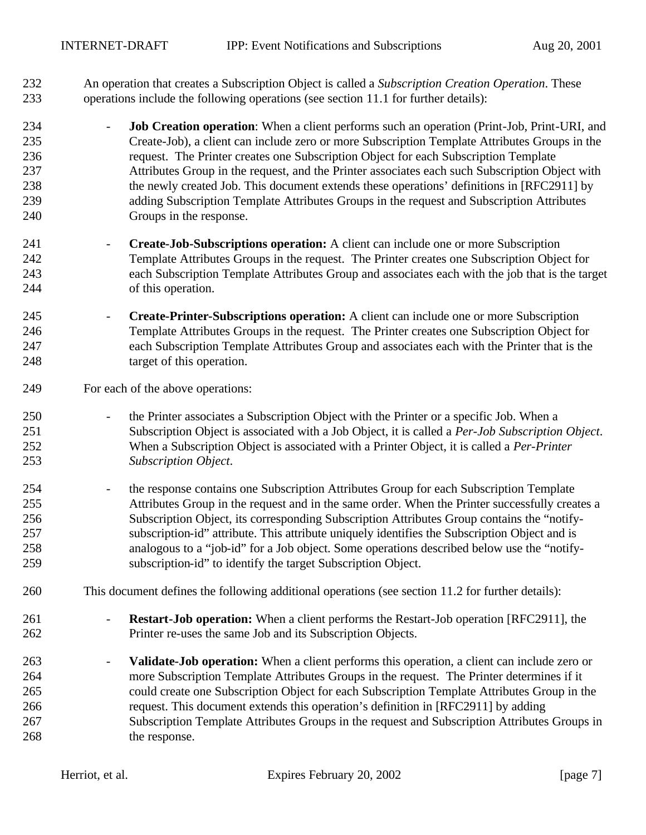An operation that creates a Subscription Object is called a *Subscription Creation Operation*. These operations include the following operations (see section 11.1 for further details):

- **Job Creation operation**: When a client performs such an operation (Print-Job, Print-URI, and Create-Job), a client can include zero or more Subscription Template Attributes Groups in the request. The Printer creates one Subscription Object for each Subscription Template Attributes Group in the request, and the Printer associates each such Subscription Object with the newly created Job. This document extends these operations' definitions in [RFC2911] by adding Subscription Template Attributes Groups in the request and Subscription Attributes Groups in the response.
- **Create-Job-Subscriptions operation:** A client can include one or more Subscription Template Attributes Groups in the request. The Printer creates one Subscription Object for each Subscription Template Attributes Group and associates each with the job that is the target of this operation.
- **Create-Printer-Subscriptions operation:** A client can include one or more Subscription Template Attributes Groups in the request. The Printer creates one Subscription Object for each Subscription Template Attributes Group and associates each with the Printer that is the 248 target of this operation.
- For each of the above operations:
- 250 the Printer associates a Subscription Object with the Printer or a specific Job. When a Subscription Object is associated with a Job Object, it is called a *Per-Job Subscription Object*. When a Subscription Object is associated with a Printer Object, it is called a *Per-Printer Subscription Object*.
- 254 the response contains one Subscription Attributes Group for each Subscription Template Attributes Group in the request and in the same order. When the Printer successfully creates a Subscription Object, its corresponding Subscription Attributes Group contains the "notify- subscription-id" attribute. This attribute uniquely identifies the Subscription Object and is analogous to a "job-id" for a Job object. Some operations described below use the "notify-subscription-id" to identify the target Subscription Object.
- This document defines the following additional operations (see section 11.2 for further details):
- **Restart-Job operation:** When a client performs the Restart-Job operation [RFC2911], the Printer re-uses the same Job and its Subscription Objects.
- **Validate-Job operation:** When a client performs this operation, a client can include zero or more Subscription Template Attributes Groups in the request. The Printer determines if it could create one Subscription Object for each Subscription Template Attributes Group in the request. This document extends this operation's definition in [RFC2911] by adding Subscription Template Attributes Groups in the request and Subscription Attributes Groups in 268 the response.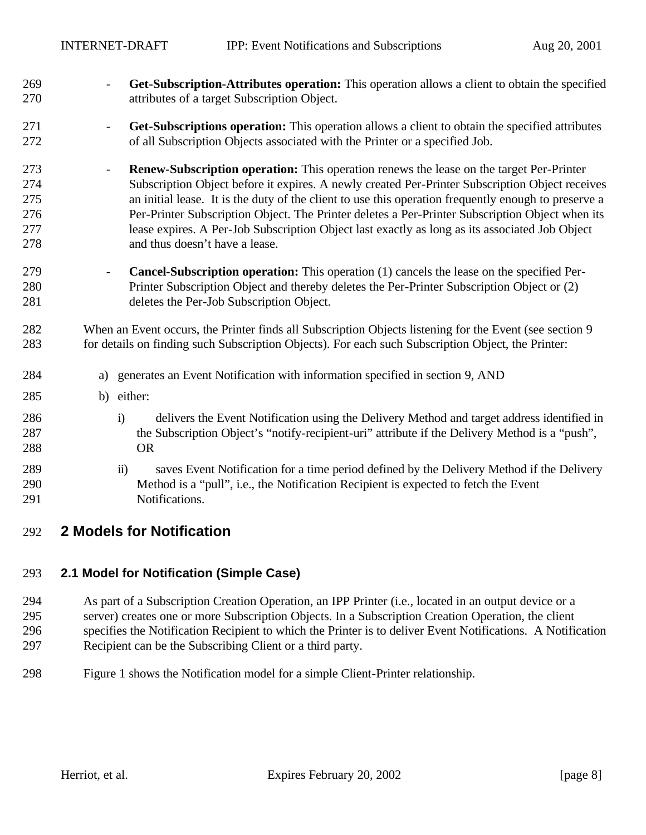- **Get-Subscription-Attributes operation:** This operation allows a client to obtain the specified attributes of a target Subscription Object.
- **Get-Subscriptions operation:** This operation allows a client to obtain the specified attributes of all Subscription Objects associated with the Printer or a specified Job.
- **Renew-Subscription operation:** This operation renews the lease on the target Per-Printer Subscription Object before it expires. A newly created Per-Printer Subscription Object receives an initial lease. It is the duty of the client to use this operation frequently enough to preserve a Per-Printer Subscription Object. The Printer deletes a Per-Printer Subscription Object when its lease expires. A Per-Job Subscription Object last exactly as long as its associated Job Object and thus doesn't have a lease.
- **Cancel-Subscription operation:** This operation (1) cancels the lease on the specified Per- Printer Subscription Object and thereby deletes the Per-Printer Subscription Object or (2) deletes the Per-Job Subscription Object.
- When an Event occurs, the Printer finds all Subscription Objects listening for the Event (see section 9 for details on finding such Subscription Objects). For each such Subscription Object, the Printer:
- a) generates an Event Notification with information specified in section 9, AND
- b) either:
- i) delivers the Event Notification using the Delivery Method and target address identified in the Subscription Object's "notify-recipient-uri" attribute if the Delivery Method is a "push", OR
- ii) saves Event Notification for a time period defined by the Delivery Method if the Delivery Method is a "pull", i.e., the Notification Recipient is expected to fetch the Event Notifications.
- **2 Models for Notification**

#### **2.1 Model for Notification (Simple Case)**

 As part of a Subscription Creation Operation, an IPP Printer (i.e., located in an output device or a server) creates one or more Subscription Objects. In a Subscription Creation Operation, the client specifies the Notification Recipient to which the Printer is to deliver Event Notifications. A Notification Recipient can be the Subscribing Client or a third party.

Figure 1 shows the Notification model for a simple Client-Printer relationship.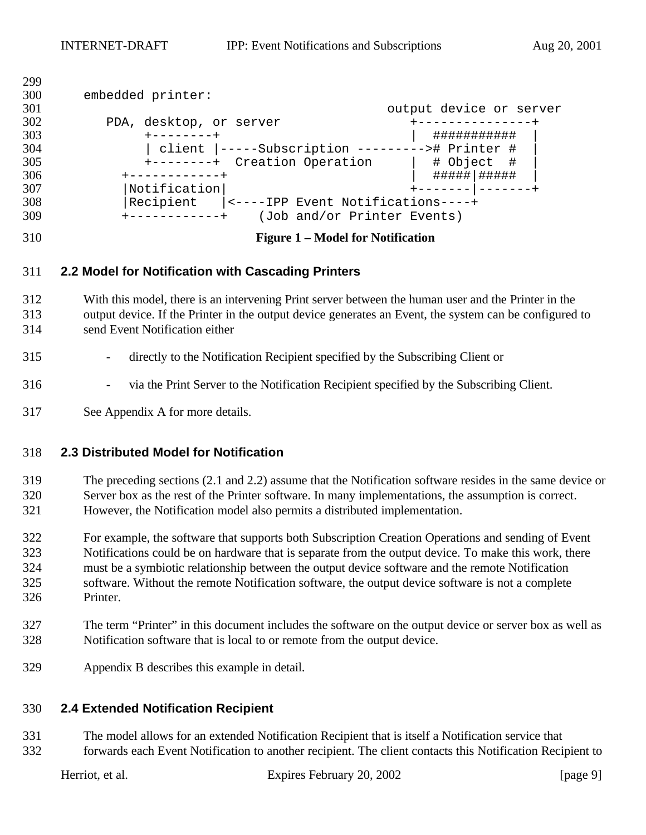| 300<br>embedded printer:<br>301<br>output device or server<br>302<br>PDA, desktop, or server<br>303<br>###########<br>$+ - - - - - - - +$<br>304<br>client  -----Subscription ---------># Printer #<br>305<br>+--------+ Creation Operation<br>  # Object #<br>306<br>#####   #####<br>------------+ |  |
|------------------------------------------------------------------------------------------------------------------------------------------------------------------------------------------------------------------------------------------------------------------------------------------------------|--|
|                                                                                                                                                                                                                                                                                                      |  |
|                                                                                                                                                                                                                                                                                                      |  |
|                                                                                                                                                                                                                                                                                                      |  |
|                                                                                                                                                                                                                                                                                                      |  |
|                                                                                                                                                                                                                                                                                                      |  |
|                                                                                                                                                                                                                                                                                                      |  |
|                                                                                                                                                                                                                                                                                                      |  |
| 307<br>Notification                                                                                                                                                                                                                                                                                  |  |
| 308<br>Recipient<br>$\vert$ <----IPP Event Notifications----+                                                                                                                                                                                                                                        |  |
| 309<br>(Job and/or Printer Events)                                                                                                                                                                                                                                                                   |  |

#### **Figure 1 – Model for Notification**

#### **2.2 Model for Notification with Cascading Printers**

 With this model, there is an intervening Print server between the human user and the Printer in the output device. If the Printer in the output device generates an Event, the system can be configured to send Event Notification either

#### - directly to the Notification Recipient specified by the Subscribing Client or

- via the Print Server to the Notification Recipient specified by the Subscribing Client.
- See Appendix A for more details.

#### **2.3 Distributed Model for Notification**

 The preceding sections (2.1 and 2.2) assume that the Notification software resides in the same device or Server box as the rest of the Printer software. In many implementations, the assumption is correct. However, the Notification model also permits a distributed implementation.

 For example, the software that supports both Subscription Creation Operations and sending of Event Notifications could be on hardware that is separate from the output device. To make this work, there must be a symbiotic relationship between the output device software and the remote Notification software. Without the remote Notification software, the output device software is not a complete Printer.

- The term "Printer" in this document includes the software on the output device or server box as well as Notification software that is local to or remote from the output device.
- Appendix B describes this example in detail.

#### **2.4 Extended Notification Recipient**

 The model allows for an extended Notification Recipient that is itself a Notification service that forwards each Event Notification to another recipient. The client contacts this Notification Recipient to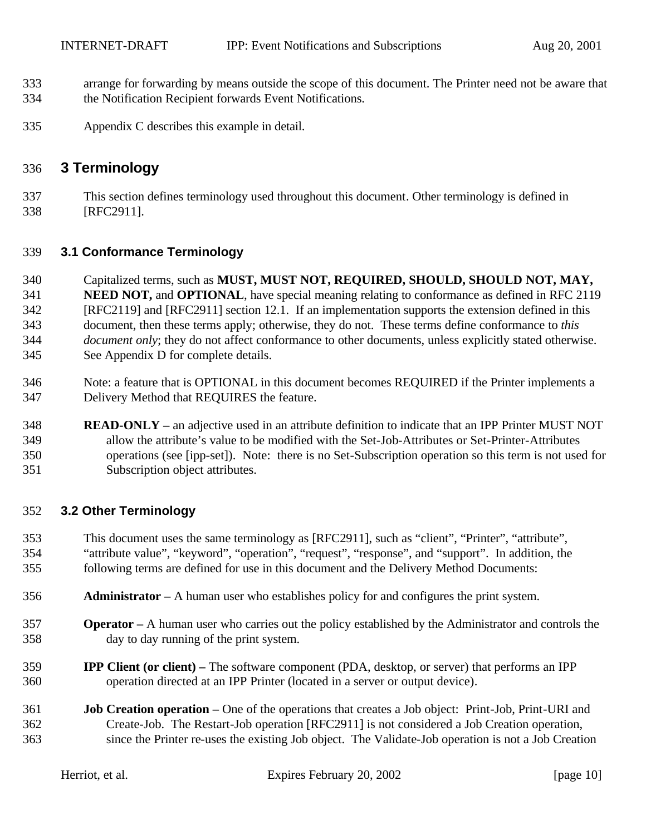- arrange for forwarding by means outside the scope of this document. The Printer need not be aware that the Notification Recipient forwards Event Notifications.
- Appendix C describes this example in detail.

### **3 Terminology**

 This section defines terminology used throughout this document. Other terminology is defined in [RFC2911].

#### **3.1 Conformance Terminology**

- Capitalized terms, such as **MUST, MUST NOT, REQUIRED, SHOULD, SHOULD NOT, MAY, NEED NOT,** and **OPTIONAL**, have special meaning relating to conformance as defined in RFC 2119 [RFC2119] and [RFC2911] section 12.1. If an implementation supports the extension defined in this document, then these terms apply; otherwise, they do not. These terms define conformance to *this document only*; they do not affect conformance to other documents, unless explicitly stated otherwise. See Appendix D for complete details.
- Note: a feature that is OPTIONAL in this document becomes REQUIRED if the Printer implements a Delivery Method that REQUIRES the feature.

#### **READ-ONLY –** an adjective used in an attribute definition to indicate that an IPP Printer MUST NOT allow the attribute's value to be modified with the Set-Job-Attributes or Set-Printer-Attributes operations (see [ipp-set]). Note: there is no Set-Subscription operation so this term is not used for Subscription object attributes.

#### **3.2 Other Terminology**

- This document uses the same terminology as [RFC2911], such as "client", "Printer", "attribute",
- "attribute value", "keyword", "operation", "request", "response", and "support". In addition, the following terms are defined for use in this document and the Delivery Method Documents:
- **Administrator –** A human user who establishes policy for and configures the print system.
- **Operator –** A human user who carries out the policy established by the Administrator and controls the day to day running of the print system.
- **IPP Client (or client) –** The software component (PDA, desktop, or server) that performs an IPP operation directed at an IPP Printer (located in a server or output device).
- **Job Creation operation –** One of the operations that creates a Job object: Print-Job, Print-URI and Create-Job. The Restart-Job operation [RFC2911] is not considered a Job Creation operation, since the Printer re-uses the existing Job object. The Validate-Job operation is not a Job Creation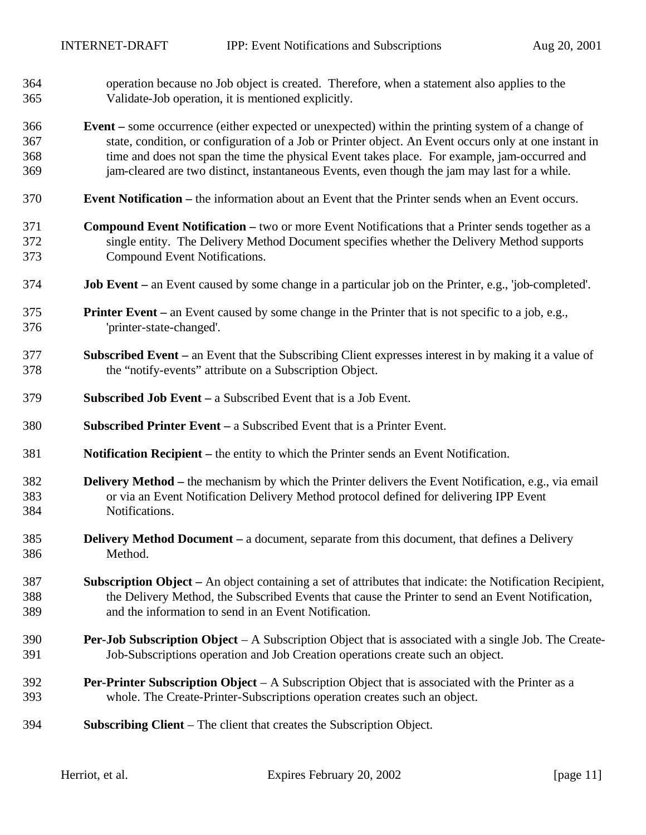- operation because no Job object is created. Therefore, when a statement also applies to the Validate-Job operation, it is mentioned explicitly.
- **Event –** some occurrence (either expected or unexpected) within the printing system of a change of state, condition, or configuration of a Job or Printer object. An Event occurs only at one instant in time and does not span the time the physical Event takes place. For example, jam-occurred and jam-cleared are two distinct, instantaneous Events, even though the jam may last for a while.
- **Event Notification –** the information about an Event that the Printer sends when an Event occurs.
- **Compound Event Notification –** two or more Event Notifications that a Printer sends together as a single entity. The Delivery Method Document specifies whether the Delivery Method supports Compound Event Notifications.
- **Job Event –** an Event caused by some change in a particular job on the Printer, e.g., 'job-completed'.
- **Printer Event –** an Event caused by some change in the Printer that is not specific to a job, e.g., 'printer-state-changed'.
- **Subscribed Event –** an Event that the Subscribing Client expresses interest in by making it a value of the "notify-events" attribute on a Subscription Object.
- **Subscribed Job Event –** a Subscribed Event that is a Job Event.
- **Subscribed Printer Event –** a Subscribed Event that is a Printer Event.
- **Notification Recipient –** the entity to which the Printer sends an Event Notification.
- **Delivery Method –** the mechanism by which the Printer delivers the Event Notification, e.g., via email or via an Event Notification Delivery Method protocol defined for delivering IPP Event Notifications.
- **Delivery Method Document –** a document, separate from this document, that defines a Delivery Method.
- **Subscription Object –** An object containing a set of attributes that indicate: the Notification Recipient, the Delivery Method, the Subscribed Events that cause the Printer to send an Event Notification, and the information to send in an Event Notification.
- **Per-Job Subscription Object** A Subscription Object that is associated with a single Job. The Create-Job-Subscriptions operation and Job Creation operations create such an object.
- **Per-Printer Subscription Object** A Subscription Object that is associated with the Printer as a whole. The Create-Printer-Subscriptions operation creates such an object.
- **Subscribing Client** The client that creates the Subscription Object.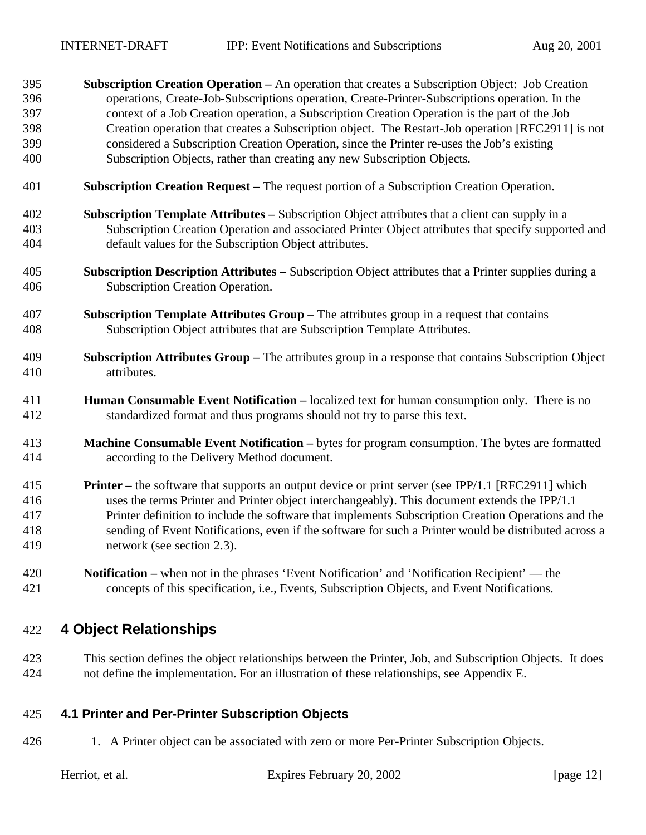- **Subscription Creation Operation –** An operation that creates a Subscription Object: Job Creation operations, Create-Job-Subscriptions operation, Create-Printer-Subscriptions operation. In the context of a Job Creation operation, a Subscription Creation Operation is the part of the Job Creation operation that creates a Subscription object. The Restart-Job operation [RFC2911] is not considered a Subscription Creation Operation, since the Printer re-uses the Job's existing Subscription Objects, rather than creating any new Subscription Objects.
- **Subscription Creation Request –** The request portion of a Subscription Creation Operation.
- **Subscription Template Attributes –** Subscription Object attributes that a client can supply in a Subscription Creation Operation and associated Printer Object attributes that specify supported and default values for the Subscription Object attributes.
- **Subscription Description Attributes –** Subscription Object attributes that a Printer supplies during a Subscription Creation Operation.
- **Subscription Template Attributes Group**  The attributes group in a request that contains Subscription Object attributes that are Subscription Template Attributes.
- **Subscription Attributes Group –** The attributes group in a response that contains Subscription Object attributes.
- **Human Consumable Event Notification –** localized text for human consumption only. There is no standardized format and thus programs should not try to parse this text.
- **Machine Consumable Event Notification –** bytes for program consumption. The bytes are formatted according to the Delivery Method document.
- **Printer –** the software that supports an output device or print server (see IPP/1.1 [RFC2911] which uses the terms Printer and Printer object interchangeably). This document extends the IPP/1.1 Printer definition to include the software that implements Subscription Creation Operations and the sending of Event Notifications, even if the software for such a Printer would be distributed across a network (see section 2.3).
- **Notification –** when not in the phrases 'Event Notification' and 'Notification Recipient' the concepts of this specification, i.e., Events, Subscription Objects, and Event Notifications.

## **4 Object Relationships**

 This section defines the object relationships between the Printer, Job, and Subscription Objects. It does not define the implementation. For an illustration of these relationships, see Appendix E.

### **4.1 Printer and Per-Printer Subscription Objects**

1. A Printer object can be associated with zero or more Per-Printer Subscription Objects.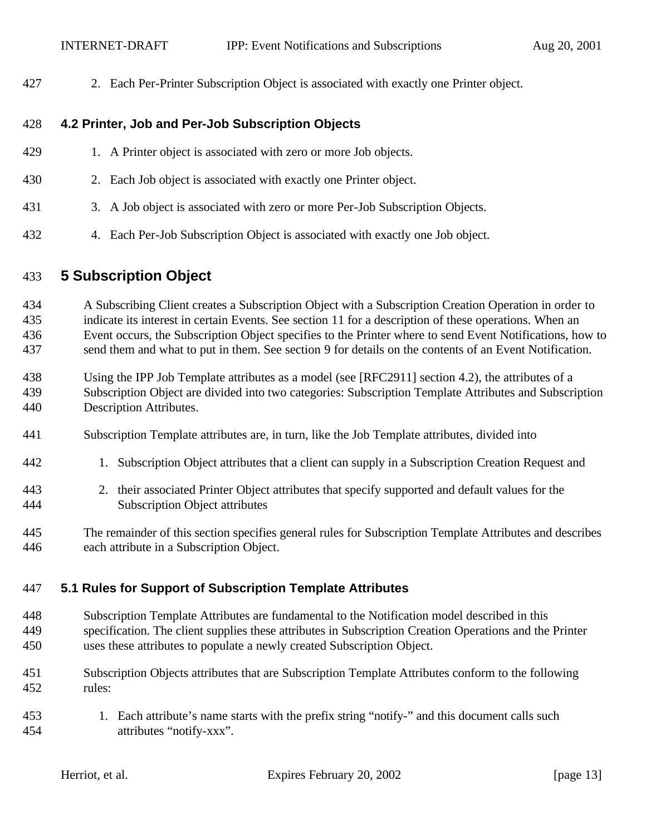2. Each Per-Printer Subscription Object is associated with exactly one Printer object.

#### **4.2 Printer, Job and Per-Job Subscription Objects**

- 429 1. A Printer object is associated with zero or more Job objects.
- 2. Each Job object is associated with exactly one Printer object.
- 3. A Job object is associated with zero or more Per-Job Subscription Objects.
- 4. Each Per-Job Subscription Object is associated with exactly one Job object.

#### **5 Subscription Object**

 A Subscribing Client creates a Subscription Object with a Subscription Creation Operation in order to indicate its interest in certain Events. See section 11 for a description of these operations. When an Event occurs, the Subscription Object specifies to the Printer where to send Event Notifications, how to send them and what to put in them. See section 9 for details on the contents of an Event Notification.

- Using the IPP Job Template attributes as a model (see [RFC2911] section 4.2), the attributes of a Subscription Object are divided into two categories: Subscription Template Attributes and Subscription Description Attributes.
- Subscription Template attributes are, in turn, like the Job Template attributes, divided into
- 1. Subscription Object attributes that a client can supply in a Subscription Creation Request and
- 2. their associated Printer Object attributes that specify supported and default values for the Subscription Object attributes
- The remainder of this section specifies general rules for Subscription Template Attributes and describes each attribute in a Subscription Object.

#### **5.1 Rules for Support of Subscription Template Attributes**

- Subscription Template Attributes are fundamental to the Notification model described in this specification. The client supplies these attributes in Subscription Creation Operations and the Printer uses these attributes to populate a newly created Subscription Object.
- Subscription Objects attributes that are Subscription Template Attributes conform to the following rules:
- 1. Each attribute's name starts with the prefix string "notify-" and this document calls such attributes "notify-xxx".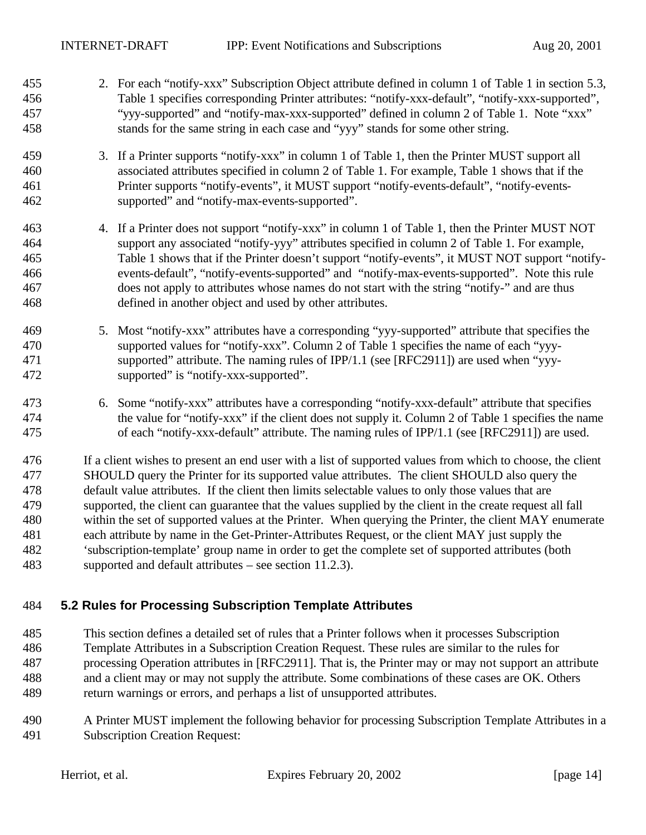- 2. For each "notify-xxx" Subscription Object attribute defined in column 1 of Table 1 in section 5.3, Table 1 specifies corresponding Printer attributes: "notify-xxx-default", "notify-xxx-supported", "yyy-supported" and "notify-max-xxx-supported" defined in column 2 of Table 1. Note "xxx" stands for the same string in each case and "yyy" stands for some other string.
- 3. If a Printer supports "notify-xxx" in column 1 of Table 1, then the Printer MUST support all associated attributes specified in column 2 of Table 1. For example, Table 1 shows that if the Printer supports "notify-events", it MUST support "notify-events-default", "notify-events-supported" and "notify-max-events-supported".
- 4. If a Printer does not support "notify-xxx" in column 1 of Table 1, then the Printer MUST NOT support any associated "notify-yyy" attributes specified in column 2 of Table 1. For example, Table 1 shows that if the Printer doesn't support "notify-events", it MUST NOT support "notify- events-default", "notify-events-supported" and "notify-max-events-supported". Note this rule does not apply to attributes whose names do not start with the string "notify-" and are thus defined in another object and used by other attributes.
- 5. Most "notify-xxx" attributes have a corresponding "yyy-supported" attribute that specifies the supported values for "notify-xxx". Column 2 of Table 1 specifies the name of each "yyy- supported" attribute. The naming rules of IPP/1.1 (see [RFC2911]) are used when "yyy-supported" is "notify-xxx-supported".
- 6. Some "notify-xxx" attributes have a corresponding "notify-xxx-default" attribute that specifies the value for "notify-xxx" if the client does not supply it. Column 2 of Table 1 specifies the name of each "notify-xxx-default" attribute. The naming rules of IPP/1.1 (see [RFC2911]) are used.

 If a client wishes to present an end user with a list of supported values from which to choose, the client SHOULD query the Printer for its supported value attributes. The client SHOULD also query the default value attributes. If the client then limits selectable values to only those values that are supported, the client can guarantee that the values supplied by the client in the create request all fall within the set of supported values at the Printer. When querying the Printer, the client MAY enumerate each attribute by name in the Get-Printer-Attributes Request, or the client MAY just supply the 'subscription-template' group name in order to get the complete set of supported attributes (both supported and default attributes – see section 11.2.3).

#### **5.2 Rules for Processing Subscription Template Attributes**

- This section defines a detailed set of rules that a Printer follows when it processes Subscription Template Attributes in a Subscription Creation Request. These rules are similar to the rules for processing Operation attributes in [RFC2911]. That is, the Printer may or may not support an attribute and a client may or may not supply the attribute. Some combinations of these cases are OK. Others return warnings or errors, and perhaps a list of unsupported attributes.
- A Printer MUST implement the following behavior for processing Subscription Template Attributes in a Subscription Creation Request: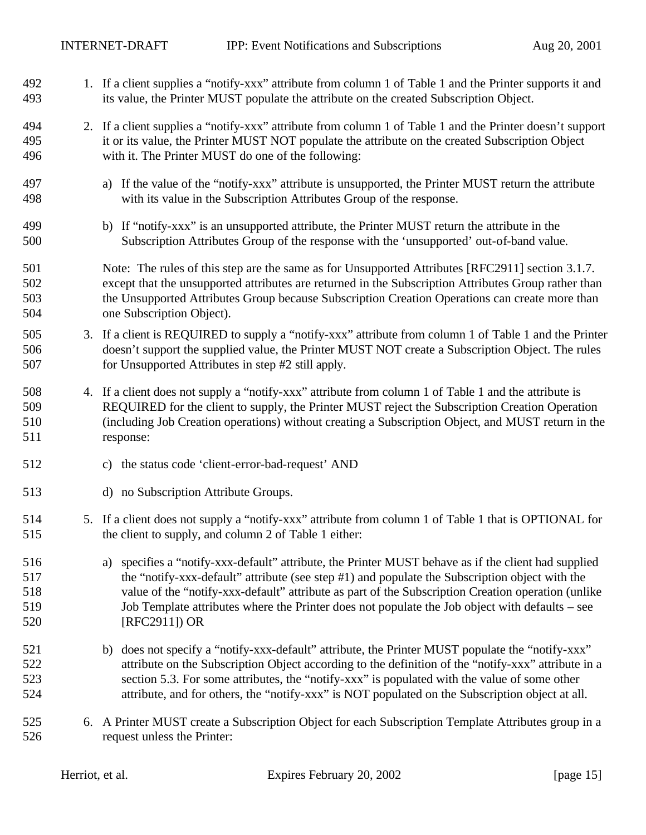- 1. If a client supplies a "notify-xxx" attribute from column 1 of Table 1 and the Printer supports it and its value, the Printer MUST populate the attribute on the created Subscription Object.
- 2. If a client supplies a "notify-xxx" attribute from column 1 of Table 1 and the Printer doesn't support it or its value, the Printer MUST NOT populate the attribute on the created Subscription Object with it. The Printer MUST do one of the following:
- a) If the value of the "notify-xxx" attribute is unsupported, the Printer MUST return the attribute with its value in the Subscription Attributes Group of the response.
- b) If "notify-xxx" is an unsupported attribute, the Printer MUST return the attribute in the Subscription Attributes Group of the response with the 'unsupported' out-of-band value.
- 501 Note: The rules of this step are the same as for Unsupported Attributes [RFC2911] section 3.1.7. except that the unsupported attributes are returned in the Subscription Attributes Group rather than the Unsupported Attributes Group because Subscription Creation Operations can create more than one Subscription Object).
- 3. If a client is REQUIRED to supply a "notify-xxx" attribute from column 1 of Table 1 and the Printer doesn't support the supplied value, the Printer MUST NOT create a Subscription Object. The rules for Unsupported Attributes in step #2 still apply.
- 4. If a client does not supply a "notify-xxx" attribute from column 1 of Table 1 and the attribute is REQUIRED for the client to supply, the Printer MUST reject the Subscription Creation Operation (including Job Creation operations) without creating a Subscription Object, and MUST return in the response:
- c) the status code 'client-error-bad-request' AND
- d) no Subscription Attribute Groups.
- 5. If a client does not supply a "notify-xxx" attribute from column 1 of Table 1 that is OPTIONAL for the client to supply, and column 2 of Table 1 either:
- a) specifies a "notify-xxx-default" attribute, the Printer MUST behave as if the client had supplied the "notify-xxx-default" attribute (see step #1) and populate the Subscription object with the value of the "notify-xxx-default" attribute as part of the Subscription Creation operation (unlike Job Template attributes where the Printer does not populate the Job object with defaults – see [RFC2911]) OR
- 521 b) does not specify a "notify-xxx-default" attribute, the Printer MUST populate the "notify-xxx" attribute on the Subscription Object according to the definition of the "notify-xxx" attribute in a section 5.3. For some attributes, the "notify-xxx" is populated with the value of some other attribute, and for others, the "notify-xxx" is NOT populated on the Subscription object at all.
- 6. A Printer MUST create a Subscription Object for each Subscription Template Attributes group in a request unless the Printer: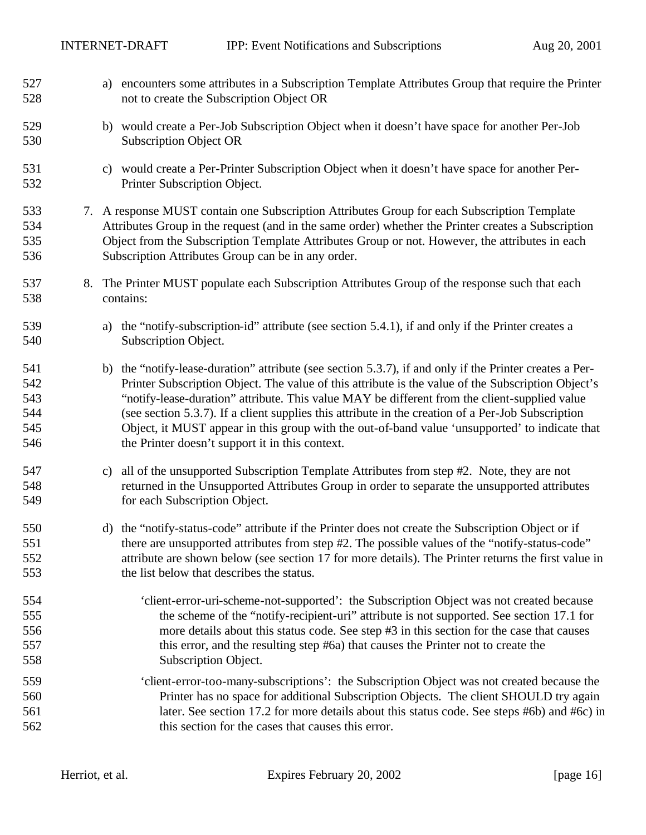| 527<br>528                             | a) encounters some attributes in a Subscription Template Attributes Group that require the Printer<br>not to create the Subscription Object OR                                                                                                                                                                                                                                                                                                                                                                                                                            |
|----------------------------------------|---------------------------------------------------------------------------------------------------------------------------------------------------------------------------------------------------------------------------------------------------------------------------------------------------------------------------------------------------------------------------------------------------------------------------------------------------------------------------------------------------------------------------------------------------------------------------|
| 529<br>530                             | b) would create a Per-Job Subscription Object when it doesn't have space for another Per-Job<br><b>Subscription Object OR</b>                                                                                                                                                                                                                                                                                                                                                                                                                                             |
| 531<br>532                             | c) would create a Per-Printer Subscription Object when it doesn't have space for another Per-<br>Printer Subscription Object.                                                                                                                                                                                                                                                                                                                                                                                                                                             |
| 533<br>534<br>535<br>536               | 7. A response MUST contain one Subscription Attributes Group for each Subscription Template<br>Attributes Group in the request (and in the same order) whether the Printer creates a Subscription<br>Object from the Subscription Template Attributes Group or not. However, the attributes in each<br>Subscription Attributes Group can be in any order.                                                                                                                                                                                                                 |
| 537<br>538                             | 8. The Printer MUST populate each Subscription Attributes Group of the response such that each<br>contains:                                                                                                                                                                                                                                                                                                                                                                                                                                                               |
| 539<br>540                             | the "notify-subscription-id" attribute (see section 5.4.1), if and only if the Printer creates a<br>a)<br>Subscription Object.                                                                                                                                                                                                                                                                                                                                                                                                                                            |
| 541<br>542<br>543<br>544<br>545<br>546 | b) the "notify-lease-duration" attribute (see section 5.3.7), if and only if the Printer creates a Per-<br>Printer Subscription Object. The value of this attribute is the value of the Subscription Object's<br>"notify-lease-duration" attribute. This value MAY be different from the client-supplied value<br>(see section 5.3.7). If a client supplies this attribute in the creation of a Per-Job Subscription<br>Object, it MUST appear in this group with the out-of-band value 'unsupported' to indicate that<br>the Printer doesn't support it in this context. |
| 547<br>548<br>549                      | c) all of the unsupported Subscription Template Attributes from step #2. Note, they are not<br>returned in the Unsupported Attributes Group in order to separate the unsupported attributes<br>for each Subscription Object.                                                                                                                                                                                                                                                                                                                                              |
| 550<br>551<br>552<br>553               | the "notify-status-code" attribute if the Printer does not create the Subscription Object or if<br>d)<br>there are unsupported attributes from step #2. The possible values of the "notify-status-code"<br>attribute are shown below (see section 17 for more details). The Printer returns the first value in<br>the list below that describes the status.                                                                                                                                                                                                               |
| 554<br>555<br>556<br>557<br>558        | 'client-error-uri-scheme-not-supported': the Subscription Object was not created because<br>the scheme of the "notify-recipient-uri" attribute is not supported. See section 17.1 for<br>more details about this status code. See step #3 in this section for the case that causes<br>this error, and the resulting step #6a) that causes the Printer not to create the<br>Subscription Object.                                                                                                                                                                           |
| 559<br>560<br>561<br>562               | 'client-error-too-many-subscriptions': the Subscription Object was not created because the<br>Printer has no space for additional Subscription Objects. The client SHOULD try again<br>later. See section 17.2 for more details about this status code. See steps #6b) and #6c) in<br>this section for the cases that causes this error.                                                                                                                                                                                                                                  |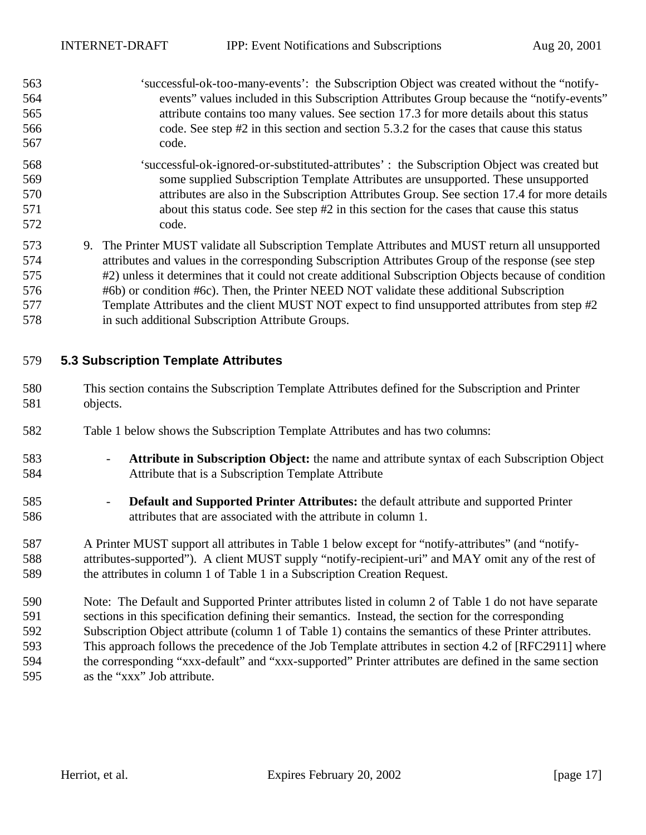- 'successful-ok-too-many-events': the Subscription Object was created without the "notify- events" values included in this Subscription Attributes Group because the "notify-events" attribute contains too many values. See section 17.3 for more details about this status 566 code. See step #2 in this section and section 5.3.2 for the cases that cause this status code. 'successful-ok-ignored-or-substituted-attributes' : the Subscription Object was created but
- some supplied Subscription Template Attributes are unsupported. These unsupported attributes are also in the Subscription Attributes Group. See section 17.4 for more details about this status code. See step #2 in this section for the cases that cause this status code.
- 9. The Printer MUST validate all Subscription Template Attributes and MUST return all unsupported attributes and values in the corresponding Subscription Attributes Group of the response (see step #2) unless it determines that it could not create additional Subscription Objects because of condition #6b) or condition #6c). Then, the Printer NEED NOT validate these additional Subscription Template Attributes and the client MUST NOT expect to find unsupported attributes from step #2 in such additional Subscription Attribute Groups.

### **5.3 Subscription Template Attributes**

- This section contains the Subscription Template Attributes defined for the Subscription and Printer objects.
- Table 1 below shows the Subscription Template Attributes and has two columns:
- **Attribute in Subscription Object:** the name and attribute syntax of each Subscription Object Attribute that is a Subscription Template Attribute
- **Default and Supported Printer Attributes:** the default attribute and supported Printer attributes that are associated with the attribute in column 1.
- A Printer MUST support all attributes in Table 1 below except for "notify-attributes" (and "notify- attributes-supported"). A client MUST supply "notify-recipient-uri" and MAY omit any of the rest of the attributes in column 1 of Table 1 in a Subscription Creation Request.
- Note: The Default and Supported Printer attributes listed in column 2 of Table 1 do not have separate sections in this specification defining their semantics. Instead, the section for the corresponding Subscription Object attribute (column 1 of Table 1) contains the semantics of these Printer attributes. This approach follows the precedence of the Job Template attributes in section 4.2 of [RFC2911] where the corresponding "xxx-default" and "xxx-supported" Printer attributes are defined in the same section as the "xxx" Job attribute.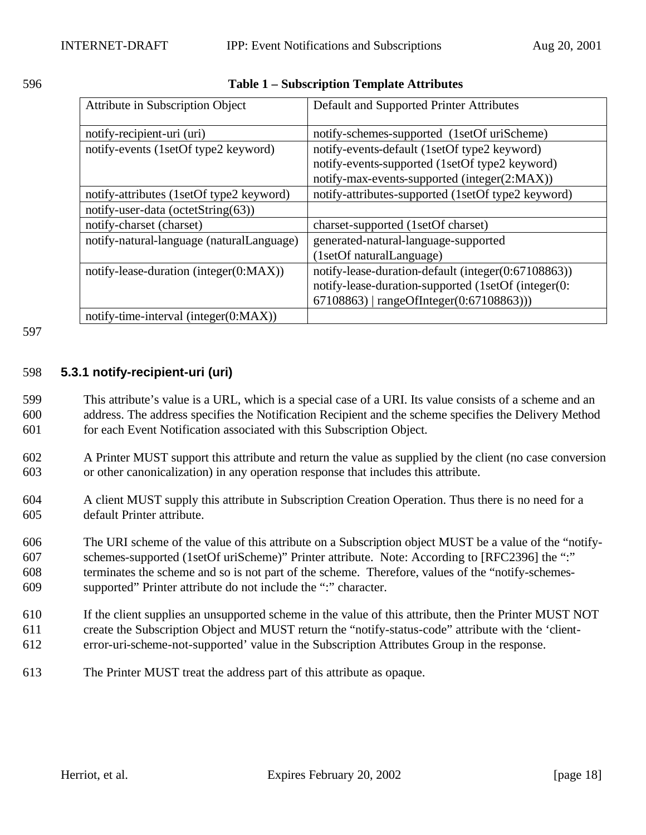| 596 | <b>Table 1 – Subscription Template Attributes</b> |
|-----|---------------------------------------------------|
|     |                                                   |

| Attribute in Subscription Object          | Default and Supported Printer Attributes            |
|-------------------------------------------|-----------------------------------------------------|
| notify-recipient-uri (uri)                | notify-schemes-supported (1setOf uriScheme)         |
| notify-events (1setOf type2 keyword)      | notify-events-default (1setOf type2 keyword)        |
|                                           | notify-events-supported (1setOf type2 keyword)      |
|                                           | notify-max-events-supported (integer(2:MAX))        |
| notify-attributes (1setOf type2 keyword)  | notify-attributes-supported (1setOf type2 keyword)  |
| notify-user-data (octetString(63))        |                                                     |
| notify-charset (charset)                  | charset-supported (1setOf charset)                  |
| notify-natural-language (naturalLanguage) | generated-natural-language-supported                |
|                                           | (1setOf naturalLanguage)                            |
| notify-lease-duration (integer(0:MAX))    | notify-lease-duration-default (integer(0:67108863)) |
|                                           | notify-lease-duration-supported (1setOf (integer(0: |
|                                           | $67108863$   rangeOfInteger(0:67108863)))           |
| notify-time-interval (integer(0:MAX))     |                                                     |

#### 597

#### 598 **5.3.1 notify-recipient-uri (uri)**

599 This attribute's value is a URL, which is a special case of a URI. Its value consists of a scheme and an 600 address. The address specifies the Notification Recipient and the scheme specifies the Delivery Method 601 for each Event Notification associated with this Subscription Object.

- 602 A Printer MUST support this attribute and return the value as supplied by the client (no case conversion 603 or other canonicalization) in any operation response that includes this attribute.
- 604 A client MUST supply this attribute in Subscription Creation Operation. Thus there is no need for a 605 default Printer attribute.

 The URI scheme of the value of this attribute on a Subscription object MUST be a value of the "notify- schemes-supported (1setOf uriScheme)" Printer attribute. Note: According to [RFC2396] the ":" terminates the scheme and so is not part of the scheme. Therefore, values of the "notify-schemes-supported" Printer attribute do not include the ":" character.

- 610 If the client supplies an unsupported scheme in the value of this attribute, then the Printer MUST NOT 611 create the Subscription Object and MUST return the "notify-status-code" attribute with the 'client-612 error-uri-scheme-not-supported' value in the Subscription Attributes Group in the response.
- 613 The Printer MUST treat the address part of this attribute as opaque.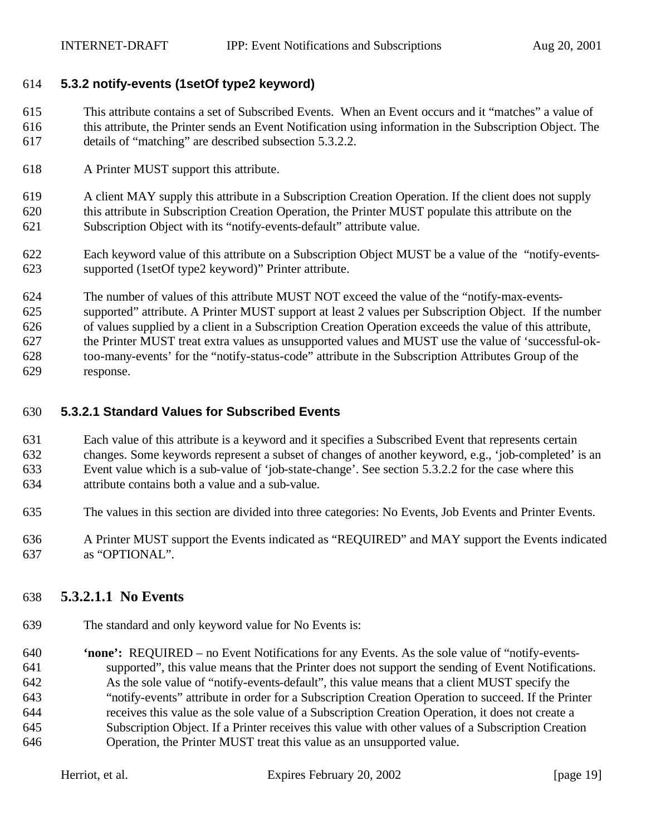#### **5.3.2 notify-events (1setOf type2 keyword)**

 This attribute contains a set of Subscribed Events. When an Event occurs and it "matches" a value of this attribute, the Printer sends an Event Notification using information in the Subscription Object. The details of "matching" are described subsection 5.3.2.2.

A Printer MUST support this attribute.

 A client MAY supply this attribute in a Subscription Creation Operation. If the client does not supply this attribute in Subscription Creation Operation, the Printer MUST populate this attribute on the Subscription Object with its "notify-events-default" attribute value.

- Each keyword value of this attribute on a Subscription Object MUST be a value of the "notify-events-supported (1setOf type2 keyword)" Printer attribute.
- The number of values of this attribute MUST NOT exceed the value of the "notify-max-events-

supported" attribute. A Printer MUST support at least 2 values per Subscription Object. If the number

of values supplied by a client in a Subscription Creation Operation exceeds the value of this attribute,

 the Printer MUST treat extra values as unsupported values and MUST use the value of 'successful-ok-too-many-events' for the "notify-status-code" attribute in the Subscription Attributes Group of the

response.

#### **5.3.2.1 Standard Values for Subscribed Events**

 Each value of this attribute is a keyword and it specifies a Subscribed Event that represents certain changes. Some keywords represent a subset of changes of another keyword, e.g., 'job-completed' is an Event value which is a sub-value of 'job-state-change'. See section 5.3.2.2 for the case where this attribute contains both a value and a sub-value.

- The values in this section are divided into three categories: No Events, Job Events and Printer Events.
- A Printer MUST support the Events indicated as "REQUIRED" and MAY support the Events indicated as "OPTIONAL".

## **5.3.2.1.1 No Events**

The standard and only keyword value for No Events is:

 **'none':** REQUIRED – no Event Notifications for any Events. As the sole value of "notify-events- supported", this value means that the Printer does not support the sending of Event Notifications. As the sole value of "notify-events-default", this value means that a client MUST specify the "notify-events" attribute in order for a Subscription Creation Operation to succeed. If the Printer receives this value as the sole value of a Subscription Creation Operation, it does not create a Subscription Object. If a Printer receives this value with other values of a Subscription Creation Operation, the Printer MUST treat this value as an unsupported value.

| Herriot, et al. | Expires February 20, 2002 | [page 19] |
|-----------------|---------------------------|-----------|
|                 |                           |           |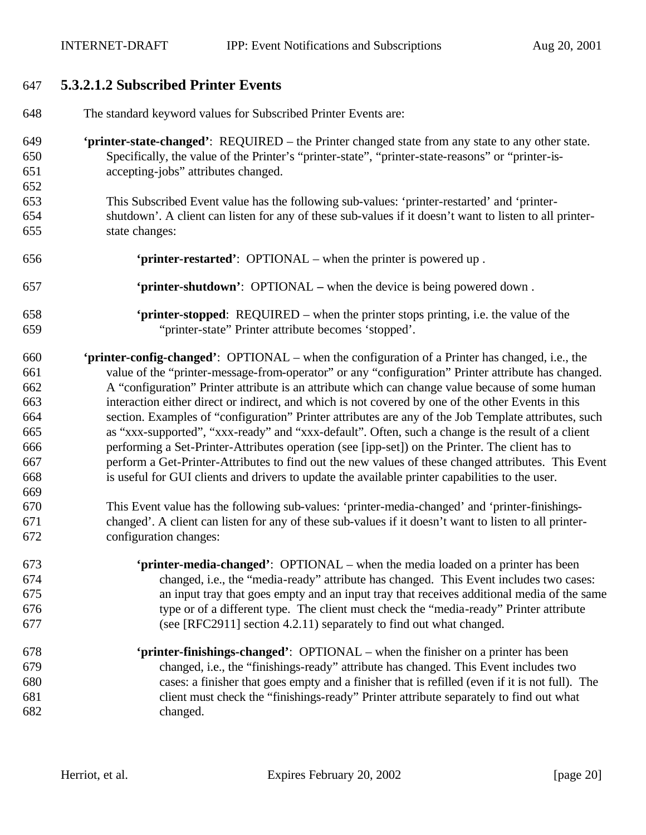# **5.3.2.1.2 Subscribed Printer Events**

| 648 | The standard keyword values for Subscribed Printer Events are:                                          |
|-----|---------------------------------------------------------------------------------------------------------|
| 649 | 'printer-state-changed': REQUIRED - the Printer changed state from any state to any other state.        |
| 650 | Specifically, the value of the Printer's "printer-state", "printer-state-reasons" or "printer-is-       |
| 651 | accepting-jobs" attributes changed.                                                                     |
| 652 |                                                                                                         |
| 653 | This Subscribed Event value has the following sub-values: 'printer-restarted' and 'printer-             |
| 654 | shutdown'. A client can listen for any of these sub-values if it doesn't want to listen to all printer- |
| 655 | state changes:                                                                                          |
| 656 | 'printer-restarted': OPTIONAL – when the printer is powered up.                                         |
| 657 | 'printer-shutdown': OPTIONAL – when the device is being powered down.                                   |
| 658 | <b>'printer-stopped</b> : REQUIRED – when the printer stops printing, i.e. the value of the             |
| 659 | "printer-state" Printer attribute becomes 'stopped'.                                                    |
| 660 | <b>'printer-config-changed':</b> OPTIONAL – when the configuration of a Printer has changed, i.e., the  |
| 661 | value of the "printer-message-from-operator" or any "configuration" Printer attribute has changed.      |
| 662 | A "configuration" Printer attribute is an attribute which can change value because of some human        |
| 663 | interaction either direct or indirect, and which is not covered by one of the other Events in this      |
| 664 | section. Examples of "configuration" Printer attributes are any of the Job Template attributes, such    |
| 665 | as "xxx-supported", "xxx-ready" and "xxx-default". Often, such a change is the result of a client       |
| 666 | performing a Set-Printer-Attributes operation (see [ipp-set]) on the Printer. The client has to         |
| 667 | perform a Get-Printer-Attributes to find out the new values of these changed attributes. This Event     |
| 668 | is useful for GUI clients and drivers to update the available printer capabilities to the user.         |
| 669 |                                                                                                         |
| 670 | This Event value has the following sub-values: 'printer-media-changed' and 'printer-finishings-         |
| 671 | changed'. A client can listen for any of these sub-values if it doesn't want to listen to all printer-  |
| 672 | configuration changes:                                                                                  |
| 673 | <b>'printer-media-changed':</b> OPTIONAL – when the media loaded on a printer has been                  |
| 674 | changed, i.e., the "media-ready" attribute has changed. This Event includes two cases:                  |
| 675 | an input tray that goes empty and an input tray that receives additional media of the same              |
| 676 | type or of a different type. The client must check the "media-ready" Printer attribute                  |
| 677 | (see [RFC2911] section 4.2.11) separately to find out what changed.                                     |
| 678 | 'printer-finishings-changed': OPTIONAL - when the finisher on a printer has been                        |
| 679 | changed, i.e., the "finishings-ready" attribute has changed. This Event includes two                    |
| 680 | cases: a finisher that goes empty and a finisher that is refilled (even if it is not full). The         |
| 681 | client must check the "finishings-ready" Printer attribute separately to find out what                  |
| 682 | changed.                                                                                                |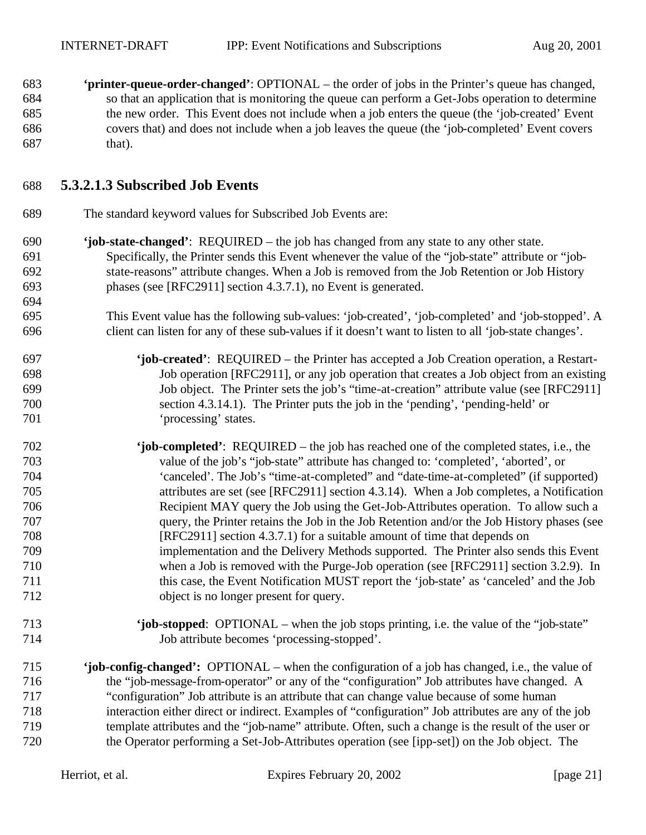**'printer-queue-order-changed'**: OPTIONAL – the order of jobs in the Printer's queue has changed, so that an application that is monitoring the queue can perform a Get-Jobs operation to determine the new order. This Event does not include when a job enters the queue (the 'job-created' Event covers that) and does not include when a job leaves the queue (the 'job-completed' Event covers that).

### **5.3.2.1.3 Subscribed Job Events**

- The standard keyword values for Subscribed Job Events are:
- **'job-state-changed'**: REQUIRED the job has changed from any state to any other state. Specifically, the Printer sends this Event whenever the value of the "job-state" attribute or "job- state-reasons" attribute changes. When a Job is removed from the Job Retention or Job History phases (see [RFC2911] section 4.3.7.1), no Event is generated.
- This Event value has the following sub-values: 'job-created', 'job-completed' and 'job-stopped'. A client can listen for any of these sub-values if it doesn't want to listen to all 'job-state changes'.
- **'job-created'**: REQUIRED the Printer has accepted a Job Creation operation, a Restart- Job operation [RFC2911], or any job operation that creates a Job object from an existing Job object. The Printer sets the job's "time-at-creation" attribute value (see [RFC2911] section 4.3.14.1). The Printer puts the job in the 'pending', 'pending-held' or 'processing' states.
- **'job-completed'**: REQUIRED the job has reached one of the completed states, i.e., the value of the job's "job-state" attribute has changed to: 'completed', 'aborted', or 'canceled'. The Job's "time-at-completed" and "date-time-at-completed" (if supported) attributes are set (see [RFC2911] section 4.3.14). When a Job completes, a Notification Recipient MAY query the Job using the Get-Job-Attributes operation. To allow such a query, the Printer retains the Job in the Job Retention and/or the Job History phases (see [RFC2911] section 4.3.7.1) for a suitable amount of time that depends on implementation and the Delivery Methods supported. The Printer also sends this Event when a Job is removed with the Purge-Job operation (see [RFC2911] section 3.2.9). In this case, the Event Notification MUST report the 'job-state' as 'canceled' and the Job object is no longer present for query.
- **'job-stopped**: OPTIONAL when the job stops printing, i.e. the value of the "job-state" Job attribute becomes 'processing-stopped'.
- **'job-config-changed':** OPTIONAL when the configuration of a job has changed, i.e., the value of the "job-message-from-operator" or any of the "configuration" Job attributes have changed. A "configuration" Job attribute is an attribute that can change value because of some human interaction either direct or indirect. Examples of "configuration" Job attributes are any of the job template attributes and the "job-name" attribute. Often, such a change is the result of the user or the Operator performing a Set-Job-Attributes operation (see [ipp-set]) on the Job object. The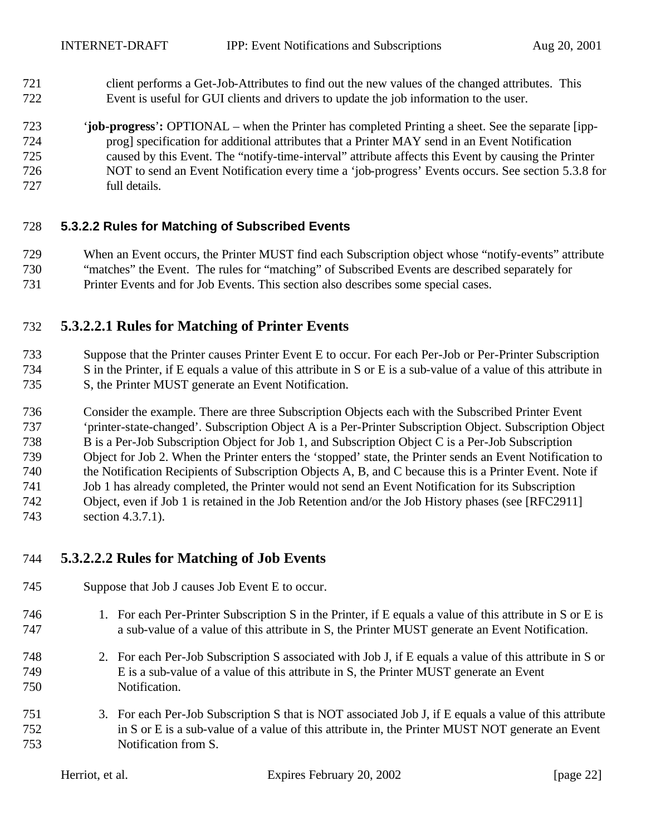- client performs a Get-Job-Attributes to find out the new values of the changed attributes. This Event is useful for GUI clients and drivers to update the job information to the user.
- '**job-progress**'**:** OPTIONAL when the Printer has completed Printing a sheet. See the separate [ipp- prog] specification for additional attributes that a Printer MAY send in an Event Notification caused by this Event. The "notify-time-interval" attribute affects this Event by causing the Printer NOT to send an Event Notification every time a 'job-progress' Events occurs. See section 5.3.8 for full details.

#### **5.3.2.2 Rules for Matching of Subscribed Events**

 When an Event occurs, the Printer MUST find each Subscription object whose "notify-events" attribute "matches" the Event. The rules for "matching" of Subscribed Events are described separately for Printer Events and for Job Events. This section also describes some special cases.

## **5.3.2.2.1 Rules for Matching of Printer Events**

 Suppose that the Printer causes Printer Event E to occur. For each Per-Job or Per-Printer Subscription S in the Printer, if E equals a value of this attribute in S or E is a sub-value of a value of this attribute in S, the Printer MUST generate an Event Notification.

 Consider the example. There are three Subscription Objects each with the Subscribed Printer Event 'printer-state-changed'. Subscription Object A is a Per-Printer Subscription Object. Subscription Object B is a Per-Job Subscription Object for Job 1, and Subscription Object C is a Per-Job Subscription Object for Job 2. When the Printer enters the 'stopped' state, the Printer sends an Event Notification to the Notification Recipients of Subscription Objects A, B, and C because this is a Printer Event. Note if Job 1 has already completed, the Printer would not send an Event Notification for its Subscription Object, even if Job 1 is retained in the Job Retention and/or the Job History phases (see [RFC2911] section 4.3.7.1).

### **5.3.2.2.2 Rules for Matching of Job Events**

- Suppose that Job J causes Job Event E to occur.
- 1. For each Per-Printer Subscription S in the Printer, if E equals a value of this attribute in S or E is a sub-value of a value of this attribute in S, the Printer MUST generate an Event Notification.
- 2. For each Per-Job Subscription S associated with Job J, if E equals a value of this attribute in S or E is a sub-value of a value of this attribute in S, the Printer MUST generate an Event Notification.
- 3. For each Per-Job Subscription S that is NOT associated Job J, if E equals a value of this attribute in S or E is a sub-value of a value of this attribute in, the Printer MUST NOT generate an Event Notification from S.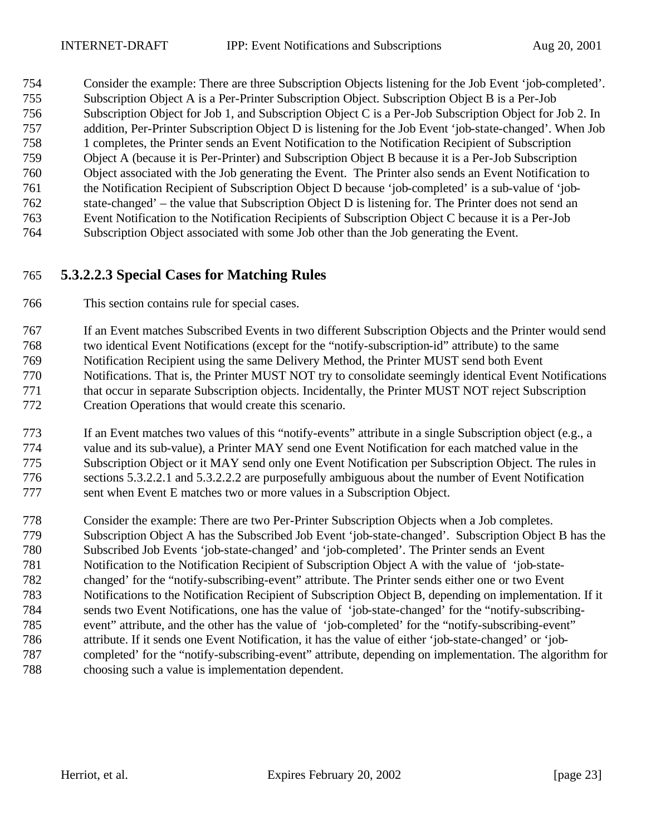Consider the example: There are three Subscription Objects listening for the Job Event 'job-completed'. Subscription Object A is a Per-Printer Subscription Object. Subscription Object B is a Per-Job Subscription Object for Job 1, and Subscription Object C is a Per-Job Subscription Object for Job 2. In addition, Per-Printer Subscription Object D is listening for the Job Event 'job-state-changed'. When Job 1 completes, the Printer sends an Event Notification to the Notification Recipient of Subscription Object A (because it is Per-Printer) and Subscription Object B because it is a Per-Job Subscription Object associated with the Job generating the Event. The Printer also sends an Event Notification to the Notification Recipient of Subscription Object D because 'job-completed' is a sub-value of 'job- state-changed' – the value that Subscription Object D is listening for. The Printer does not send an Event Notification to the Notification Recipients of Subscription Object C because it is a Per-Job Subscription Object associated with some Job other than the Job generating the Event.

## **5.3.2.2.3 Special Cases for Matching Rules**

This section contains rule for special cases.

 If an Event matches Subscribed Events in two different Subscription Objects and the Printer would send two identical Event Notifications (except for the "notify-subscription-id" attribute) to the same Notification Recipient using the same Delivery Method, the Printer MUST send both Event Notifications. That is, the Printer MUST NOT try to consolidate seemingly identical Event Notifications that occur in separate Subscription objects. Incidentally, the Printer MUST NOT reject Subscription Creation Operations that would create this scenario.

 If an Event matches two values of this "notify-events" attribute in a single Subscription object (e.g., a value and its sub-value), a Printer MAY send one Event Notification for each matched value in the Subscription Object or it MAY send only one Event Notification per Subscription Object. The rules in sections 5.3.2.2.1 and 5.3.2.2.2 are purposefully ambiguous about the number of Event Notification sent when Event E matches two or more values in a Subscription Object.

 Consider the example: There are two Per-Printer Subscription Objects when a Job completes. Subscription Object A has the Subscribed Job Event 'job-state-changed'. Subscription Object B has the Subscribed Job Events 'job-state-changed' and 'job-completed'. The Printer sends an Event Notification to the Notification Recipient of Subscription Object A with the value of 'job-state- changed' for the "notify-subscribing-event" attribute. The Printer sends either one or two Event Notifications to the Notification Recipient of Subscription Object B, depending on implementation. If it sends two Event Notifications, one has the value of 'job-state-changed' for the "notify-subscribing- event" attribute, and the other has the value of 'job-completed' for the "notify-subscribing-event" attribute. If it sends one Event Notification, it has the value of either 'job-state-changed' or 'job- completed' for the "notify-subscribing-event" attribute, depending on implementation. The algorithm for choosing such a value is implementation dependent.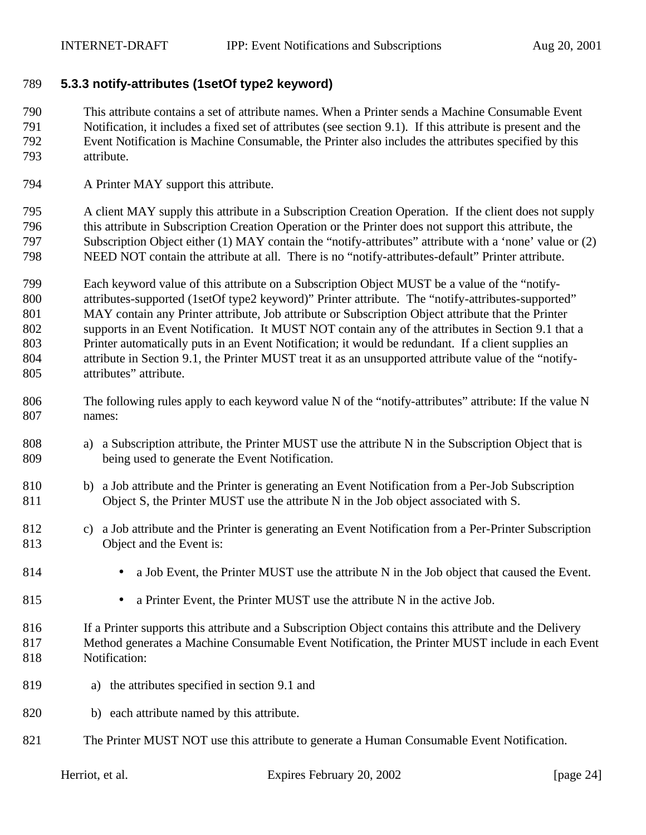#### **5.3.3 notify-attributes (1setOf type2 keyword)**

 This attribute contains a set of attribute names. When a Printer sends a Machine Consumable Event Notification, it includes a fixed set of attributes (see section 9.1). If this attribute is present and the Event Notification is Machine Consumable, the Printer also includes the attributes specified by this attribute.

A Printer MAY support this attribute.

 A client MAY supply this attribute in a Subscription Creation Operation. If the client does not supply this attribute in Subscription Creation Operation or the Printer does not support this attribute, the Subscription Object either (1) MAY contain the "notify-attributes" attribute with a 'none' value or (2) NEED NOT contain the attribute at all. There is no "notify-attributes-default" Printer attribute.

 Each keyword value of this attribute on a Subscription Object MUST be a value of the "notify- attributes-supported (1setOf type2 keyword)" Printer attribute. The "notify-attributes-supported" MAY contain any Printer attribute, Job attribute or Subscription Object attribute that the Printer supports in an Event Notification. It MUST NOT contain any of the attributes in Section 9.1 that a Printer automatically puts in an Event Notification; it would be redundant. If a client supplies an attribute in Section 9.1, the Printer MUST treat it as an unsupported attribute value of the "notify-attributes" attribute.

- 806 The following rules apply to each keyword value N of the "notify-attributes" attribute: If the value N names:
- a) a Subscription attribute, the Printer MUST use the attribute N in the Subscription Object that is being used to generate the Event Notification.
- b) a Job attribute and the Printer is generating an Event Notification from a Per-Job Subscription Object S, the Printer MUST use the attribute N in the Job object associated with S.
- c) a Job attribute and the Printer is generating an Event Notification from a Per-Printer Subscription Object and the Event is:
- 
- 814 a Job Event, the Printer MUST use the attribute N in the Job object that caused the Event.
- 815 a Printer Event, the Printer MUST use the attribute N in the active Job.

 If a Printer supports this attribute and a Subscription Object contains this attribute and the Delivery Method generates a Machine Consumable Event Notification, the Printer MUST include in each Event Notification:

- a) the attributes specified in section 9.1 and
- b) each attribute named by this attribute.
- 821 The Printer MUST NOT use this attribute to generate a Human Consumable Event Notification.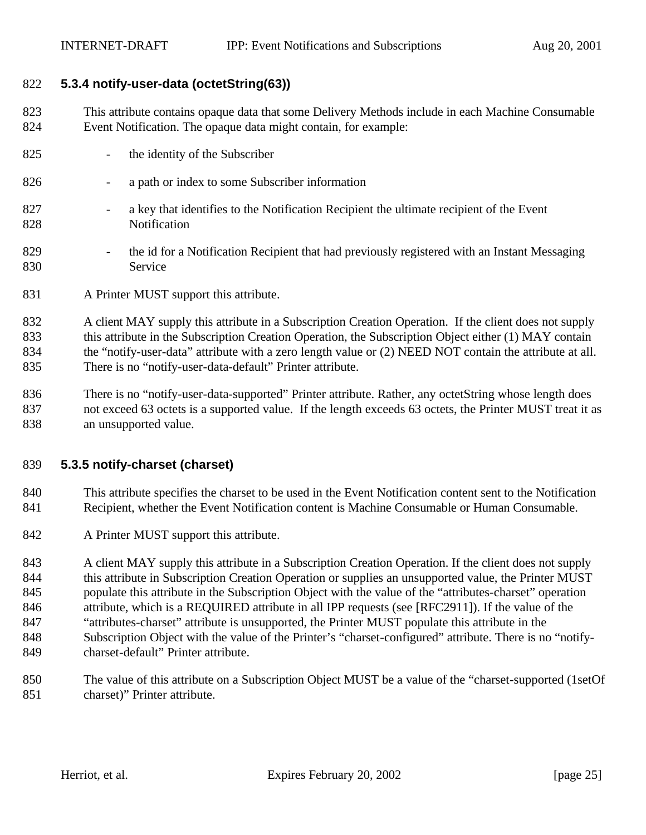#### **5.3.4 notify-user-data (octetString(63))**

- This attribute contains opaque data that some Delivery Methods include in each Machine Consumable Event Notification. The opaque data might contain, for example:
- the identity of the Subscriber
- a path or index to some Subscriber information
- a key that identifies to the Notification Recipient the ultimate recipient of the Event Notification
- 829 <sup>-</sup> the id for a Notification Recipient that had previously registered with an Instant Messaging Service
- 831 A Printer MUST support this attribute.
- A client MAY supply this attribute in a Subscription Creation Operation. If the client does not supply 833 this attribute in the Subscription Creation Operation, the Subscription Object either (1) MAY contain 834 the "notify-user-data" attribute with a zero length value or (2) NEED NOT contain the attribute at all. There is no "notify-user-data-default" Printer attribute.
- There is no "notify-user-data-supported" Printer attribute. Rather, any octetString whose length does not exceed 63 octets is a supported value. If the length exceeds 63 octets, the Printer MUST treat it as an unsupported value.

#### **5.3.5 notify-charset (charset)**

- This attribute specifies the charset to be used in the Event Notification content sent to the Notification 841 Recipient, whether the Event Notification content is Machine Consumable or Human Consumable.
- 842 A Printer MUST support this attribute.

843 A client MAY supply this attribute in a Subscription Creation Operation. If the client does not supply 844 this attribute in Subscription Creation Operation or supplies an unsupported value, the Printer MUST populate this attribute in the Subscription Object with the value of the "attributes-charset" operation attribute, which is a REQUIRED attribute in all IPP requests (see [RFC2911]). If the value of the "attributes-charset" attribute is unsupported, the Printer MUST populate this attribute in the Subscription Object with the value of the Printer's "charset-configured" attribute. There is no "notify-charset-default" Printer attribute.

 The value of this attribute on a Subscription Object MUST be a value of the "charset-supported (1setOf charset)" Printer attribute.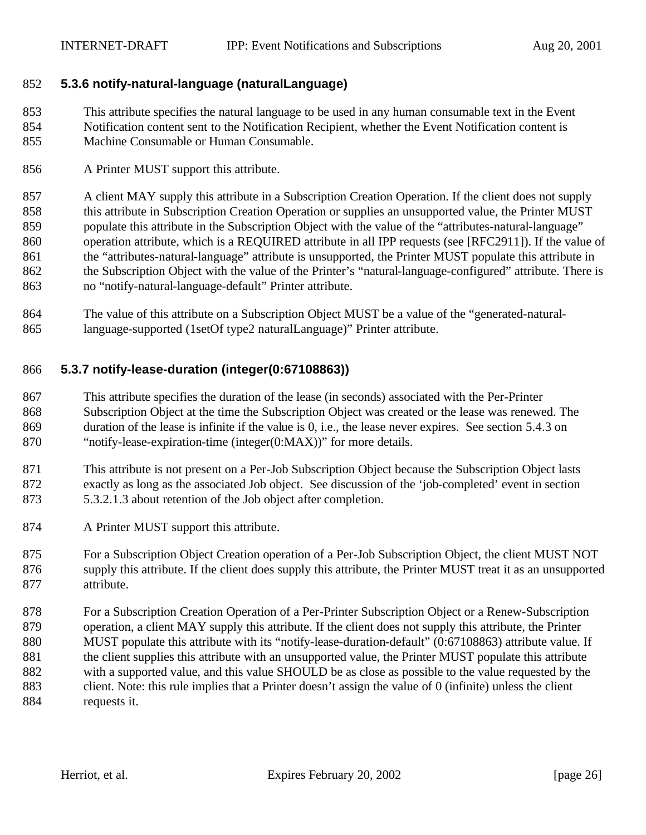#### **5.3.6 notify-natural-language (naturalLanguage)**

 This attribute specifies the natural language to be used in any human consumable text in the Event Notification content sent to the Notification Recipient, whether the Event Notification content is Machine Consumable or Human Consumable.

A Printer MUST support this attribute.

 A client MAY supply this attribute in a Subscription Creation Operation. If the client does not supply this attribute in Subscription Creation Operation or supplies an unsupported value, the Printer MUST populate this attribute in the Subscription Object with the value of the "attributes-natural-language" operation attribute, which is a REQUIRED attribute in all IPP requests (see [RFC2911]). If the value of 861 the "attributes-natural-language" attribute is unsupported, the Printer MUST populate this attribute in 862 the Subscription Object with the value of the Printer's "natural-language-configured" attribute. There is no "notify-natural-language-default" Printer attribute.

 The value of this attribute on a Subscription Object MUST be a value of the "generated-natural-language-supported (1setOf type2 naturalLanguage)" Printer attribute.

#### **5.3.7 notify-lease-duration (integer(0:67108863))**

 This attribute specifies the duration of the lease (in seconds) associated with the Per-Printer Subscription Object at the time the Subscription Object was created or the lease was renewed. The duration of the lease is infinite if the value is 0, i.e., the lease never expires. See section 5.4.3 on "notify-lease-expiration-time (integer(0:MAX))" for more details.

- This attribute is not present on a Per-Job Subscription Object because the Subscription Object lasts exactly as long as the associated Job object. See discussion of the 'job-completed' event in section 5.3.2.1.3 about retention of the Job object after completion.
- A Printer MUST support this attribute.
- For a Subscription Object Creation operation of a Per-Job Subscription Object, the client MUST NOT supply this attribute. If the client does supply this attribute, the Printer MUST treat it as an unsupported attribute.
- For a Subscription Creation Operation of a Per-Printer Subscription Object or a Renew-Subscription operation, a client MAY supply this attribute. If the client does not supply this attribute, the Printer MUST populate this attribute with its "notify-lease-duration-default" (0:67108863) attribute value. If 881 the client supplies this attribute with an unsupported value, the Printer MUST populate this attribute with a supported value, and this value SHOULD be as close as possible to the value requested by the client. Note: this rule implies that a Printer doesn't assign the value of 0 (infinite) unless the client requests it.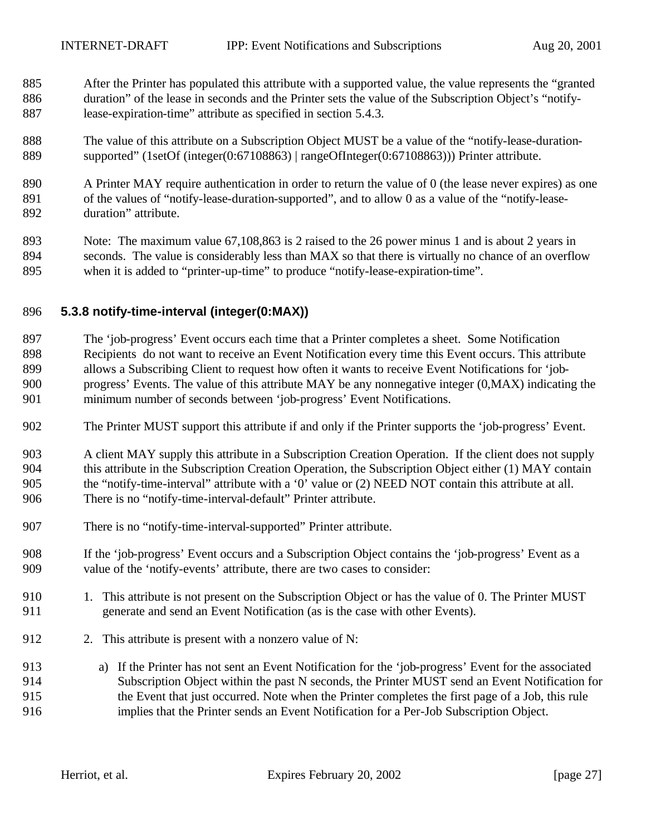- After the Printer has populated this attribute with a supported value, the value represents the "granted duration" of the lease in seconds and the Printer sets the value of the Subscription Object's "notify-lease-expiration-time" attribute as specified in section 5.4.3.
- The value of this attribute on a Subscription Object MUST be a value of the "notify-lease-duration-supported" (1setOf (integer(0:67108863) | rangeOfInteger(0:67108863))) Printer attribute.
- A Printer MAY require authentication in order to return the value of 0 (the lease never expires) as one of the values of "notify-lease-duration-supported", and to allow 0 as a value of the "notify-lease-duration" attribute.
- Note: The maximum value 67,108,863 is 2 raised to the 26 power minus 1 and is about 2 years in seconds. The value is considerably less than MAX so that there is virtually no chance of an overflow when it is added to "printer-up-time" to produce "notify-lease-expiration-time".

#### **5.3.8 notify-time-interval (integer(0:MAX))**

- The 'job-progress' Event occurs each time that a Printer completes a sheet. Some Notification Recipients do not want to receive an Event Notification every time this Event occurs. This attribute allows a Subscribing Client to request how often it wants to receive Event Notifications for 'job- progress' Events. The value of this attribute MAY be any nonnegative integer (0,MAX) indicating the minimum number of seconds between 'job-progress' Event Notifications.
- The Printer MUST support this attribute if and only if the Printer supports the 'job-progress' Event.
- A client MAY supply this attribute in a Subscription Creation Operation. If the client does not supply 904 this attribute in the Subscription Creation Operation, the Subscription Object either (1) MAY contain the "notify-time-interval" attribute with a '0' value or (2) NEED NOT contain this attribute at all. There is no "notify-time-interval-default" Printer attribute.
- There is no "notify-time-interval-supported" Printer attribute.
- If the 'job-progress' Event occurs and a Subscription Object contains the 'job-progress' Event as a value of the 'notify-events' attribute, there are two cases to consider:
- 910 1. This attribute is not present on the Subscription Object or has the value of 0. The Printer MUST generate and send an Event Notification (as is the case with other Events).
- 912 2. This attribute is present with a nonzero value of N:
- a) If the Printer has not sent an Event Notification for the 'job-progress' Event for the associated Subscription Object within the past N seconds, the Printer MUST send an Event Notification for the Event that just occurred. Note when the Printer completes the first page of a Job, this rule implies that the Printer sends an Event Notification for a Per-Job Subscription Object.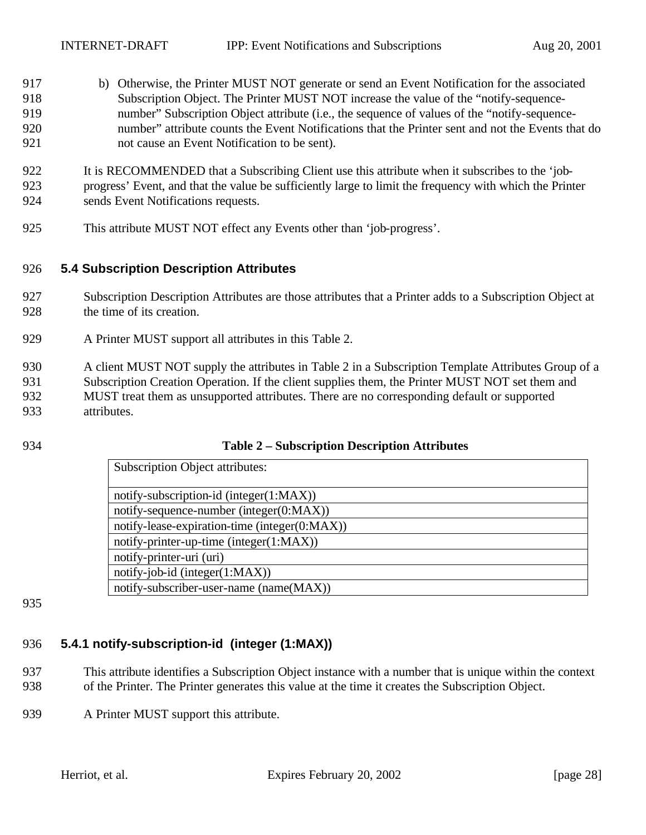b) Otherwise, the Printer MUST NOT generate or send an Event Notification for the associated Subscription Object. The Printer MUST NOT increase the value of the "notify-sequence- number" Subscription Object attribute (i.e., the sequence of values of the "notify-sequence- number" attribute counts the Event Notifications that the Printer sent and not the Events that do not cause an Event Notification to be sent).

 It is RECOMMENDED that a Subscribing Client use this attribute when it subscribes to the 'job- progress' Event, and that the value be sufficiently large to limit the frequency with which the Printer sends Event Notifications requests.

This attribute MUST NOT effect any Events other than 'job-progress'.

#### **5.4 Subscription Description Attributes**

- Subscription Description Attributes are those attributes that a Printer adds to a Subscription Object at the time of its creation.
- A Printer MUST support all attributes in this Table 2.
- A client MUST NOT supply the attributes in Table 2 in a Subscription Template Attributes Group of a Subscription Creation Operation. If the client supplies them, the Printer MUST NOT set them and MUST treat them as unsupported attributes. There are no corresponding default or supported attributes.
- 

#### **Table 2 – Subscription Description Attributes**

| <b>Subscription Object attributes:</b>        |
|-----------------------------------------------|
| notify-subscription-id (integer(1:MAX))       |
| notify-sequence-number (integer(0:MAX))       |
| notify-lease-expiration-time (integer(0:MAX)) |
| notify-printer-up-time (integer(1:MAX))       |
|                                               |
| notify-printer-uri (uri)                      |
| $notify-job-id (integer(1:MAX))$              |
| notify-subscriber-user-name (name(MAX))       |

## **5.4.1 notify-subscription-id (integer (1:MAX))**

- This attribute identifies a Subscription Object instance with a number that is unique within the context of the Printer. The Printer generates this value at the time it creates the Subscription Object.
- 939 A Printer MUST support this attribute.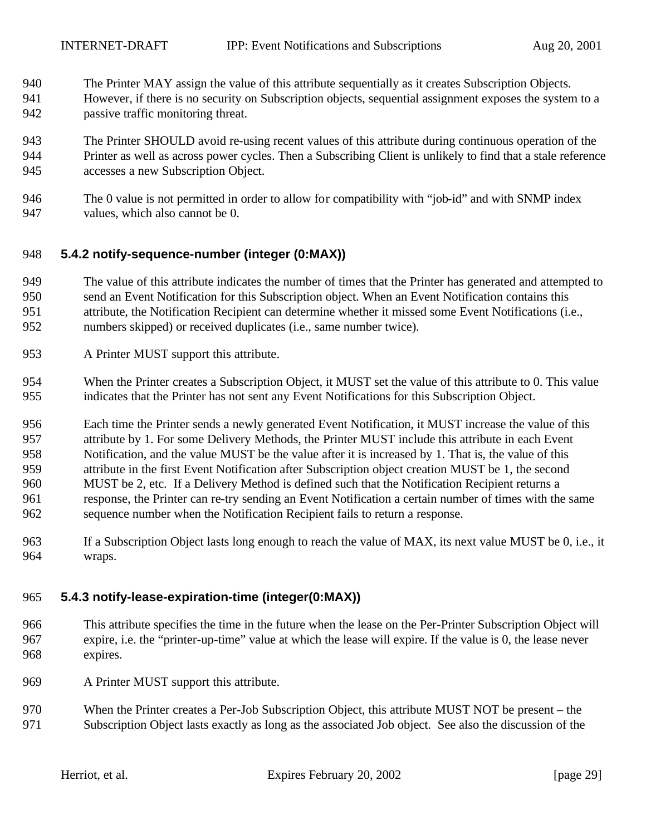- The Printer MAY assign the value of this attribute sequentially as it creates Subscription Objects.
- However, if there is no security on Subscription objects, sequential assignment exposes the system to a passive traffic monitoring threat.
- The Printer SHOULD avoid re-using recent values of this attribute during continuous operation of the Printer as well as across power cycles. Then a Subscribing Client is unlikely to find that a stale reference accesses a new Subscription Object.
- The 0 value is not permitted in order to allow for compatibility with "job-id" and with SNMP index values, which also cannot be 0.

#### **5.4.2 notify-sequence-number (integer (0:MAX))**

- The value of this attribute indicates the number of times that the Printer has generated and attempted to send an Event Notification for this Subscription object. When an Event Notification contains this attribute, the Notification Recipient can determine whether it missed some Event Notifications (i.e.,
- numbers skipped) or received duplicates (i.e., same number twice).
- A Printer MUST support this attribute.
- When the Printer creates a Subscription Object, it MUST set the value of this attribute to 0. This value indicates that the Printer has not sent any Event Notifications for this Subscription Object.

 Each time the Printer sends a newly generated Event Notification, it MUST increase the value of this attribute by 1. For some Delivery Methods, the Printer MUST include this attribute in each Event Notification, and the value MUST be the value after it is increased by 1. That is, the value of this attribute in the first Event Notification after Subscription object creation MUST be 1, the second MUST be 2, etc. If a Delivery Method is defined such that the Notification Recipient returns a response, the Printer can re-try sending an Event Notification a certain number of times with the same sequence number when the Notification Recipient fails to return a response.

 If a Subscription Object lasts long enough to reach the value of MAX, its next value MUST be 0, i.e., it wraps.

#### **5.4.3 notify-lease-expiration-time (integer(0:MAX))**

- This attribute specifies the time in the future when the lease on the Per-Printer Subscription Object will expire, i.e. the "printer-up-time" value at which the lease will expire. If the value is 0, the lease never expires.
- A Printer MUST support this attribute.
- When the Printer creates a Per-Job Subscription Object, this attribute MUST NOT be present the Subscription Object lasts exactly as long as the associated Job object. See also the discussion of the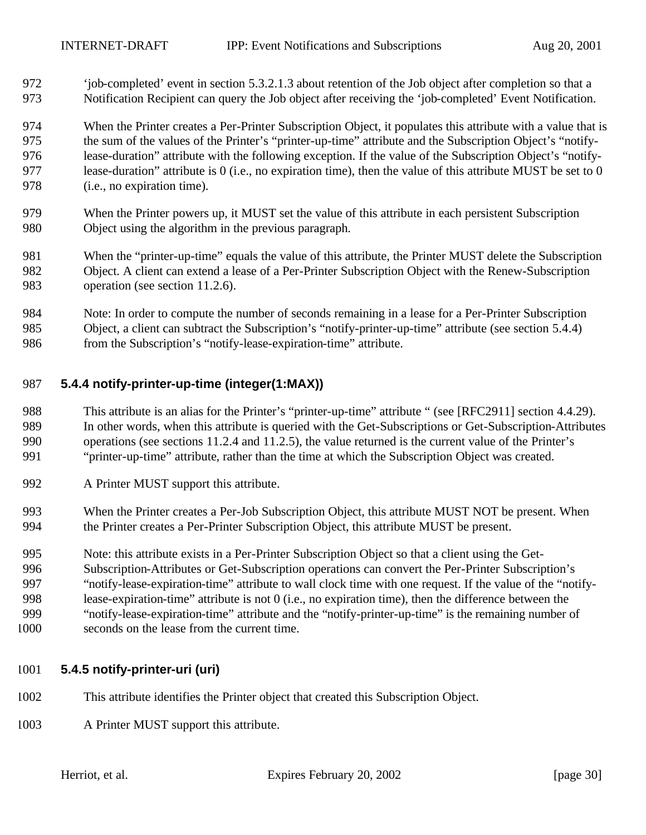'job-completed' event in section 5.3.2.1.3 about retention of the Job object after completion so that a Notification Recipient can query the Job object after receiving the 'job-completed' Event Notification.

 When the Printer creates a Per-Printer Subscription Object, it populates this attribute with a value that is the sum of the values of the Printer's "printer-up-time" attribute and the Subscription Object's "notify- lease-duration" attribute with the following exception. If the value of the Subscription Object's "notify- lease-duration" attribute is 0 (i.e., no expiration time), then the value of this attribute MUST be set to 0 (i.e., no expiration time).

- When the Printer powers up, it MUST set the value of this attribute in each persistent Subscription Object using the algorithm in the previous paragraph.
- When the "printer-up-time" equals the value of this attribute, the Printer MUST delete the Subscription Object. A client can extend a lease of a Per-Printer Subscription Object with the Renew-Subscription operation (see section 11.2.6).
- Note: In order to compute the number of seconds remaining in a lease for a Per-Printer Subscription Object, a client can subtract the Subscription's "notify-printer-up-time" attribute (see section 5.4.4) from the Subscription's "notify-lease-expiration-time" attribute.

#### **5.4.4 notify-printer-up-time (integer(1:MAX))**

- This attribute is an alias for the Printer's "printer-up-time" attribute " (see [RFC2911] section 4.4.29). In other words, when this attribute is queried with the Get-Subscriptions or Get-Subscription-Attributes operations (see sections 11.2.4 and 11.2.5), the value returned is the current value of the Printer's "printer-up-time" attribute, rather than the time at which the Subscription Object was created.
- A Printer MUST support this attribute.
- When the Printer creates a Per-Job Subscription Object, this attribute MUST NOT be present. When the Printer creates a Per-Printer Subscription Object, this attribute MUST be present.
- Note: this attribute exists in a Per-Printer Subscription Object so that a client using the Get-
- Subscription-Attributes or Get-Subscription operations can convert the Per-Printer Subscription's "notify-lease-expiration-time" attribute to wall clock time with one request. If the value of the "notify- lease-expiration-time" attribute is not 0 (i.e., no expiration time), then the difference between the "notify-lease-expiration-time" attribute and the "notify-printer-up-time" is the remaining number of
- seconds on the lease from the current time.

### **5.4.5 notify-printer-uri (uri)**

- This attribute identifies the Printer object that created this Subscription Object.
- A Printer MUST support this attribute.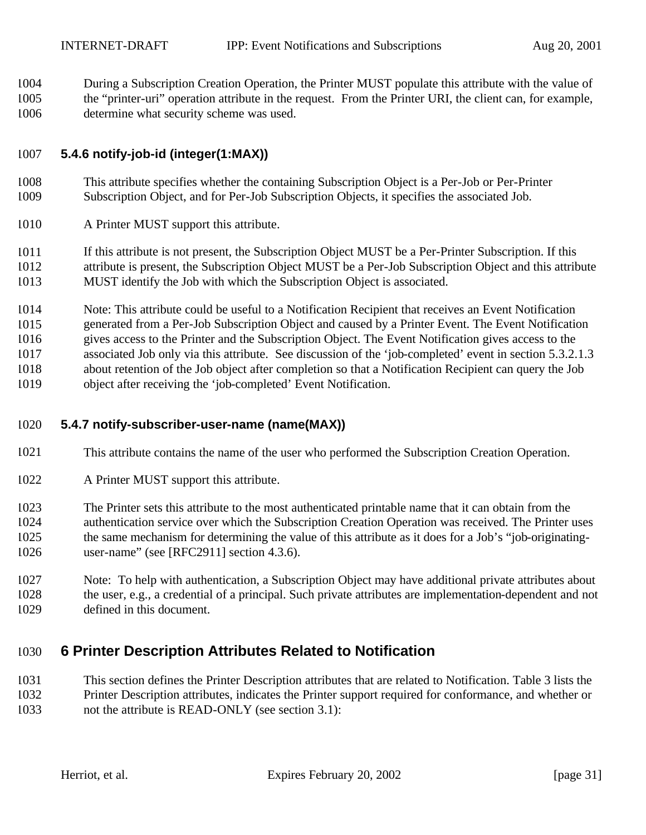During a Subscription Creation Operation, the Printer MUST populate this attribute with the value of the "printer-uri" operation attribute in the request. From the Printer URI, the client can, for example, determine what security scheme was used.

#### **5.4.6 notify-job-id (integer(1:MAX))**

- This attribute specifies whether the containing Subscription Object is a Per-Job or Per-Printer Subscription Object, and for Per-Job Subscription Objects, it specifies the associated Job.
- A Printer MUST support this attribute.

 If this attribute is not present, the Subscription Object MUST be a Per-Printer Subscription. If this attribute is present, the Subscription Object MUST be a Per-Job Subscription Object and this attribute MUST identify the Job with which the Subscription Object is associated.

 Note: This attribute could be useful to a Notification Recipient that receives an Event Notification generated from a Per-Job Subscription Object and caused by a Printer Event. The Event Notification gives access to the Printer and the Subscription Object. The Event Notification gives access to the associated Job only via this attribute. See discussion of the 'job-completed' event in section 5.3.2.1.3 about retention of the Job object after completion so that a Notification Recipient can query the Job object after receiving the 'job-completed' Event Notification.

#### **5.4.7 notify-subscriber-user-name (name(MAX))**

- This attribute contains the name of the user who performed the Subscription Creation Operation.
- A Printer MUST support this attribute.

 The Printer sets this attribute to the most authenticated printable name that it can obtain from the authentication service over which the Subscription Creation Operation was received. The Printer uses the same mechanism for determining the value of this attribute as it does for a Job's "job-originating-user-name" (see [RFC2911] section 4.3.6).

 Note: To help with authentication, a Subscription Object may have additional private attributes about the user, e.g., a credential of a principal. Such private attributes are implementation-dependent and not defined in this document.

## **6 Printer Description Attributes Related to Notification**

 This section defines the Printer Description attributes that are related to Notification. Table 3 lists the Printer Description attributes, indicates the Printer support required for conformance, and whether or not the attribute is READ-ONLY (see section 3.1):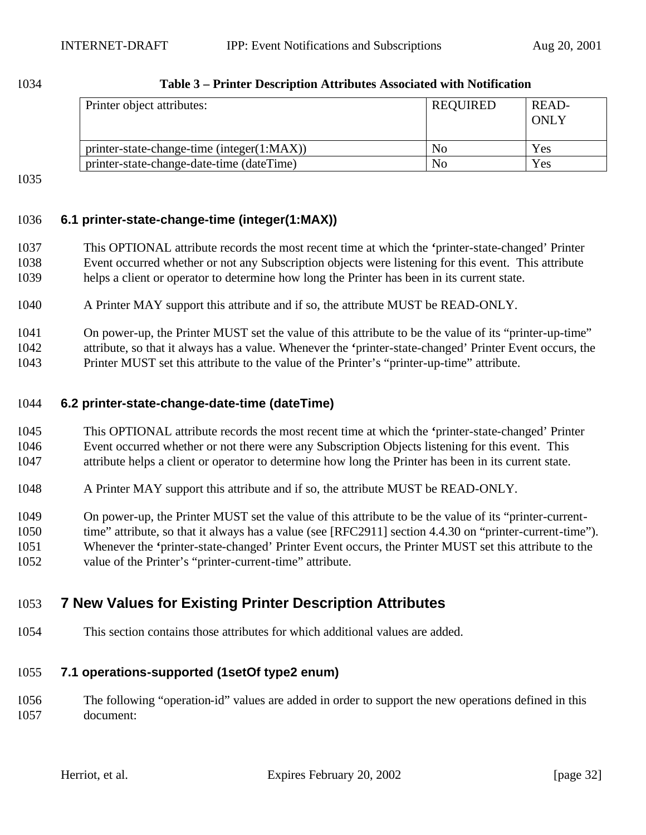| Printer object attributes:                 | <b>REQUIRED</b> | READ-<br><b>ONLY</b> |
|--------------------------------------------|-----------------|----------------------|
| printer-state-change-time (integer(1:MAX)) | No              | Yes                  |
| printer-state-change-date-time (dateTime)  | No              | Yes                  |

#### **Table 3 – Printer Description Attributes Associated with Notification**

### **6.1 printer-state-change-time (integer(1:MAX))**

- This OPTIONAL attribute records the most recent time at which the **'**printer-state-changed' Printer Event occurred whether or not any Subscription objects were listening for this event. This attribute helps a client or operator to determine how long the Printer has been in its current state.
- A Printer MAY support this attribute and if so, the attribute MUST be READ-ONLY.
- On power-up, the Printer MUST set the value of this attribute to be the value of its "printer-up-time"

attribute, so that it always has a value. Whenever the **'**printer-state-changed' Printer Event occurs, the

Printer MUST set this attribute to the value of the Printer's "printer-up-time" attribute.

#### **6.2 printer-state-change-date-time (dateTime)**

- This OPTIONAL attribute records the most recent time at which the **'**printer-state-changed' Printer Event occurred whether or not there were any Subscription Objects listening for this event. This attribute helps a client or operator to determine how long the Printer has been in its current state.
- A Printer MAY support this attribute and if so, the attribute MUST be READ-ONLY.
- On power-up, the Printer MUST set the value of this attribute to be the value of its "printer-current-
- time" attribute, so that it always has a value (see [RFC2911] section 4.4.30 on "printer-current-time").
- Whenever the **'**printer-state-changed' Printer Event occurs, the Printer MUST set this attribute to the
- value of the Printer's "printer-current-time" attribute.

## **7 New Values for Existing Printer Description Attributes**

This section contains those attributes for which additional values are added.

### **7.1 operations-supported (1setOf type2 enum)**

 The following "operation-id" values are added in order to support the new operations defined in this document: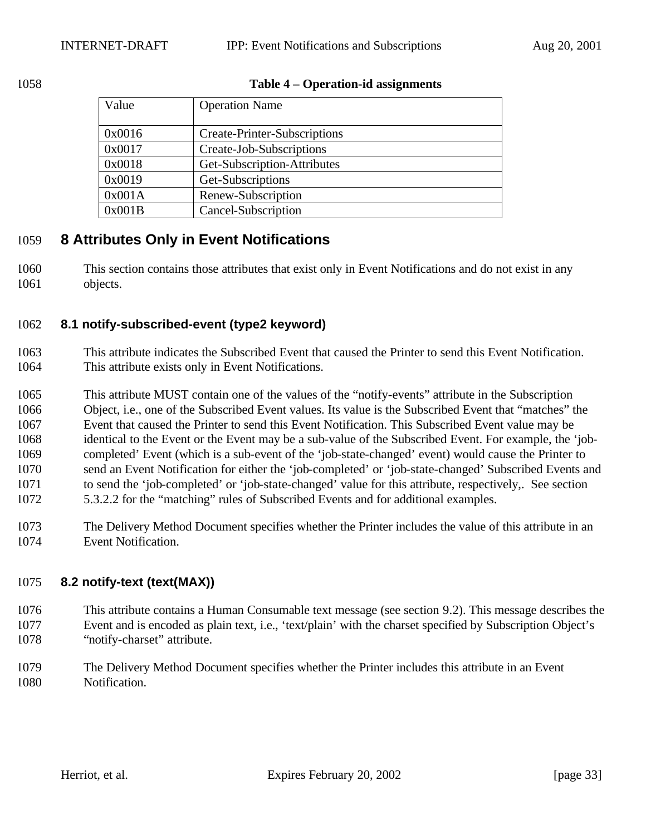#### **Table 4 – Operation-id assignments**

| Value  | <b>Operation Name</b>               |
|--------|-------------------------------------|
| 0x0016 | <b>Create-Printer-Subscriptions</b> |
| 0x0017 | Create-Job-Subscriptions            |
| 0x0018 | Get-Subscription-Attributes         |
| 0x0019 | Get-Subscriptions                   |
| 0x001A | Renew-Subscription                  |
| 0x001B | Cancel-Subscription                 |

## **8 Attributes Only in Event Notifications**

 This section contains those attributes that exist only in Event Notifications and do not exist in any objects.

### **8.1 notify-subscribed-event (type2 keyword)**

- This attribute indicates the Subscribed Event that caused the Printer to send this Event Notification. This attribute exists only in Event Notifications.
- This attribute MUST contain one of the values of the "notify-events" attribute in the Subscription Object, i.e., one of the Subscribed Event values. Its value is the Subscribed Event that "matches" the Event that caused the Printer to send this Event Notification. This Subscribed Event value may be identical to the Event or the Event may be a sub-value of the Subscribed Event. For example, the 'job- completed' Event (which is a sub-event of the 'job-state-changed' event) would cause the Printer to send an Event Notification for either the 'job-completed' or 'job-state-changed' Subscribed Events and to send the 'job-completed' or 'job-state-changed' value for this attribute, respectively,. See section 5.3.2.2 for the "matching" rules of Subscribed Events and for additional examples.
- The Delivery Method Document specifies whether the Printer includes the value of this attribute in an Event Notification.

### **8.2 notify-text (text(MAX))**

- This attribute contains a Human Consumable text message (see section 9.2). This message describes the Event and is encoded as plain text, i.e., 'text/plain' with the charset specified by Subscription Object's "notify-charset" attribute.
- The Delivery Method Document specifies whether the Printer includes this attribute in an Event Notification.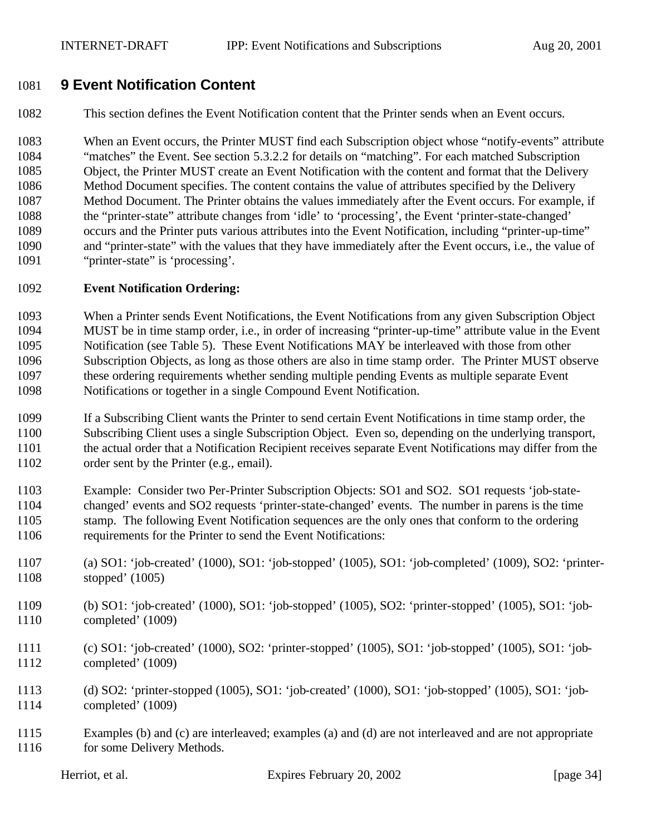## **9 Event Notification Content**

This section defines the Event Notification content that the Printer sends when an Event occurs.

 When an Event occurs, the Printer MUST find each Subscription object whose "notify-events" attribute "matches" the Event. See section 5.3.2.2 for details on "matching". For each matched Subscription Object, the Printer MUST create an Event Notification with the content and format that the Delivery Method Document specifies. The content contains the value of attributes specified by the Delivery Method Document. The Printer obtains the values immediately after the Event occurs. For example, if the "printer-state" attribute changes from 'idle' to 'processing', the Event 'printer-state-changed' occurs and the Printer puts various attributes into the Event Notification, including "printer-up-time" and "printer-state" with the values that they have immediately after the Event occurs, i.e., the value of "printer-state" is 'processing'.

#### **Event Notification Ordering:**

 When a Printer sends Event Notifications, the Event Notifications from any given Subscription Object MUST be in time stamp order, i.e., in order of increasing "printer-up-time" attribute value in the Event Notification (see Table 5). These Event Notifications MAY be interleaved with those from other Subscription Objects, as long as those others are also in time stamp order. The Printer MUST observe these ordering requirements whether sending multiple pending Events as multiple separate Event Notifications or together in a single Compound Event Notification.

 If a Subscribing Client wants the Printer to send certain Event Notifications in time stamp order, the Subscribing Client uses a single Subscription Object. Even so, depending on the underlying transport, the actual order that a Notification Recipient receives separate Event Notifications may differ from the order sent by the Printer (e.g., email).

 Example: Consider two Per-Printer Subscription Objects: SO1 and SO2. SO1 requests 'job-state- changed' events and SO2 requests 'printer-state-changed' events. The number in parens is the time stamp. The following Event Notification sequences are the only ones that conform to the ordering requirements for the Printer to send the Event Notifications:

- (a) SO1: 'job-created' (1000), SO1: 'job-stopped' (1005), SO1: 'job-completed' (1009), SO2: 'printer-stopped' (1005)
- (b) SO1: 'job-created' (1000), SO1: 'job-stopped' (1005), SO2: 'printer-stopped' (1005), SO1: 'job-completed' (1009)
- (c) SO1: 'job-created' (1000), SO2: 'printer-stopped' (1005), SO1: 'job-stopped' (1005), SO1: 'job-completed' (1009)
- (d) SO2: 'printer-stopped (1005), SO1: 'job-created' (1000), SO1: 'job-stopped' (1005), SO1: 'job-completed' (1009)
- Examples (b) and (c) are interleaved; examples (a) and (d) are not interleaved and are not appropriate for some Delivery Methods.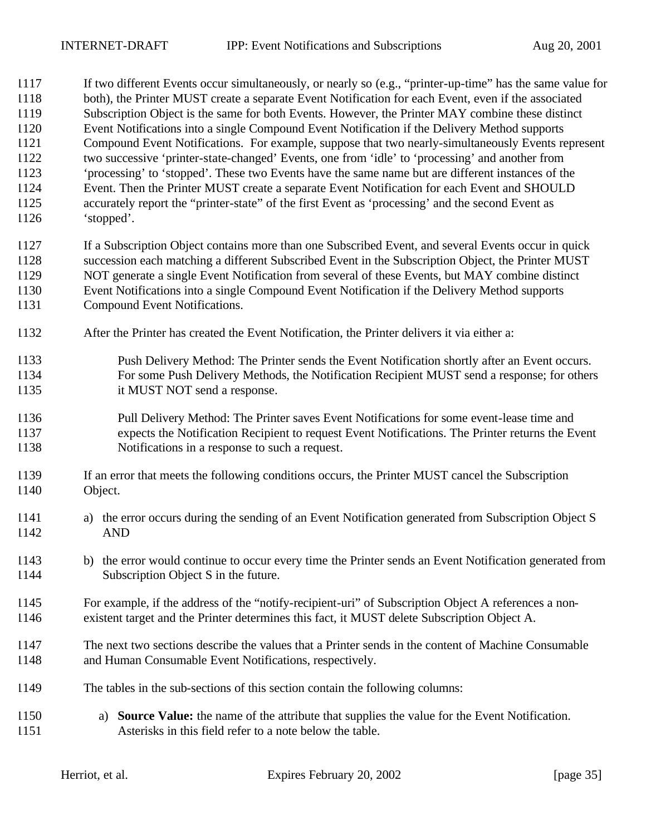If two different Events occur simultaneously, or nearly so (e.g., "printer-up-time" has the same value for both), the Printer MUST create a separate Event Notification for each Event, even if the associated Subscription Object is the same for both Events. However, the Printer MAY combine these distinct Event Notifications into a single Compound Event Notification if the Delivery Method supports Compound Event Notifications. For example, suppose that two nearly-simultaneously Events represent two successive 'printer-state-changed' Events, one from 'idle' to 'processing' and another from 'processing' to 'stopped'. These two Events have the same name but are different instances of the Event. Then the Printer MUST create a separate Event Notification for each Event and SHOULD accurately report the "printer-state" of the first Event as 'processing' and the second Event as 'stopped'. If a Subscription Object contains more than one Subscribed Event, and several Events occur in quick

 succession each matching a different Subscribed Event in the Subscription Object, the Printer MUST NOT generate a single Event Notification from several of these Events, but MAY combine distinct Event Notifications into a single Compound Event Notification if the Delivery Method supports Compound Event Notifications.

- After the Printer has created the Event Notification, the Printer delivers it via either a:
- Push Delivery Method: The Printer sends the Event Notification shortly after an Event occurs. For some Push Delivery Methods, the Notification Recipient MUST send a response; for others it MUST NOT send a response.
- Pull Delivery Method: The Printer saves Event Notifications for some event-lease time and expects the Notification Recipient to request Event Notifications. The Printer returns the Event Notifications in a response to such a request.
- If an error that meets the following conditions occurs, the Printer MUST cancel the Subscription Object.
- a) the error occurs during the sending of an Event Notification generated from Subscription Object S AND
- b) the error would continue to occur every time the Printer sends an Event Notification generated from Subscription Object S in the future.
- For example, if the address of the "notify-recipient-uri" of Subscription Object A references a non-existent target and the Printer determines this fact, it MUST delete Subscription Object A.
- The next two sections describe the values that a Printer sends in the content of Machine Consumable and Human Consumable Event Notifications, respectively.
- The tables in the sub-sections of this section contain the following columns:
- a) **Source Value:** the name of the attribute that supplies the value for the Event Notification. Asterisks in this field refer to a note below the table.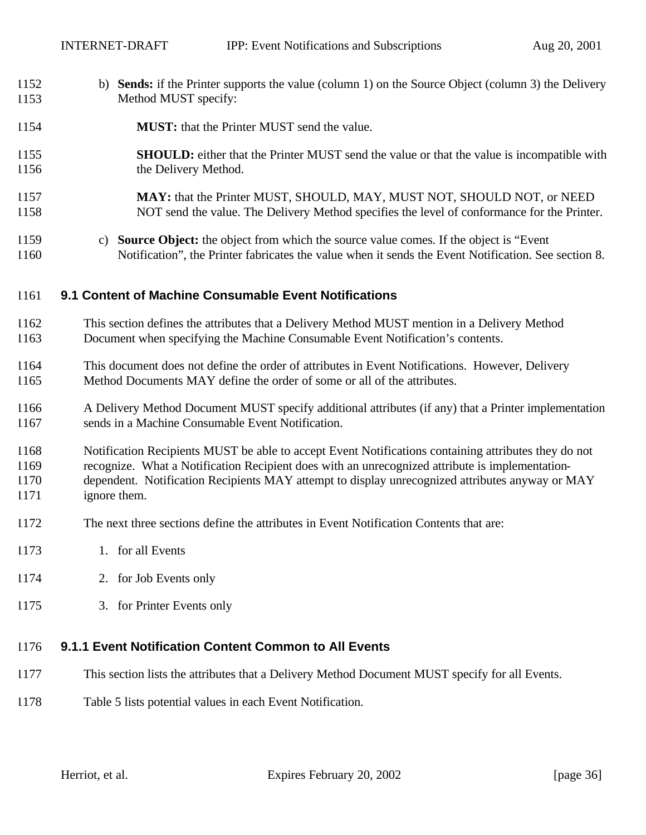- b) **Sends:** if the Printer supports the value (column 1) on the Source Object (column 3) the Delivery Method MUST specify:
- **MUST:** that the Printer MUST send the value.
- **SHOULD:** either that the Printer MUST send the value or that the value is incompatible with 1156 the Delivery Method.
- **MAY:** that the Printer MUST, SHOULD, MAY, MUST NOT, SHOULD NOT, or NEED NOT send the value. The Delivery Method specifies the level of conformance for the Printer.
- c) **Source Object:** the object from which the source value comes. If the object is "Event Notification", the Printer fabricates the value when it sends the Event Notification. See section 8.

#### **9.1 Content of Machine Consumable Event Notifications**

- This section defines the attributes that a Delivery Method MUST mention in a Delivery Method Document when specifying the Machine Consumable Event Notification's contents.
- This document does not define the order of attributes in Event Notifications. However, Delivery Method Documents MAY define the order of some or all of the attributes.
- A Delivery Method Document MUST specify additional attributes (if any) that a Printer implementation sends in a Machine Consumable Event Notification.
- Notification Recipients MUST be able to accept Event Notifications containing attributes they do not
- recognize. What a Notification Recipient does with an unrecognized attribute is implementation-
- dependent. Notification Recipients MAY attempt to display unrecognized attributes anyway or MAY ignore them.
- The next three sections define the attributes in Event Notification Contents that are:
- 1. for all Events
- 2. for Job Events only
- 3. for Printer Events only

### **9.1.1 Event Notification Content Common to All Events**

- This section lists the attributes that a Delivery Method Document MUST specify for all Events.
- Table 5 lists potential values in each Event Notification.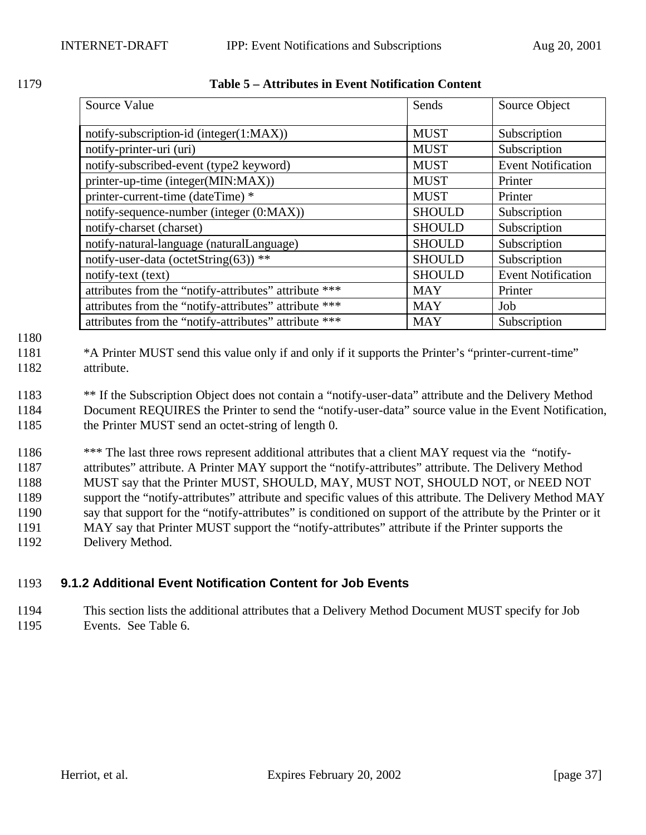|--|--|

| 1179 | Table 5 – Attributes in Event Notification Content |  |
|------|----------------------------------------------------|--|
|      |                                                    |  |

| Source Value                                          | Sends         | Source Object             |
|-------------------------------------------------------|---------------|---------------------------|
| notify-subscription-id (integer(1:MAX))               | <b>MUST</b>   | Subscription              |
| notify-printer-uri (uri)                              | <b>MUST</b>   | Subscription              |
| notify-subscribed-event (type2 keyword)               | <b>MUST</b>   | <b>Event Notification</b> |
| printer-up-time (integer(MIN:MAX))                    | <b>MUST</b>   | Printer                   |
| printer-current-time (dateTime) *                     | <b>MUST</b>   | Printer                   |
| notify-sequence-number (integer (0:MAX))              | <b>SHOULD</b> | Subscription              |
| notify-charset (charset)                              | <b>SHOULD</b> | Subscription              |
| notify-natural-language (naturalLanguage)             | <b>SHOULD</b> | Subscription              |
| notify-user-data (octetString(63)) **                 | <b>SHOULD</b> | Subscription              |
| notify-text (text)                                    | <b>SHOULD</b> | <b>Event Notification</b> |
| attributes from the "notify-attributes" attribute *** | <b>MAY</b>    | Printer                   |
| attributes from the "notify-attributes" attribute *** | <b>MAY</b>    | Job                       |
| attributes from the "notify-attributes" attribute *** | <b>MAY</b>    | Subscription              |

1180

1181 \*A Printer MUST send this value only if and only if it supports the Printer's "printer-current-time" 1182 attribute.

1183 \*\* If the Subscription Object does not contain a "notify-user-data" attribute and the Delivery Method 1184 Document REQUIRES the Printer to send the "notify-user-data" source value in the Event Notification, 1185 the Printer MUST send an octet-string of length 0.

1186 \*\*\* The last three rows represent additional attributes that a client MAY request via the "notify- attributes" attribute. A Printer MAY support the "notify-attributes" attribute. The Delivery Method MUST say that the Printer MUST, SHOULD, MAY, MUST NOT, SHOULD NOT, or NEED NOT support the "notify-attributes" attribute and specific values of this attribute. The Delivery Method MAY say that support for the "notify-attributes" is conditioned on support of the attribute by the Printer or it MAY say that Printer MUST support the "notify-attributes" attribute if the Printer supports the Delivery Method.

# 1193 **9.1.2 Additional Event Notification Content for Job Events**

1194 This section lists the additional attributes that a Delivery Method Document MUST specify for Job 1195 Events. See Table 6.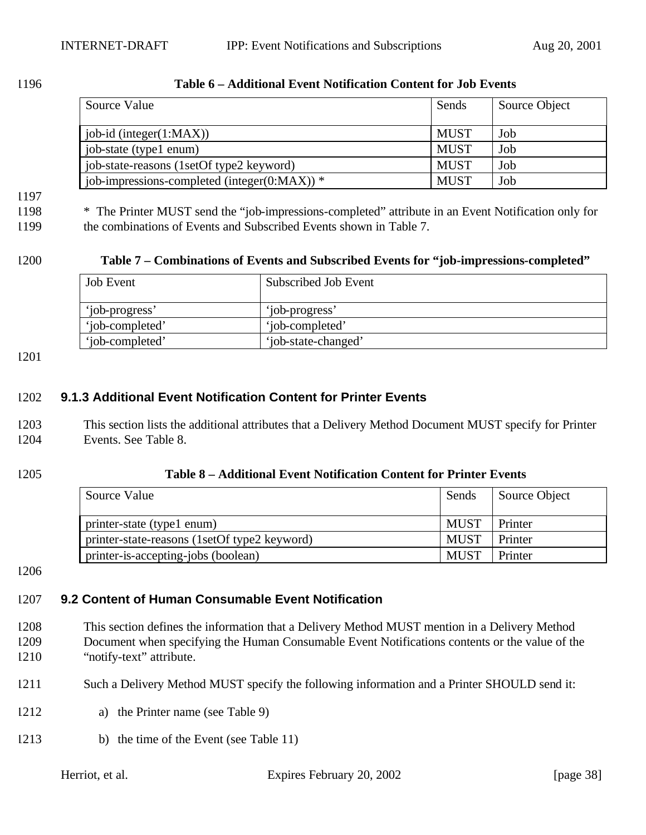| Source Value                                     | Sends       | Source Object |
|--------------------------------------------------|-------------|---------------|
| $job-id$ (integer $(1:MAX)$ )                    | <b>MUST</b> | Job           |
| job-state (type1 enum)                           | <b>MUST</b> | Job           |
| job-state-reasons (1setOf type2 keyword)         | <b>MUST</b> | Job           |
| job-impressions-completed (integer( $0:MAX$ )) * | <b>MUST</b> | Job           |

#### 1196 **Table 6 – Additional Event Notification Content for Job Events**

# 1197

1198 \* The Printer MUST send the "job-impressions-completed" attribute in an Event Notification only for 1199 the combinations of Events and Subscribed Events shown in Table 7.

#### 1200 **Table 7 – Combinations of Events and Subscribed Events for "job-impressions-completed"**

| <b>Job Event</b> | Subscribed Job Event |
|------------------|----------------------|
| 'iob-progress'   | 'job-progress'       |
| 'iob-completed'  | 'iob-completed'      |
| 'iob-completed'  | 'job-state-changed'  |

1201

#### 1202 **9.1.3 Additional Event Notification Content for Printer Events**

1203 This section lists the additional attributes that a Delivery Method Document MUST specify for Printer 1204 Events. See Table 8.

#### 1205 **Table 8 – Additional Event Notification Content for Printer Events**

| Source Value                                 | Sends       | Source Object |
|----------------------------------------------|-------------|---------------|
| printer-state (type1 enum)                   | <b>MUST</b> | Printer       |
| printer-state-reasons (1setOf type2 keyword) | <b>MUST</b> | Printer       |
| printer-is-accepting-jobs (boolean)          | <b>MUST</b> | Printer       |

1206

# 1207 **9.2 Content of Human Consumable Event Notification**

- 1208 This section defines the information that a Delivery Method MUST mention in a Delivery Method 1209 Document when specifying the Human Consumable Event Notifications contents or the value of the 1210 "notify-text" attribute.
- 1211 Such a Delivery Method MUST specify the following information and a Printer SHOULD send it:
- 1212 a) the Printer name (see Table 9)
- 1213 b) the time of the Event (see Table 11)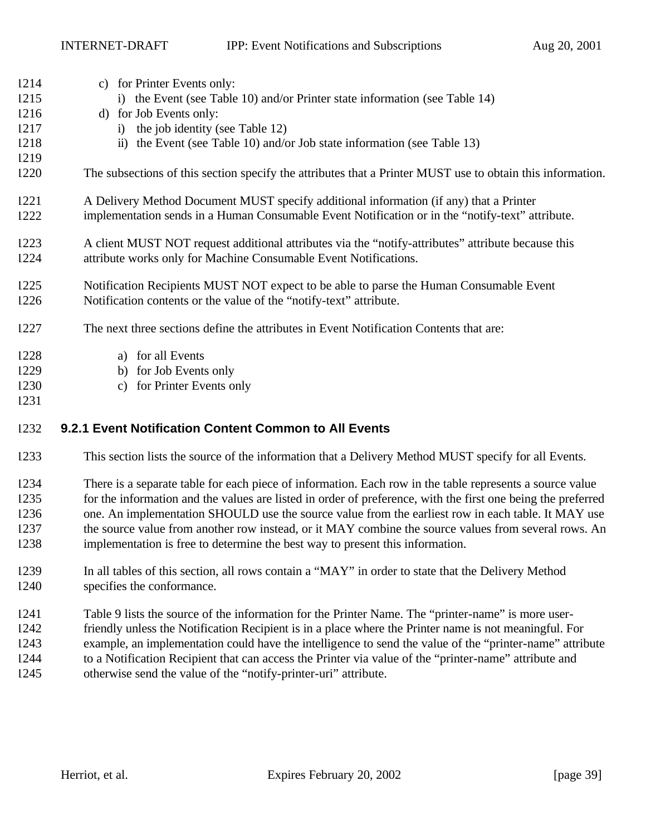| 1214 | c) for Printer Events only:                                                                                  |
|------|--------------------------------------------------------------------------------------------------------------|
| 1215 | i) the Event (see Table 10) and/or Printer state information (see Table 14)                                  |
| 1216 | d) for Job Events only:                                                                                      |
| 1217 | the job identity (see Table 12)<br>i)                                                                        |
| 1218 | ii) the Event (see Table 10) and/or Job state information (see Table 13)                                     |
| 1219 |                                                                                                              |
| 1220 | The subsections of this section specify the attributes that a Printer MUST use to obtain this information.   |
| 1221 | A Delivery Method Document MUST specify additional information (if any) that a Printer                       |
| 1222 | implementation sends in a Human Consumable Event Notification or in the "notify-text" attribute.             |
| 1223 | A client MUST NOT request additional attributes via the "notify-attributes" attribute because this           |
| 1224 | attribute works only for Machine Consumable Event Notifications.                                             |
| 1225 | Notification Recipients MUST NOT expect to be able to parse the Human Consumable Event                       |
| 1226 | Notification contents or the value of the "notify-text" attribute.                                           |
| 1227 | The next three sections define the attributes in Event Notification Contents that are:                       |
| 1228 | a) for all Events                                                                                            |
| 1229 | b) for Job Events only                                                                                       |
| 1230 | for Printer Events only<br>$\mathbf{c}$ )                                                                    |
| 1231 |                                                                                                              |
| 1232 | 9.2.1 Event Notification Content Common to All Events                                                        |
| 1233 | This section lists the source of the information that a Delivery Method MUST specify for all Events.         |
| 1234 | There is a separate table for each piece of information. Each row in the table represents a source value     |
| 1235 | for the information and the values are listed in order of preference, with the first one being the preferred |
| 1236 | one. An implementation SHOULD use the source value from the earliest row in each table. It MAY use           |
| 1237 | the source value from another row instead, or it MAY combine the source values from several rows. An         |
| 1238 | implementation is free to determine the best way to present this information.                                |

- In all tables of this section, all rows contain a "MAY" in order to state that the Delivery Method specifies the conformance.
- Table 9 lists the source of the information for the Printer Name. The "printer-name" is more user-
- friendly unless the Notification Recipient is in a place where the Printer name is not meaningful. For
- example, an implementation could have the intelligence to send the value of the "printer-name" attribute
- to a Notification Recipient that can access the Printer via value of the "printer-name" attribute and otherwise send the value of the "notify-printer-uri" attribute.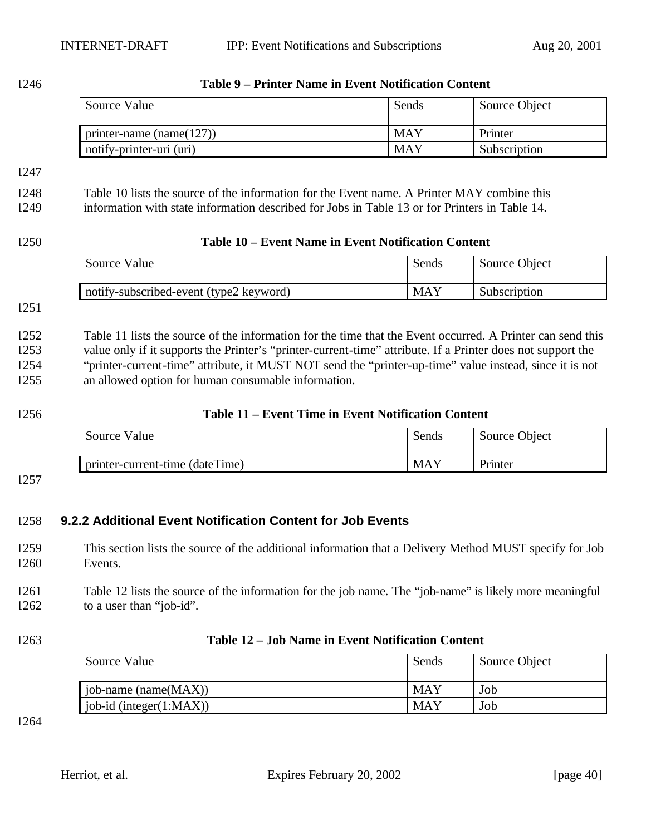| 1246                                 | <b>Table 9 - Printer Name in Event Notification Content</b>                                                                                                                                                                                                                                                                                                                                 |                                                     |               |  |  |
|--------------------------------------|---------------------------------------------------------------------------------------------------------------------------------------------------------------------------------------------------------------------------------------------------------------------------------------------------------------------------------------------------------------------------------------------|-----------------------------------------------------|---------------|--|--|
|                                      | Source Value                                                                                                                                                                                                                                                                                                                                                                                | Sends                                               | Source Object |  |  |
|                                      | printer-name (name $(127)$ )                                                                                                                                                                                                                                                                                                                                                                | <b>MAY</b>                                          | Printer       |  |  |
|                                      | notify-printer-uri (uri)                                                                                                                                                                                                                                                                                                                                                                    | <b>MAY</b>                                          | Subscription  |  |  |
| 1247<br>1248                         | Table 10 lists the source of the information for the Event name. A Printer MAY combine this                                                                                                                                                                                                                                                                                                 |                                                     |               |  |  |
| 1249                                 | information with state information described for Jobs in Table 13 or for Printers in Table 14.                                                                                                                                                                                                                                                                                              |                                                     |               |  |  |
| 1250                                 |                                                                                                                                                                                                                                                                                                                                                                                             | Table 10 – Event Name in Event Notification Content |               |  |  |
|                                      | Source Value                                                                                                                                                                                                                                                                                                                                                                                | Sends                                               | Source Object |  |  |
|                                      | notify-subscribed-event (type2 keyword)                                                                                                                                                                                                                                                                                                                                                     | <b>MAY</b>                                          | Subscription  |  |  |
| 1251                                 |                                                                                                                                                                                                                                                                                                                                                                                             |                                                     |               |  |  |
| 1252<br>1253<br>1254<br>1255<br>1256 | Table 11 lists the source of the information for the time that the Event occurred. A Printer can send this<br>value only if it supports the Printer's "printer-current-time" attribute. If a Printer does not support the<br>"printer-current-time" attribute, it MUST NOT send the "printer-up-time" value instead, since it is not<br>an allowed option for human consumable information. | Table 11 – Event Time in Event Notification Content |               |  |  |
|                                      | Source Value                                                                                                                                                                                                                                                                                                                                                                                | Sends                                               | Source Object |  |  |
|                                      | printer-current-time (dateTime)                                                                                                                                                                                                                                                                                                                                                             | <b>MAY</b>                                          | Printer       |  |  |
| 1257                                 |                                                                                                                                                                                                                                                                                                                                                                                             |                                                     |               |  |  |
| 1258<br>1259<br>1260                 | 9.2.2 Additional Event Notification Content for Job Events<br>This section lists the source of the additional information that a Delivery Method MUST specify for Job<br>Events.                                                                                                                                                                                                            |                                                     |               |  |  |
| 1261<br>1262                         | Table 12 lists the source of the information for the job name. The "job-name" is likely more meaningful<br>to a user than "job-id".                                                                                                                                                                                                                                                         |                                                     |               |  |  |
| 1263                                 | Table 12 - Job Name in Event Notification Content                                                                                                                                                                                                                                                                                                                                           |                                                     |               |  |  |
|                                      | Source Value                                                                                                                                                                                                                                                                                                                                                                                | Sends                                               | Source Object |  |  |
|                                      | job-name (name(MAX))                                                                                                                                                                                                                                                                                                                                                                        | <b>MAY</b>                                          | Job           |  |  |
|                                      | job-id (integer(1:MAX))                                                                                                                                                                                                                                                                                                                                                                     | <b>MAY</b>                                          | Job           |  |  |
| 1264                                 |                                                                                                                                                                                                                                                                                                                                                                                             |                                                     |               |  |  |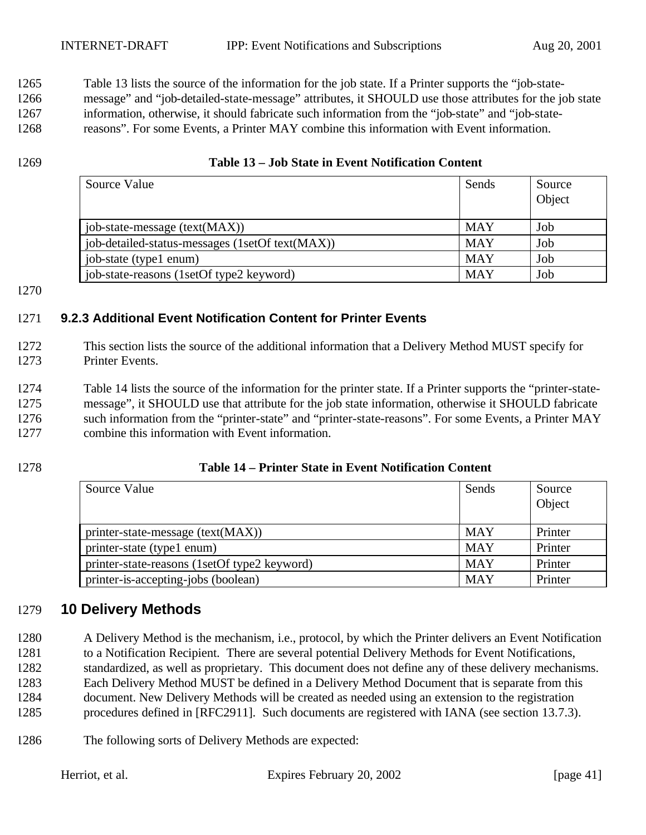Table 13 lists the source of the information for the job state. If a Printer supports the "job-state-

 message" and "job-detailed-state-message" attributes, it SHOULD use those attributes for the job state information, otherwise, it should fabricate such information from the "job-state" and "job-state-

reasons". For some Events, a Printer MAY combine this information with Event information.

#### **Table 13 – Job State in Event Notification Content**

| Source Value                                    | Sends      | Source |
|-------------------------------------------------|------------|--------|
|                                                 |            | Object |
| job-state-message (text(MAX))                   | <b>MAY</b> | Job    |
| job-detailed-status-messages (1setOf text(MAX)) | <b>MAY</b> | Job    |
| job-state (type1 enum)                          | <b>MAY</b> | Job    |
| job-state-reasons (1setOf type2 keyword)        | <b>MAY</b> | Job    |

### **9.2.3 Additional Event Notification Content for Printer Events**

- This section lists the source of the additional information that a Delivery Method MUST specify for Printer Events.
- Table 14 lists the source of the information for the printer state. If a Printer supports the "printer-state- message", it SHOULD use that attribute for the job state information, otherwise it SHOULD fabricate such information from the "printer-state" and "printer-state-reasons". For some Events, a Printer MAY combine this information with Event information.

### **Table 14 – Printer State in Event Notification Content**

| Source Value                                 | Sends      | Source<br>Object |
|----------------------------------------------|------------|------------------|
| printer-state-message $(text(MAX))$          | <b>MAY</b> | Printer          |
| printer-state (type1 enum)                   | <b>MAY</b> | Printer          |
| printer-state-reasons (1setOf type2 keyword) | <b>MAY</b> | Printer          |
| printer-is-accepting-jobs (boolean)          | <b>MAY</b> | Printer          |

# **10 Delivery Methods**

- A Delivery Method is the mechanism, i.e., protocol, by which the Printer delivers an Event Notification to a Notification Recipient. There are several potential Delivery Methods for Event Notifications, standardized, as well as proprietary. This document does not define any of these delivery mechanisms. Each Delivery Method MUST be defined in a Delivery Method Document that is separate from this document. New Delivery Methods will be created as needed using an extension to the registration procedures defined in [RFC2911]. Such documents are registered with IANA (see section 13.7.3).
- The following sorts of Delivery Methods are expected: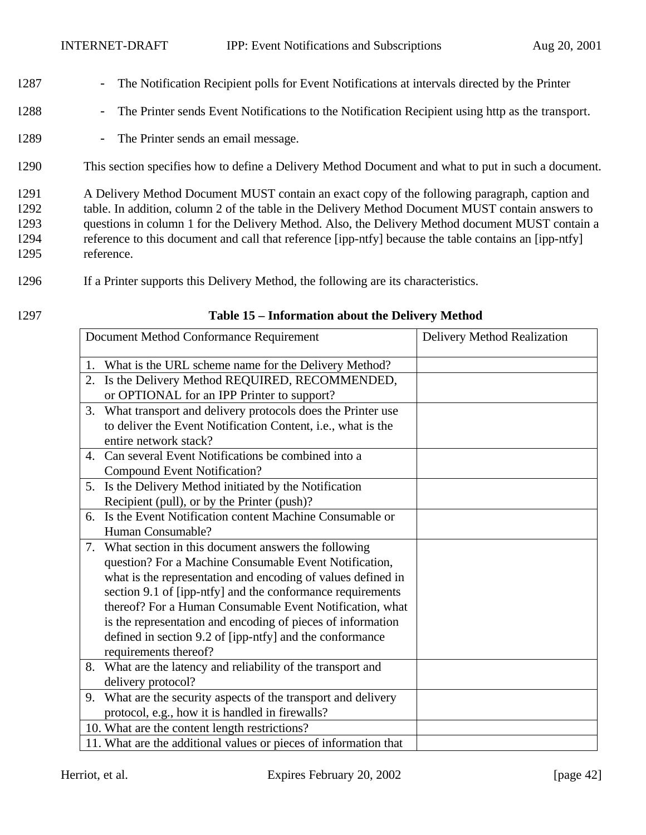- 1287 The Notification Recipient polls for Event Notifications at intervals directed by the Printer
- 1288 The Printer sends Event Notifications to the Notification Recipient using http as the transport.
- 1289 The Printer sends an email message.
- 1290 This section specifies how to define a Delivery Method Document and what to put in such a document.
- 1291 A Delivery Method Document MUST contain an exact copy of the following paragraph, caption and 1292 table. In addition, column 2 of the table in the Delivery Method Document MUST contain answers to 1293 questions in column 1 for the Delivery Method. Also, the Delivery Method document MUST contain a 1294 reference to this document and call that reference [ipp-ntfy] because the table contains an [ipp-ntfy] 1295 reference.
- 1296 If a Printer supports this Delivery Method, the following are its characteristics.
- 

#### 1297 **Table 15 – Information about the Delivery Method**

|    | Document Method Conformance Requirement                          | Delivery Method Realization |
|----|------------------------------------------------------------------|-----------------------------|
| 1. | What is the URL scheme name for the Delivery Method?             |                             |
| 2. | Is the Delivery Method REQUIRED, RECOMMENDED,                    |                             |
|    | or OPTIONAL for an IPP Printer to support?                       |                             |
| 3. | What transport and delivery protocols does the Printer use       |                             |
|    | to deliver the Event Notification Content, i.e., what is the     |                             |
|    | entire network stack?                                            |                             |
| 4. | Can several Event Notifications be combined into a               |                             |
|    | <b>Compound Event Notification?</b>                              |                             |
|    | 5. Is the Delivery Method initiated by the Notification          |                             |
|    | Recipient (pull), or by the Printer (push)?                      |                             |
| 6. | Is the Event Notification content Machine Consumable or          |                             |
|    | Human Consumable?                                                |                             |
|    | 7. What section in this document answers the following           |                             |
|    | question? For a Machine Consumable Event Notification,           |                             |
|    | what is the representation and encoding of values defined in     |                             |
|    | section 9.1 of [ipp-ntfy] and the conformance requirements       |                             |
|    | thereof? For a Human Consumable Event Notification, what         |                             |
|    | is the representation and encoding of pieces of information      |                             |
|    | defined in section 9.2 of [ipp-ntfy] and the conformance         |                             |
|    | requirements thereof?                                            |                             |
| 8. | What are the latency and reliability of the transport and        |                             |
|    | delivery protocol?                                               |                             |
|    | 9. What are the security aspects of the transport and delivery   |                             |
|    | protocol, e.g., how it is handled in firewalls?                  |                             |
|    | 10. What are the content length restrictions?                    |                             |
|    | 11. What are the additional values or pieces of information that |                             |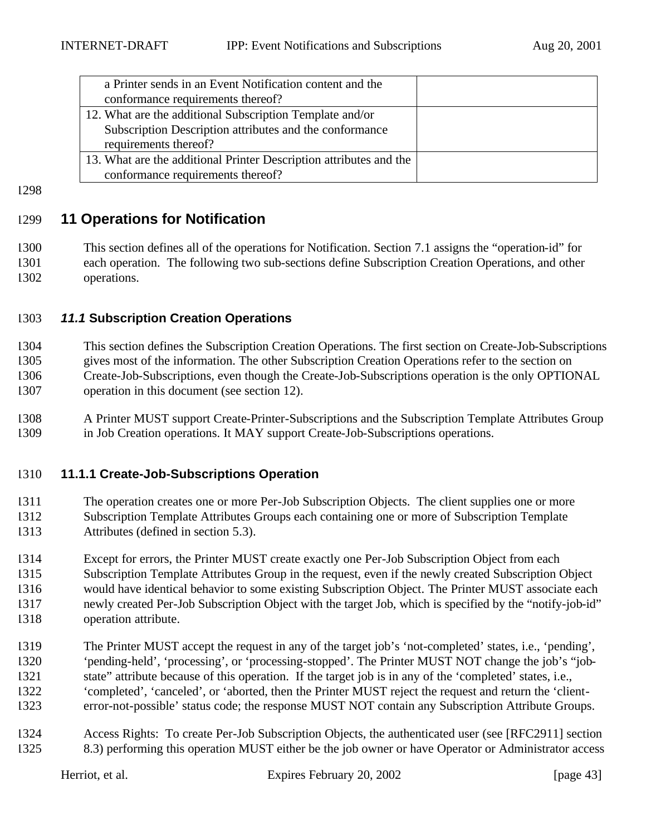| a Printer sends in an Event Notification content and the           |  |
|--------------------------------------------------------------------|--|
| conformance requirements thereof?                                  |  |
| 12. What are the additional Subscription Template and/or           |  |
| Subscription Description attributes and the conformance            |  |
| requirements thereof?                                              |  |
| 13. What are the additional Printer Description attributes and the |  |
| conformance requirements thereof?                                  |  |

# **11 Operations for Notification**

 This section defines all of the operations for Notification. Section 7.1 assigns the "operation-id" for each operation. The following two sub-sections define Subscription Creation Operations, and other operations.

#### *11.1* **Subscription Creation Operations**

 This section defines the Subscription Creation Operations. The first section on Create-Job-Subscriptions gives most of the information. The other Subscription Creation Operations refer to the section on Create-Job-Subscriptions, even though the Create-Job-Subscriptions operation is the only OPTIONAL operation in this document (see section 12).

 A Printer MUST support Create-Printer-Subscriptions and the Subscription Template Attributes Group in Job Creation operations. It MAY support Create-Job-Subscriptions operations.

#### **11.1.1 Create-Job-Subscriptions Operation**

 The operation creates one or more Per-Job Subscription Objects. The client supplies one or more Subscription Template Attributes Groups each containing one or more of Subscription Template Attributes (defined in section 5.3).

 Except for errors, the Printer MUST create exactly one Per-Job Subscription Object from each Subscription Template Attributes Group in the request, even if the newly created Subscription Object would have identical behavior to some existing Subscription Object. The Printer MUST associate each newly created Per-Job Subscription Object with the target Job, which is specified by the "notify-job-id" operation attribute.

- The Printer MUST accept the request in any of the target job's 'not-completed' states, i.e., 'pending', 'pending-held', 'processing', or 'processing-stopped'. The Printer MUST NOT change the job's "job- state" attribute because of this operation. If the target job is in any of the 'completed' states, i.e., 'completed', 'canceled', or 'aborted, then the Printer MUST reject the request and return the 'client-error-not-possible' status code; the response MUST NOT contain any Subscription Attribute Groups.
- Access Rights: To create Per-Job Subscription Objects, the authenticated user (see [RFC2911] section 8.3) performing this operation MUST either be the job owner or have Operator or Administrator access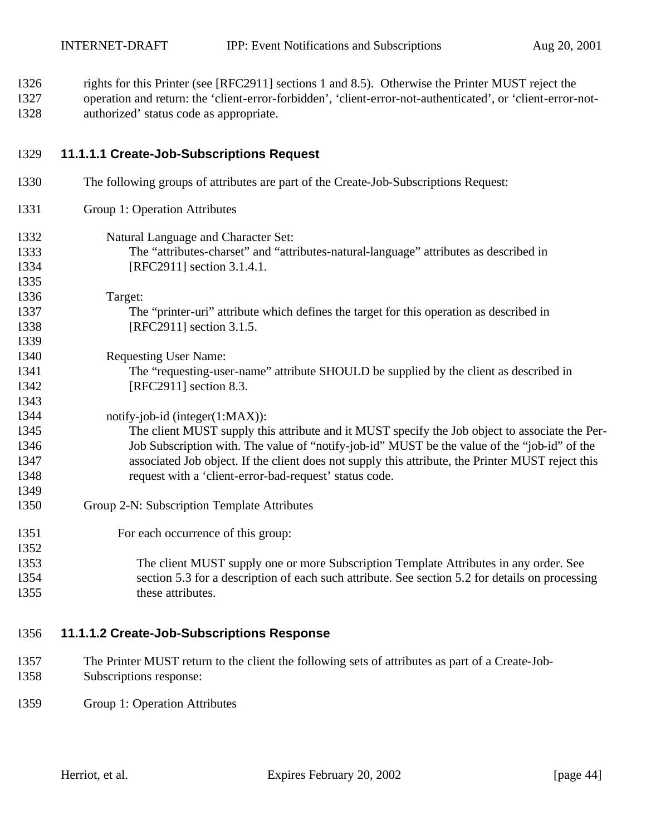rights for this Printer (see [RFC2911] sections 1 and 8.5). Otherwise the Printer MUST reject the operation and return: the 'client-error-forbidden', 'client-error-not-authenticated', or 'client-error-not-

authorized' status code as appropriate.

# **11.1.1.1 Create-Job-Subscriptions Request**

 Group 1: Operation Attributes Natural Language and Character Set: The "attributes-charset" and "attributes-natural-language" attributes as described in [RFC2911] section 3.1.4.1. Target: The "printer-uri" attribute which defines the target for this operation as described in [RFC2911] section 3.1.5. 

The following groups of attributes are part of the Create-Job-Subscriptions Request:

 Requesting User Name: The "requesting-user-name" attribute SHOULD be supplied by the client as described in [RFC2911] section 8.3.

# notify-job-id (integer(1:MAX)):

- The client MUST supply this attribute and it MUST specify the Job object to associate the Per- Job Subscription with. The value of "notify-job-id" MUST be the value of the "job-id" of the associated Job object. If the client does not supply this attribute, the Printer MUST reject this request with a 'client-error-bad-request' status code.
- Group 2-N: Subscription Template Attributes
- 1351 For each occurrence of this group:
- The client MUST supply one or more Subscription Template Attributes in any order. See section 5.3 for a description of each such attribute. See section 5.2 for details on processing 1355 these attributes.

### **11.1.1.2 Create-Job-Subscriptions Response**

- The Printer MUST return to the client the following sets of attributes as part of a Create-Job-Subscriptions response:
- Group 1: Operation Attributes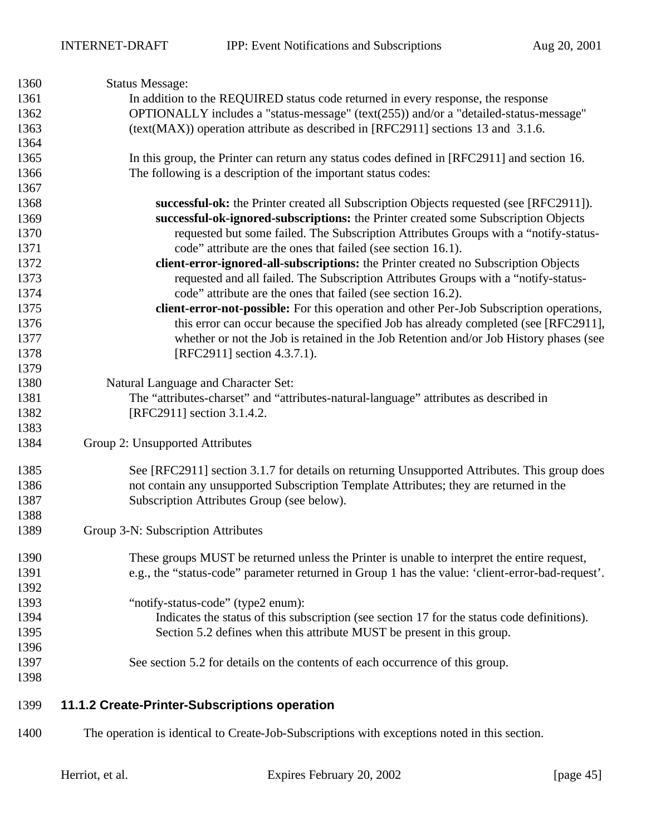| 1360         | <b>Status Message:</b>                                                                           |  |  |  |
|--------------|--------------------------------------------------------------------------------------------------|--|--|--|
| 1361         | In addition to the REQUIRED status code returned in every response, the response                 |  |  |  |
| 1362         | OPTIONALLY includes a "status-message" (text(255)) and/or a "detailed-status-message"            |  |  |  |
| 1363         | (text(MAX)) operation attribute as described in [RFC2911] sections 13 and 3.1.6.                 |  |  |  |
| 1364         |                                                                                                  |  |  |  |
| 1365         | In this group, the Printer can return any status codes defined in [RFC2911] and section 16.      |  |  |  |
| 1366         | The following is a description of the important status codes:                                    |  |  |  |
| 1367         |                                                                                                  |  |  |  |
| 1368         | successful-ok: the Printer created all Subscription Objects requested (see [RFC2911]).           |  |  |  |
| 1369         | successful-ok-ignored-subscriptions: the Printer created some Subscription Objects               |  |  |  |
| 1370         | requested but some failed. The Subscription Attributes Groups with a "notify-status-             |  |  |  |
| 1371         | code" attribute are the ones that failed (see section 16.1).                                     |  |  |  |
| 1372         | client-error-ignored-all-subscriptions: the Printer created no Subscription Objects              |  |  |  |
| 1373         | requested and all failed. The Subscription Attributes Groups with a "notify-status-              |  |  |  |
| 1374         | code" attribute are the ones that failed (see section 16.2).                                     |  |  |  |
| 1375         | client-error-not-possible: For this operation and other Per-Job Subscription operations,         |  |  |  |
| 1376         | this error can occur because the specified Job has already completed (see [RFC2911],             |  |  |  |
| 1377         | whether or not the Job is retained in the Job Retention and/or Job History phases (see           |  |  |  |
| 1378         | [RFC2911] section 4.3.7.1).                                                                      |  |  |  |
| 1379         |                                                                                                  |  |  |  |
| 1380         | Natural Language and Character Set:                                                              |  |  |  |
| 1381         | The "attributes-charset" and "attributes-natural-language" attributes as described in            |  |  |  |
| 1382         | [RFC2911] section 3.1.4.2.                                                                       |  |  |  |
| 1383         |                                                                                                  |  |  |  |
| 1384         | Group 2: Unsupported Attributes                                                                  |  |  |  |
|              |                                                                                                  |  |  |  |
| 1385         | See [RFC2911] section 3.1.7 for details on returning Unsupported Attributes. This group does     |  |  |  |
| 1386         | not contain any unsupported Subscription Template Attributes; they are returned in the           |  |  |  |
| 1387         | Subscription Attributes Group (see below).                                                       |  |  |  |
| 1388<br>1389 | Group 3-N: Subscription Attributes                                                               |  |  |  |
|              |                                                                                                  |  |  |  |
| 1390         | These groups MUST be returned unless the Printer is unable to interpret the entire request,      |  |  |  |
| 1391         | e.g., the "status-code" parameter returned in Group 1 has the value: 'client-error-bad-request'. |  |  |  |
| 1392         |                                                                                                  |  |  |  |
| 1393         | "notify-status-code" (type2 enum):                                                               |  |  |  |
| 1394         | Indicates the status of this subscription (see section 17 for the status code definitions).      |  |  |  |
| 1395         | Section 5.2 defines when this attribute MUST be present in this group.                           |  |  |  |
| 1396         |                                                                                                  |  |  |  |
| 1397         | See section 5.2 for details on the contents of each occurrence of this group.                    |  |  |  |
| 1398         |                                                                                                  |  |  |  |
| 1399         | 11.1.2 Create-Printer-Subscriptions operation                                                    |  |  |  |
| 1400         | The operation is identical to Create-Job-Subscriptions with exceptions noted in this section.    |  |  |  |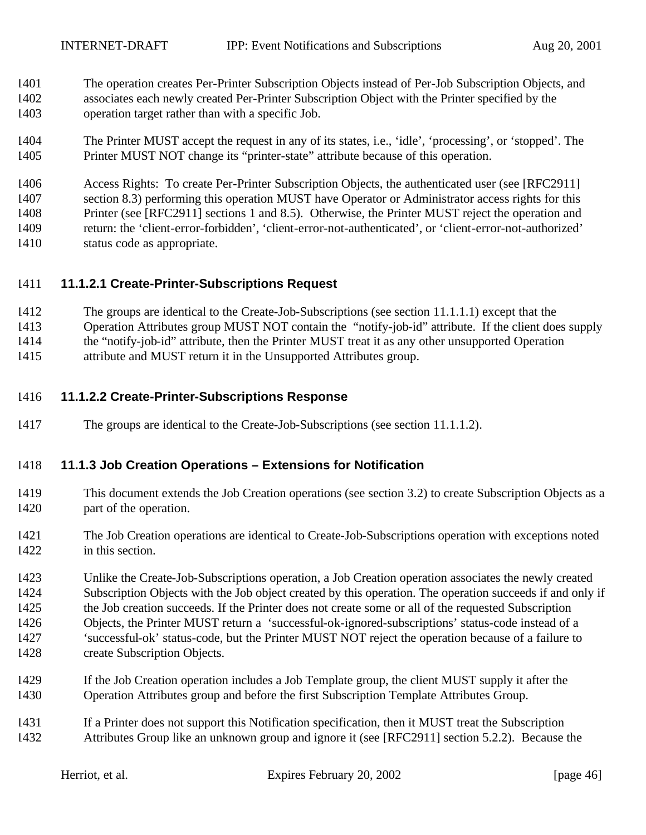- The operation creates Per-Printer Subscription Objects instead of Per-Job Subscription Objects, and associates each newly created Per-Printer Subscription Object with the Printer specified by the operation target rather than with a specific Job.
- The Printer MUST accept the request in any of its states, i.e., 'idle', 'processing', or 'stopped'. The Printer MUST NOT change its "printer-state" attribute because of this operation.

 Access Rights: To create Per-Printer Subscription Objects, the authenticated user (see [RFC2911] section 8.3) performing this operation MUST have Operator or Administrator access rights for this Printer (see [RFC2911] sections 1 and 8.5). Otherwise, the Printer MUST reject the operation and return: the 'client-error-forbidden', 'client-error-not-authenticated', or 'client-error-not-authorized' status code as appropriate.

#### **11.1.2.1 Create-Printer-Subscriptions Request**

- The groups are identical to the Create-Job-Subscriptions (see section 11.1.1.1) except that the
- Operation Attributes group MUST NOT contain the "notify-job-id" attribute. If the client does supply
- the "notify-job-id" attribute, then the Printer MUST treat it as any other unsupported Operation
- attribute and MUST return it in the Unsupported Attributes group.

#### **11.1.2.2 Create-Printer-Subscriptions Response**

The groups are identical to the Create-Job-Subscriptions (see section 11.1.1.2).

#### **11.1.3 Job Creation Operations – Extensions for Notification**

- This document extends the Job Creation operations (see section 3.2) to create Subscription Objects as a part of the operation.
- The Job Creation operations are identical to Create-Job-Subscriptions operation with exceptions noted in this section.

 Unlike the Create-Job-Subscriptions operation, a Job Creation operation associates the newly created Subscription Objects with the Job object created by this operation. The operation succeeds if and only if the Job creation succeeds. If the Printer does not create some or all of the requested Subscription Objects, the Printer MUST return a 'successful-ok-ignored-subscriptions' status-code instead of a 'successful-ok' status-code, but the Printer MUST NOT reject the operation because of a failure to create Subscription Objects.

- If the Job Creation operation includes a Job Template group, the client MUST supply it after the Operation Attributes group and before the first Subscription Template Attributes Group.
- If a Printer does not support this Notification specification, then it MUST treat the Subscription Attributes Group like an unknown group and ignore it (see [RFC2911] section 5.2.2). Because the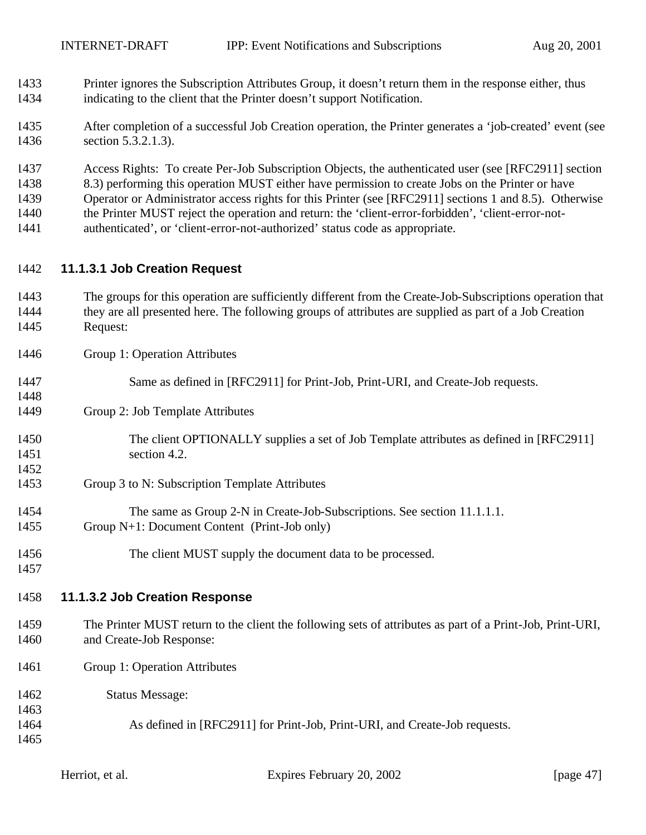- Printer ignores the Subscription Attributes Group, it doesn't return them in the response either, thus indicating to the client that the Printer doesn't support Notification.
- After completion of a successful Job Creation operation, the Printer generates a 'job-created' event (see section 5.3.2.1.3).
- Access Rights: To create Per-Job Subscription Objects, the authenticated user (see [RFC2911] section
- 8.3) performing this operation MUST either have permission to create Jobs on the Printer or have
- Operator or Administrator access rights for this Printer (see [RFC2911] sections 1 and 8.5). Otherwise
- the Printer MUST reject the operation and return: the 'client-error-forbidden', 'client-error-not-
- authenticated', or 'client-error-not-authorized' status code as appropriate.

#### **11.1.3.1 Job Creation Request**

- The groups for this operation are sufficiently different from the Create-Job-Subscriptions operation that they are all presented here. The following groups of attributes are supplied as part of a Job Creation Request:
- Group 1: Operation Attributes
- Same as defined in [RFC2911] for Print-Job, Print-URI, and Create-Job requests.
- Group 2: Job Template Attributes
- The client OPTIONALLY supplies a set of Job Template attributes as defined in [RFC2911] 1451 section 4.2.
- Group 3 to N: Subscription Template Attributes
- The same as Group 2-N in Create-Job-Subscriptions. See section 11.1.1.1. Group N+1: Document Content (Print-Job only)
- The client MUST supply the document data to be processed.
- 

### **11.1.3.2 Job Creation Response**

- The Printer MUST return to the client the following sets of attributes as part of a Print-Job, Print-URI, and Create-Job Response:
- Group 1: Operation Attributes
- Status Message:
- As defined in [RFC2911] for Print-Job, Print-URI, and Create-Job requests.
- 

Herriot, et al. Expires February 20, 2002 [page 47]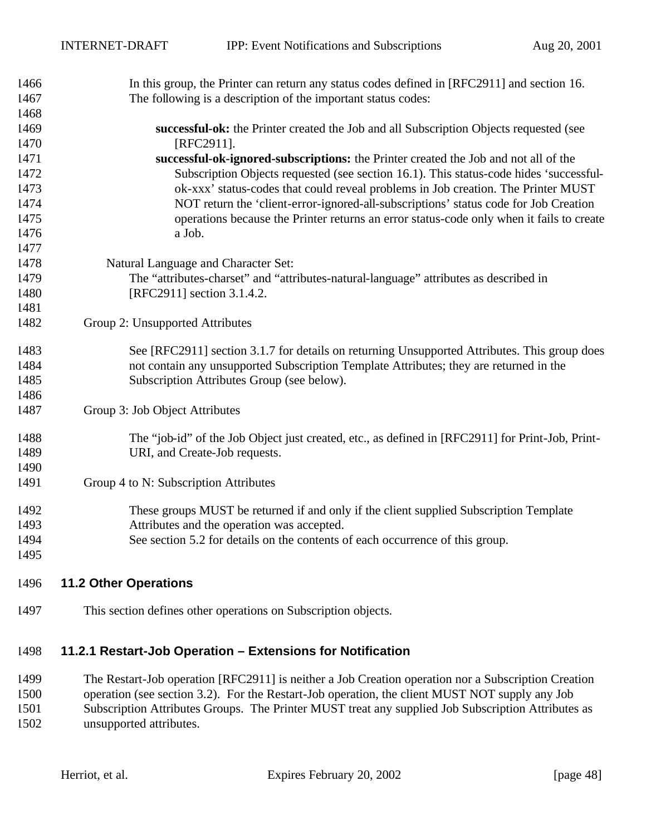| 1466 | In this group, the Printer can return any status codes defined in [RFC2911] and section 16.      |  |  |  |
|------|--------------------------------------------------------------------------------------------------|--|--|--|
| 1467 | The following is a description of the important status codes:                                    |  |  |  |
| 1468 |                                                                                                  |  |  |  |
| 1469 | successful-ok: the Printer created the Job and all Subscription Objects requested (see           |  |  |  |
| 1470 | [RFC2911].                                                                                       |  |  |  |
| 1471 | successful-ok-ignored-subscriptions: the Printer created the Job and not all of the              |  |  |  |
| 1472 | Subscription Objects requested (see section 16.1). This status-code hides 'successful-           |  |  |  |
| 1473 | ok-xxx' status-codes that could reveal problems in Job creation. The Printer MUST                |  |  |  |
| 1474 | NOT return the 'client-error-ignored-all-subscriptions' status code for Job Creation             |  |  |  |
| 1475 | operations because the Printer returns an error status-code only when it fails to create         |  |  |  |
| 1476 | a Job.                                                                                           |  |  |  |
| 1477 |                                                                                                  |  |  |  |
| 1478 | Natural Language and Character Set:                                                              |  |  |  |
| 1479 | The "attributes-charset" and "attributes-natural-language" attributes as described in            |  |  |  |
| 1480 | [RFC2911] section 3.1.4.2.                                                                       |  |  |  |
| 1481 |                                                                                                  |  |  |  |
| 1482 | Group 2: Unsupported Attributes                                                                  |  |  |  |
| 1483 | See [RFC2911] section 3.1.7 for details on returning Unsupported Attributes. This group does     |  |  |  |
| 1484 | not contain any unsupported Subscription Template Attributes; they are returned in the           |  |  |  |
| 1485 | Subscription Attributes Group (see below).                                                       |  |  |  |
| 1486 |                                                                                                  |  |  |  |
| 1487 | Group 3: Job Object Attributes                                                                   |  |  |  |
| 1488 | The "job-id" of the Job Object just created, etc., as defined in [RFC2911] for Print-Job, Print- |  |  |  |
| 1489 | URI, and Create-Job requests.                                                                    |  |  |  |
| 1490 |                                                                                                  |  |  |  |
| 1491 | Group 4 to N: Subscription Attributes                                                            |  |  |  |
| 1492 | These groups MUST be returned if and only if the client supplied Subscription Template           |  |  |  |
| 1493 | Attributes and the operation was accepted.                                                       |  |  |  |
| 1494 | See section 5.2 for details on the contents of each occurrence of this group.                    |  |  |  |
| 1495 |                                                                                                  |  |  |  |
|      |                                                                                                  |  |  |  |

- **11.2 Other Operations**
- This section defines other operations on Subscription objects.

# **11.2.1 Restart-Job Operation – Extensions for Notification**

 The Restart-Job operation [RFC2911] is neither a Job Creation operation nor a Subscription Creation operation (see section 3.2). For the Restart-Job operation, the client MUST NOT supply any Job Subscription Attributes Groups. The Printer MUST treat any supplied Job Subscription Attributes as unsupported attributes.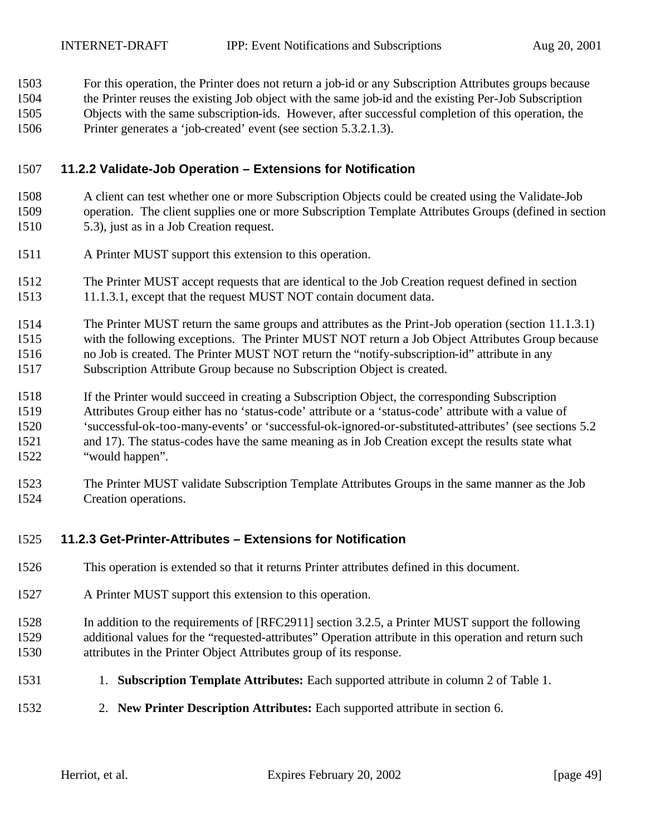For this operation, the Printer does not return a job-id or any Subscription Attributes groups because

- the Printer reuses the existing Job object with the same job-id and the existing Per-Job Subscription
- Objects with the same subscription-ids. However, after successful completion of this operation, the
- Printer generates a 'job-created' event (see section 5.3.2.1.3).

#### **11.2.2 Validate-Job Operation – Extensions for Notification**

- A client can test whether one or more Subscription Objects could be created using the Validate-Job operation. The client supplies one or more Subscription Template Attributes Groups (defined in section 5.3), just as in a Job Creation request.
- A Printer MUST support this extension to this operation.
- The Printer MUST accept requests that are identical to the Job Creation request defined in section 11.1.3.1, except that the request MUST NOT contain document data.
- The Printer MUST return the same groups and attributes as the Print-Job operation (section 11.1.3.1) with the following exceptions. The Printer MUST NOT return a Job Object Attributes Group because no Job is created. The Printer MUST NOT return the "notify-subscription-id" attribute in any Subscription Attribute Group because no Subscription Object is created.
- If the Printer would succeed in creating a Subscription Object, the corresponding Subscription Attributes Group either has no 'status-code' attribute or a 'status-code' attribute with a value of 'successful-ok-too-many-events' or 'successful-ok-ignored-or-substituted-attributes' (see sections 5.2 and 17). The status-codes have the same meaning as in Job Creation except the results state what "would happen".
- The Printer MUST validate Subscription Template Attributes Groups in the same manner as the Job Creation operations.

### **11.2.3 Get-Printer-Attributes – Extensions for Notification**

- This operation is extended so that it returns Printer attributes defined in this document.
- A Printer MUST support this extension to this operation.
- In addition to the requirements of [RFC2911] section 3.2.5, a Printer MUST support the following additional values for the "requested-attributes" Operation attribute in this operation and return such attributes in the Printer Object Attributes group of its response.
- 1. **Subscription Template Attributes:** Each supported attribute in column 2 of Table 1.
- 2. **New Printer Description Attributes:** Each supported attribute in section 6.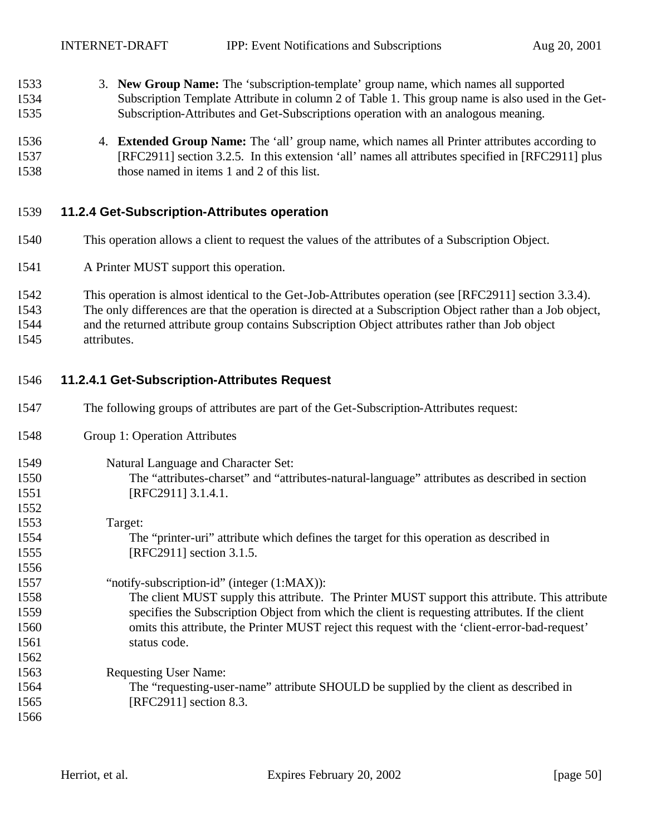INTERNET-DRAFT IPP: Event Notifications and Subscriptions Aug 20, 2001

- 3. **New Group Name:** The 'subscription-template' group name, which names all supported Subscription Template Attribute in column 2 of Table 1. This group name is also used in the Get-Subscription-Attributes and Get-Subscriptions operation with an analogous meaning.
- 4. **Extended Group Name:** The 'all' group name, which names all Printer attributes according to [RFC2911] section 3.2.5. In this extension 'all' names all attributes specified in [RFC2911] plus those named in items 1 and 2 of this list.

#### **11.2.4 Get-Subscription-Attributes operation**

- This operation allows a client to request the values of the attributes of a Subscription Object.
- A Printer MUST support this operation.
- This operation is almost identical to the Get-Job-Attributes operation (see [RFC2911] section 3.3.4).
- The only differences are that the operation is directed at a Subscription Object rather than a Job object,
- and the returned attribute group contains Subscription Object attributes rather than Job object attributes.

#### **11.2.4.1 Get-Subscription-Attributes Request**

- The following groups of attributes are part of the Get-Subscription-Attributes request:
- Group 1: Operation Attributes

#### Natural Language and Character Set:

- The "attributes-charset" and "attributes-natural-language" attributes as described in section [RFC2911] 3.1.4.1.
- Target: The "printer-uri" attribute which defines the target for this operation as described in [RFC2911] section 3.1.5.
- "notify-subscription-id" (integer (1:MAX)): The client MUST supply this attribute. The Printer MUST support this attribute. This attribute specifies the Subscription Object from which the client is requesting attributes. If the client omits this attribute, the Printer MUST reject this request with the 'client-error-bad-request' status code.
- Requesting User Name: The "requesting-user-name" attribute SHOULD be supplied by the client as described in [RFC2911] section 8.3.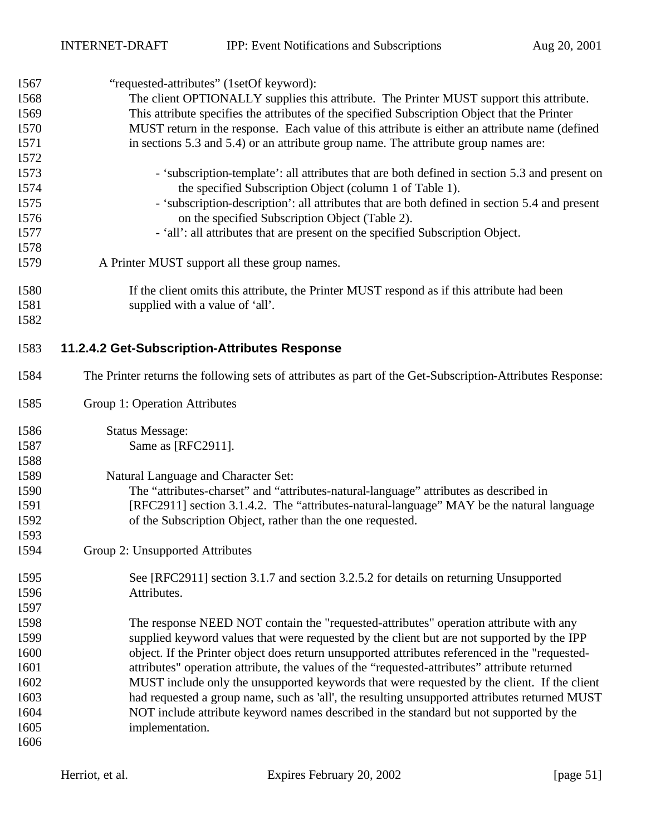| 1567 | "requested-attributes" (1setOf keyword):                                                                  |  |  |  |  |
|------|-----------------------------------------------------------------------------------------------------------|--|--|--|--|
| 1568 | The client OPTIONALLY supplies this attribute. The Printer MUST support this attribute.                   |  |  |  |  |
| 1569 | This attribute specifies the attributes of the specified Subscription Object that the Printer             |  |  |  |  |
| 1570 | MUST return in the response. Each value of this attribute is either an attribute name (defined            |  |  |  |  |
| 1571 | in sections 5.3 and 5.4) or an attribute group name. The attribute group names are:                       |  |  |  |  |
| 1572 |                                                                                                           |  |  |  |  |
| 1573 | - 'subscription-template': all attributes that are both defined in section 5.3 and present on             |  |  |  |  |
| 1574 | the specified Subscription Object (column 1 of Table 1).                                                  |  |  |  |  |
| 1575 | - 'subscription-description': all attributes that are both defined in section 5.4 and present             |  |  |  |  |
| 1576 | on the specified Subscription Object (Table 2).                                                           |  |  |  |  |
| 1577 | - 'all': all attributes that are present on the specified Subscription Object.                            |  |  |  |  |
| 1578 |                                                                                                           |  |  |  |  |
| 1579 | A Printer MUST support all these group names.                                                             |  |  |  |  |
| 1580 | If the client omits this attribute, the Printer MUST respond as if this attribute had been                |  |  |  |  |
| 1581 | supplied with a value of 'all'.                                                                           |  |  |  |  |
| 1582 |                                                                                                           |  |  |  |  |
| 1583 | 11.2.4.2 Get-Subscription-Attributes Response                                                             |  |  |  |  |
| 1584 | The Printer returns the following sets of attributes as part of the Get-Subscription-Attributes Response: |  |  |  |  |
| 1585 | Group 1: Operation Attributes                                                                             |  |  |  |  |
| 1586 | <b>Status Message:</b>                                                                                    |  |  |  |  |
| 1587 | Same as [RFC2911].                                                                                        |  |  |  |  |
| 1588 |                                                                                                           |  |  |  |  |
| 1589 | Natural Language and Character Set:                                                                       |  |  |  |  |
| 1590 | The "attributes-charset" and "attributes-natural-language" attributes as described in                     |  |  |  |  |
| 1591 | [RFC2911] section 3.1.4.2. The "attributes-natural-language" MAY be the natural language                  |  |  |  |  |
| 1592 | of the Subscription Object, rather than the one requested.                                                |  |  |  |  |
| 1593 |                                                                                                           |  |  |  |  |
| 1594 | Group 2: Unsupported Attributes                                                                           |  |  |  |  |
| 1595 | See [RFC2911] section 3.1.7 and section 3.2.5.2 for details on returning Unsupported                      |  |  |  |  |
| 1596 | Attributes.                                                                                               |  |  |  |  |
| 1597 |                                                                                                           |  |  |  |  |
| 1598 | The response NEED NOT contain the "requested-attributes" operation attribute with any                     |  |  |  |  |
| 1599 | supplied keyword values that were requested by the client but are not supported by the IPP                |  |  |  |  |
| 1600 | object. If the Printer object does return unsupported attributes referenced in the "requested-            |  |  |  |  |
| 1601 | attributes" operation attribute, the values of the "requested-attributes" attribute returned              |  |  |  |  |
| 1602 | MUST include only the unsupported keywords that were requested by the client. If the client               |  |  |  |  |
| 1603 | had requested a group name, such as 'all', the resulting unsupported attributes returned MUST             |  |  |  |  |
| 1604 | NOT include attribute keyword names described in the standard but not supported by the                    |  |  |  |  |
| 1605 | implementation.                                                                                           |  |  |  |  |
| 1606 |                                                                                                           |  |  |  |  |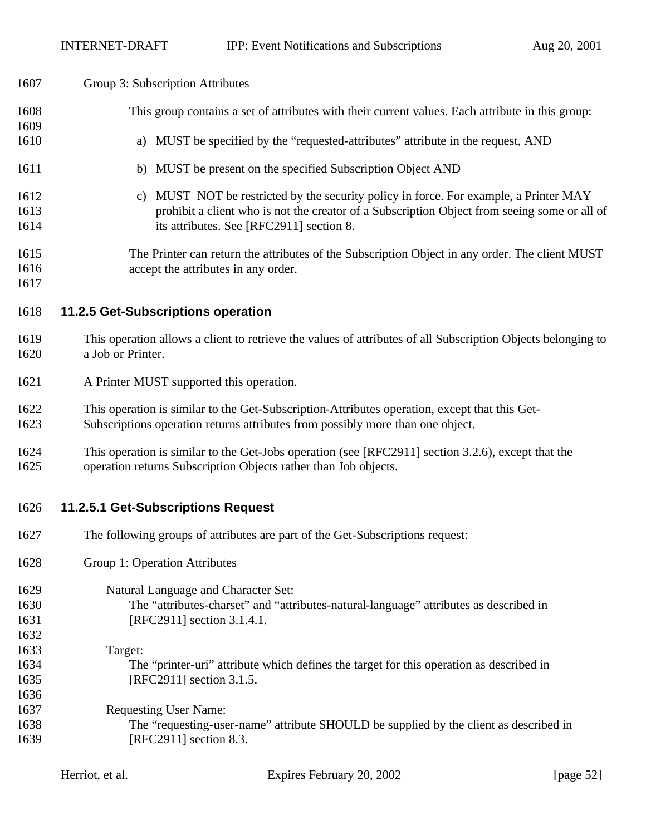#### Group 3: Subscription Attributes

- This group contains a set of attributes with their current values. Each attribute in this group:
- a) MUST be specified by the "requested-attributes" attribute in the request, AND
- 1611 b) MUST be present on the specified Subscription Object AND
- c) MUST NOT be restricted by the security policy in force. For example, a Printer MAY prohibit a client who is not the creator of a Subscription Object from seeing some or all of its attributes. See [RFC2911] section 8.
- The Printer can return the attributes of the Subscription Object in any order. The client MUST accept the attributes in any order.

**11.2.5 Get-Subscriptions operation**

- This operation allows a client to retrieve the values of attributes of all Subscription Objects belonging to a Job or Printer.
- A Printer MUST supported this operation.
- This operation is similar to the Get-Subscription-Attributes operation, except that this Get-
- Subscriptions operation returns attributes from possibly more than one object.
- This operation is similar to the Get-Jobs operation (see [RFC2911] section 3.2.6), except that the operation returns Subscription Objects rather than Job objects.
- **11.2.5.1 Get-Subscriptions Request**
- The following groups of attributes are part of the Get-Subscriptions request:
- Group 1: Operation Attributes
- Natural Language and Character Set: The "attributes-charset" and "attributes-natural-language" attributes as described in 1631 [RFC2911] section 3.1.4.1.
- Target: The "printer-uri" attribute which defines the target for this operation as described in [RFC2911] section 3.1.5. Requesting User Name:
- The "requesting-user-name" attribute SHOULD be supplied by the client as described in [RFC2911] section 8.3.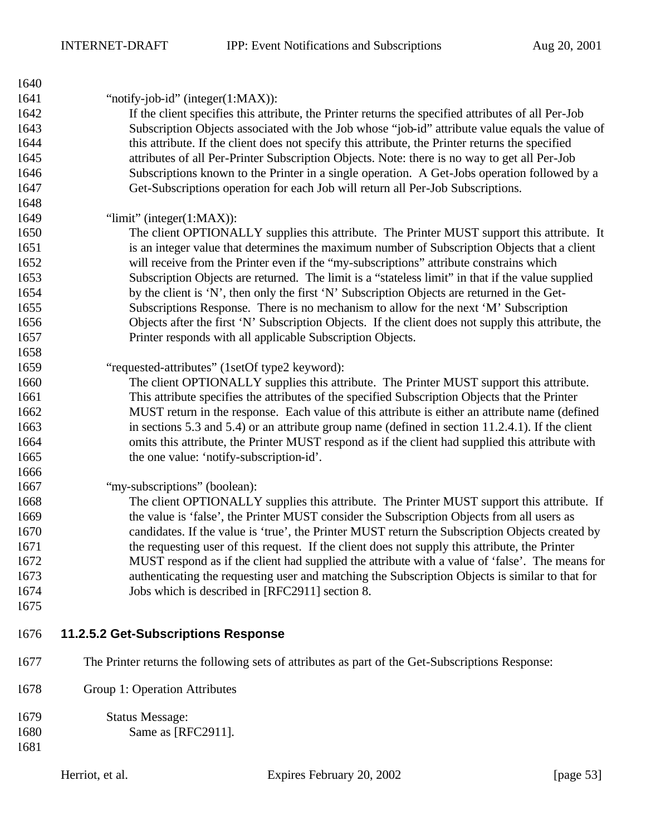| 1640 |                                                                                                     |
|------|-----------------------------------------------------------------------------------------------------|
| 1641 | "notify-job-id" (integer $(1:MAX)$ ):                                                               |
| 1642 | If the client specifies this attribute, the Printer returns the specified attributes of all Per-Job |
| 1643 | Subscription Objects associated with the Job whose "job-id" attribute value equals the value of     |
| 1644 | this attribute. If the client does not specify this attribute, the Printer returns the specified    |
| 1645 | attributes of all Per-Printer Subscription Objects. Note: there is no way to get all Per-Job        |
| 1646 | Subscriptions known to the Printer in a single operation. A Get-Jobs operation followed by a        |
| 1647 | Get-Subscriptions operation for each Job will return all Per-Job Subscriptions.                     |
| 1648 |                                                                                                     |
| 1649 | " $\lim$ it" (integer $(1:MAX)$ ):                                                                  |
| 1650 | The client OPTIONALLY supplies this attribute. The Printer MUST support this attribute. It          |
| 1651 | is an integer value that determines the maximum number of Subscription Objects that a client        |
| 1652 | will receive from the Printer even if the "my-subscriptions" attribute constrains which             |
| 1653 | Subscription Objects are returned. The limit is a "stateless limit" in that if the value supplied   |
| 1654 | by the client is 'N', then only the first 'N' Subscription Objects are returned in the Get-         |
| 1655 | Subscriptions Response. There is no mechanism to allow for the next 'M' Subscription                |
| 1656 | Objects after the first 'N' Subscription Objects. If the client does not supply this attribute, the |
| 1657 | Printer responds with all applicable Subscription Objects.                                          |
| 1658 |                                                                                                     |
| 1659 | "requested-attributes" (1setOf type2 keyword):                                                      |
| 1660 | The client OPTIONALLY supplies this attribute. The Printer MUST support this attribute.             |
| 1661 | This attribute specifies the attributes of the specified Subscription Objects that the Printer      |
| 1662 | MUST return in the response. Each value of this attribute is either an attribute name (defined      |
| 1663 | in sections 5.3 and 5.4) or an attribute group name (defined in section $11.2.4.1$ ). If the client |
| 1664 | omits this attribute, the Printer MUST respond as if the client had supplied this attribute with    |
| 1665 | the one value: 'notify-subscription-id'.                                                            |
| 1666 |                                                                                                     |
| 1667 | "my-subscriptions" (boolean):                                                                       |
| 1668 | The client OPTIONALLY supplies this attribute. The Printer MUST support this attribute. If          |
| 1669 | the value is 'false', the Printer MUST consider the Subscription Objects from all users as          |
| 1670 | candidates. If the value is 'true', the Printer MUST return the Subscription Objects created by     |
| 1671 | the requesting user of this request. If the client does not supply this attribute, the Printer      |
| 1672 | MUST respond as if the client had supplied the attribute with a value of 'false'. The means for     |
| 1673 | authenticating the requesting user and matching the Subscription Objects is similar to that for     |
| 1674 | Jobs which is described in [RFC2911] section 8.                                                     |
| 1675 |                                                                                                     |
| 1676 | 11.2.5.2 Get-Subscriptions Response                                                                 |
| 1677 | The Printer returns the following sets of attributes as part of the Get-Subscriptions Response:     |
| 1678 | Group 1: Operation Attributes                                                                       |
| 1679 | <b>Status Message:</b>                                                                              |
| 1680 | Same as [RFC2911].                                                                                  |
| 1681 |                                                                                                     |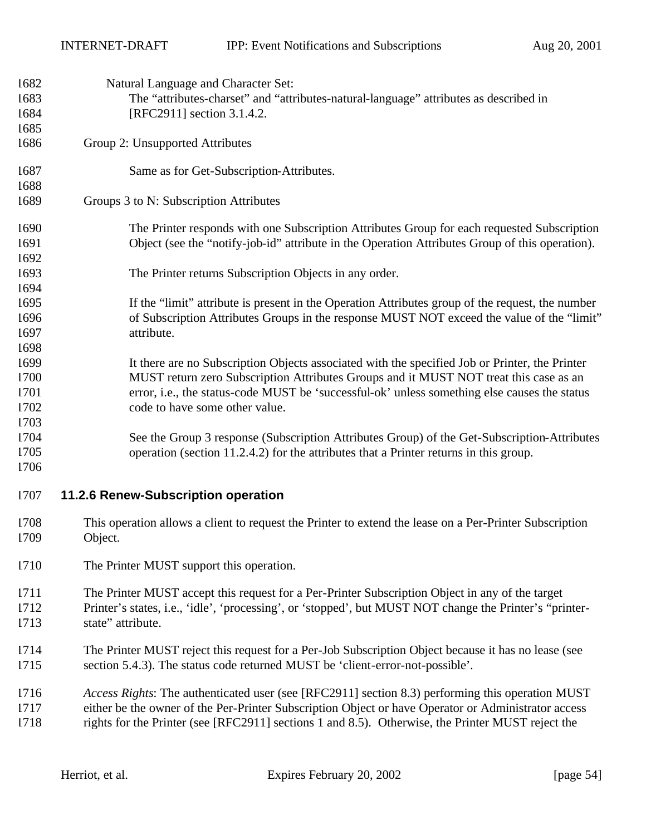| 1682         | Natural Language and Character Set:                                                                                                                                                            |  |  |  |  |
|--------------|------------------------------------------------------------------------------------------------------------------------------------------------------------------------------------------------|--|--|--|--|
| 1683         | The "attributes-charset" and "attributes-natural-language" attributes as described in                                                                                                          |  |  |  |  |
| 1684         | [RFC2911] section 3.1.4.2.                                                                                                                                                                     |  |  |  |  |
| 1685         |                                                                                                                                                                                                |  |  |  |  |
| 1686         | Group 2: Unsupported Attributes                                                                                                                                                                |  |  |  |  |
| 1687         | Same as for Get-Subscription-Attributes.                                                                                                                                                       |  |  |  |  |
| 1688<br>1689 | Groups 3 to N: Subscription Attributes                                                                                                                                                         |  |  |  |  |
| 1690         | The Printer responds with one Subscription Attributes Group for each requested Subscription                                                                                                    |  |  |  |  |
| 1691<br>1692 | Object (see the "notify-job-id" attribute in the Operation Attributes Group of this operation).                                                                                                |  |  |  |  |
| 1693         | The Printer returns Subscription Objects in any order.                                                                                                                                         |  |  |  |  |
| 1694         |                                                                                                                                                                                                |  |  |  |  |
| 1695<br>1696 | If the "limit" attribute is present in the Operation Attributes group of the request, the number<br>of Subscription Attributes Groups in the response MUST NOT exceed the value of the "limit" |  |  |  |  |
| 1697         | attribute.                                                                                                                                                                                     |  |  |  |  |
| 1698         |                                                                                                                                                                                                |  |  |  |  |
| 1699         | It there are no Subscription Objects associated with the specified Job or Printer, the Printer                                                                                                 |  |  |  |  |
| 1700         | MUST return zero Subscription Attributes Groups and it MUST NOT treat this case as an                                                                                                          |  |  |  |  |
| 1701         | error, i.e., the status-code MUST be 'successful-ok' unless something else causes the status                                                                                                   |  |  |  |  |
| 1702         | code to have some other value.                                                                                                                                                                 |  |  |  |  |
| 1703         |                                                                                                                                                                                                |  |  |  |  |
| 1704         | See the Group 3 response (Subscription Attributes Group) of the Get-Subscription-Attributes                                                                                                    |  |  |  |  |
|              |                                                                                                                                                                                                |  |  |  |  |
| 1705         | operation (section 11.2.4.2) for the attributes that a Printer returns in this group.                                                                                                          |  |  |  |  |
| 1706         |                                                                                                                                                                                                |  |  |  |  |
| 1707         | 11.2.6 Renew-Subscription operation                                                                                                                                                            |  |  |  |  |
| 1708<br>1709 | This operation allows a client to request the Printer to extend the lease on a Per-Printer Subscription<br>Object.                                                                             |  |  |  |  |
| 1710         | The Printer MUST support this operation.                                                                                                                                                       |  |  |  |  |
| 1711         | The Printer MUST accept this request for a Per-Printer Subscription Object in any of the target                                                                                                |  |  |  |  |
| 1712         | Printer's states, i.e., 'idle', 'processing', or 'stopped', but MUST NOT change the Printer's "printer-                                                                                        |  |  |  |  |
| 1713         | state" attribute.                                                                                                                                                                              |  |  |  |  |
| 1714<br>1715 | The Printer MUST reject this request for a Per-Job Subscription Object because it has no lease (see<br>section 5.4.3). The status code returned MUST be 'client-error-not-possible'.           |  |  |  |  |
| 1716         | Access Rights: The authenticated user (see [RFC2911] section 8.3) performing this operation MUST                                                                                               |  |  |  |  |
| 1717         | either be the owner of the Per-Printer Subscription Object or have Operator or Administrator access                                                                                            |  |  |  |  |
| 1718         | rights for the Printer (see [RFC2911] sections 1 and 8.5). Otherwise, the Printer MUST reject the                                                                                              |  |  |  |  |
|              |                                                                                                                                                                                                |  |  |  |  |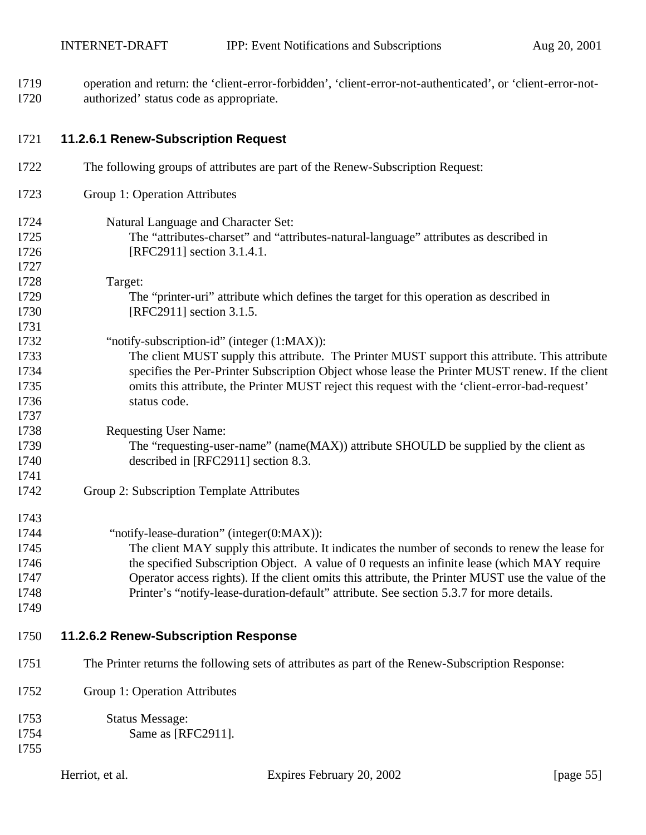operation and return: the 'client-error-forbidden', 'client-error-not-authenticated', or 'client-error-not-authorized' status code as appropriate.

| 1721 | 11.2.6.1 Renew-Subscription Request |
|------|-------------------------------------|
|------|-------------------------------------|

| 1722 | The following groups of attributes are part of the Renew-Subscription Request:                     |
|------|----------------------------------------------------------------------------------------------------|
| 1723 | Group 1: Operation Attributes                                                                      |
| 1724 | Natural Language and Character Set:                                                                |
| 1725 | The "attributes-charset" and "attributes-natural-language" attributes as described in              |
| 1726 | [RFC2911] section 3.1.4.1.                                                                         |
| 1727 |                                                                                                    |
| 1728 | Target:                                                                                            |
| 1729 | The "printer-uri" attribute which defines the target for this operation as described in            |
| 1730 | [RFC2911] section 3.1.5.                                                                           |
| 1731 |                                                                                                    |
| 1732 | "notify-subscription-id" (integer (1:MAX)):                                                        |
| 1733 | The client MUST supply this attribute. The Printer MUST support this attribute. This attribute     |
| 1734 | specifies the Per-Printer Subscription Object whose lease the Printer MUST renew. If the client    |
| 1735 | omits this attribute, the Printer MUST reject this request with the 'client-error-bad-request'     |
| 1736 | status code.                                                                                       |
| 1737 |                                                                                                    |
| 1738 | <b>Requesting User Name:</b>                                                                       |
| 1739 | The "requesting-user-name" (name(MAX)) attribute SHOULD be supplied by the client as               |
| 1740 | described in [RFC2911] section 8.3.                                                                |
| 1741 |                                                                                                    |
| 1742 | Group 2: Subscription Template Attributes                                                          |
| 1743 |                                                                                                    |
| 1744 | "notify-lease-duration" (integer(0:MAX)):                                                          |
| 1745 | The client MAY supply this attribute. It indicates the number of seconds to renew the lease for    |
| 1746 | the specified Subscription Object. A value of 0 requests an infinite lease (which MAY require      |
| 1747 | Operator access rights). If the client omits this attribute, the Printer MUST use the value of the |
| 1748 | Printer's "notify-lease-duration-default" attribute. See section 5.3.7 for more details.           |
| 1749 |                                                                                                    |
| 1750 | 11.2.6.2 Renew-Subscription Response                                                               |
| 1751 | The Printer returns the following sets of attributes as part of the Renew-Subscription Response:   |
| 1752 | Group 1: Operation Attributes                                                                      |
| 1753 | <b>Status Message:</b>                                                                             |
| 1754 | Same as [RFC2911].                                                                                 |
| 1755 |                                                                                                    |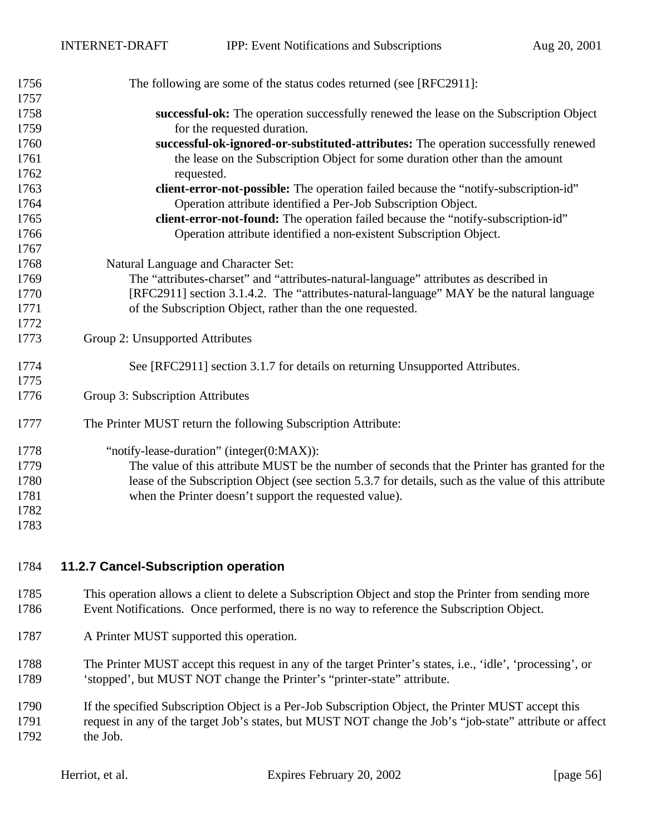| 1756 | The following are some of the status codes returned (see [RFC2911]:                                  |  |  |  |
|------|------------------------------------------------------------------------------------------------------|--|--|--|
| 1757 |                                                                                                      |  |  |  |
| 1758 | successful-ok: The operation successfully renewed the lease on the Subscription Object               |  |  |  |
| 1759 | for the requested duration.                                                                          |  |  |  |
| 1760 | successful-ok-ignored-or-substituted-attributes: The operation successfully renewed                  |  |  |  |
| 1761 | the lease on the Subscription Object for some duration other than the amount                         |  |  |  |
| 1762 | requested.                                                                                           |  |  |  |
| 1763 | client-error-not-possible: The operation failed because the "notify-subscription-id"                 |  |  |  |
| 1764 | Operation attribute identified a Per-Job Subscription Object.                                        |  |  |  |
| 1765 | client-error-not-found: The operation failed because the "notify-subscription-id"                    |  |  |  |
| 1766 | Operation attribute identified a non-existent Subscription Object.                                   |  |  |  |
| 1767 |                                                                                                      |  |  |  |
| 1768 | Natural Language and Character Set:                                                                  |  |  |  |
| 1769 | The "attributes-charset" and "attributes-natural-language" attributes as described in                |  |  |  |
| 1770 | [RFC2911] section 3.1.4.2. The "attributes-natural-language" MAY be the natural language             |  |  |  |
| 1771 | of the Subscription Object, rather than the one requested.                                           |  |  |  |
| 1772 |                                                                                                      |  |  |  |
| 1773 | Group 2: Unsupported Attributes                                                                      |  |  |  |
| 1774 | See [RFC2911] section 3.1.7 for details on returning Unsupported Attributes.                         |  |  |  |
| 1775 |                                                                                                      |  |  |  |
| 1776 | Group 3: Subscription Attributes                                                                     |  |  |  |
| 1777 | The Printer MUST return the following Subscription Attribute:                                        |  |  |  |
| 1778 | "notify-lease-duration" (integer(0:MAX)):                                                            |  |  |  |
| 1779 | The value of this attribute MUST be the number of seconds that the Printer has granted for the       |  |  |  |
| 1780 | lease of the Subscription Object (see section 5.3.7 for details, such as the value of this attribute |  |  |  |
| 1781 | when the Printer doesn't support the requested value).                                               |  |  |  |
| 1782 |                                                                                                      |  |  |  |
| 1783 |                                                                                                      |  |  |  |
|      |                                                                                                      |  |  |  |

- **11.2.7 Cancel-Subscription operation**
- This operation allows a client to delete a Subscription Object and stop the Printer from sending more Event Notifications. Once performed, there is no way to reference the Subscription Object.
- A Printer MUST supported this operation.
- The Printer MUST accept this request in any of the target Printer's states, i.e., 'idle', 'processing', or 'stopped', but MUST NOT change the Printer's "printer-state" attribute.
- If the specified Subscription Object is a Per-Job Subscription Object, the Printer MUST accept this request in any of the target Job's states, but MUST NOT change the Job's "job-state" attribute or affect the Job.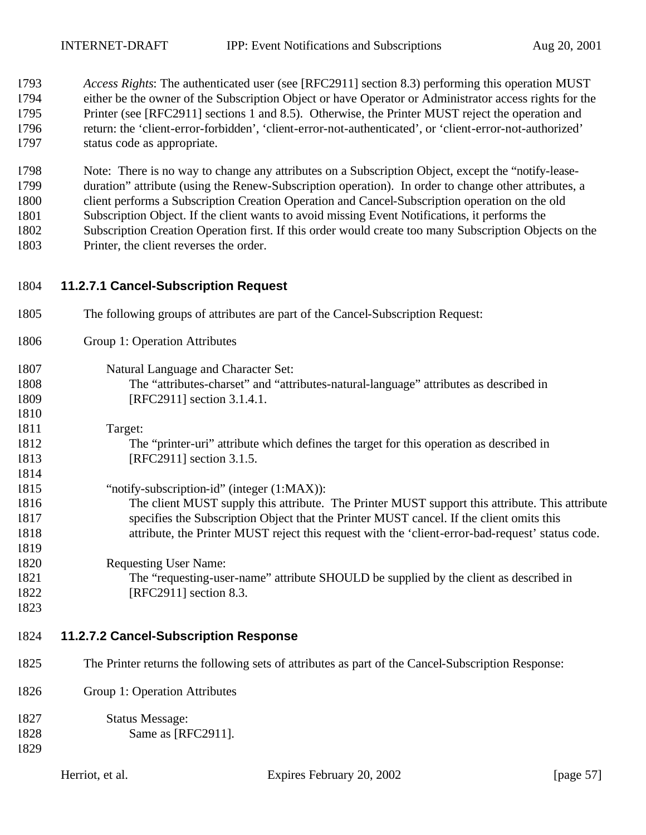*Access Rights*: The authenticated user (see [RFC2911] section 8.3) performing this operation MUST either be the owner of the Subscription Object or have Operator or Administrator access rights for the Printer (see [RFC2911] sections 1 and 8.5). Otherwise, the Printer MUST reject the operation and return: the 'client-error-forbidden', 'client-error-not-authenticated', or 'client-error-not-authorized' status code as appropriate.

 Note: There is no way to change any attributes on a Subscription Object, except the "notify-lease- duration" attribute (using the Renew-Subscription operation). In order to change other attributes, a client performs a Subscription Creation Operation and Cancel-Subscription operation on the old Subscription Object. If the client wants to avoid missing Event Notifications, it performs the Subscription Creation Operation first. If this order would create too many Subscription Objects on the Printer, the client reverses the order.

- **11.2.7.1 Cancel-Subscription Request**
- The following groups of attributes are part of the Cancel-Subscription Request: Group 1: Operation Attributes Natural Language and Character Set: The "attributes-charset" and "attributes-natural-language" attributes as described in 1809 [RFC2911] section 3.1.4.1. Target: The "printer-uri" attribute which defines the target for this operation as described in 1813 [RFC2911] section 3.1.5. "notify-subscription-id" (integer (1:MAX)): The client MUST supply this attribute. The Printer MUST support this attribute. This attribute specifies the Subscription Object that the Printer MUST cancel. If the client omits this attribute, the Printer MUST reject this request with the 'client-error-bad-request' status code. Requesting User Name:
- The "requesting-user-name" attribute SHOULD be supplied by the client as described in 1822 [RFC2911] section 8.3.
- 
- **11.2.7.2 Cancel-Subscription Response**
- The Printer returns the following sets of attributes as part of the Cancel-Subscription Response:
- Group 1: Operation Attributes

| 1827 | <b>Status Message:</b> |
|------|------------------------|
| 1828 | Same as [RFC2911].     |
| 1829 |                        |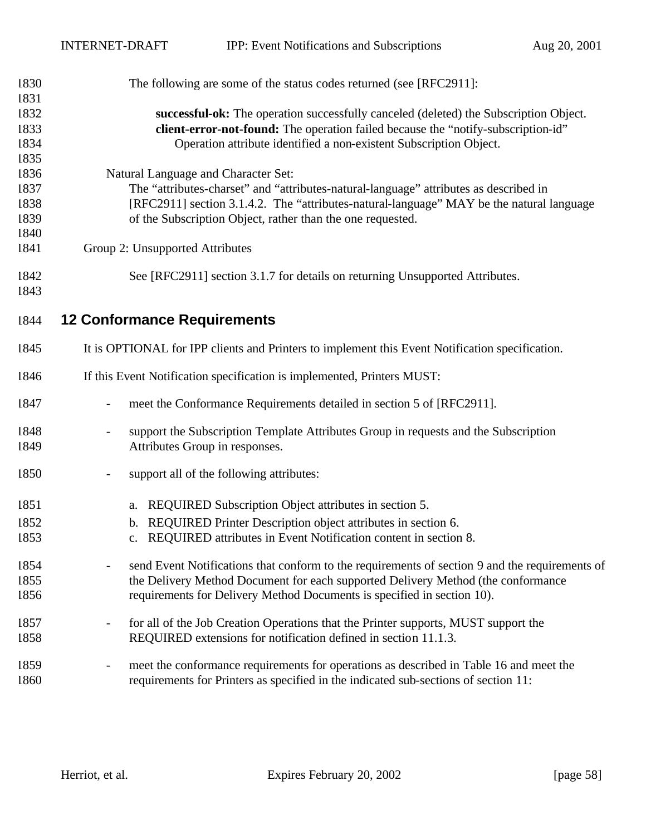| 1830 | The following are some of the status codes returned (see [RFC2911]:                             |  |  |  |
|------|-------------------------------------------------------------------------------------------------|--|--|--|
| 1831 |                                                                                                 |  |  |  |
| 1832 | successful-ok: The operation successfully canceled (deleted) the Subscription Object.           |  |  |  |
| 1833 | client-error-not-found: The operation failed because the "notify-subscription-id"               |  |  |  |
| 1834 | Operation attribute identified a non-existent Subscription Object.                              |  |  |  |
| 1835 |                                                                                                 |  |  |  |
| 1836 | Natural Language and Character Set:                                                             |  |  |  |
| 1837 | The "attributes-charset" and "attributes-natural-language" attributes as described in           |  |  |  |
| 1838 | [RFC2911] section 3.1.4.2. The "attributes-natural-language" MAY be the natural language        |  |  |  |
| 1839 | of the Subscription Object, rather than the one requested.                                      |  |  |  |
| 1840 |                                                                                                 |  |  |  |
| 1841 | Group 2: Unsupported Attributes                                                                 |  |  |  |
| 1842 | See [RFC2911] section 3.1.7 for details on returning Unsupported Attributes.                    |  |  |  |
| 1843 |                                                                                                 |  |  |  |
| 1844 | <b>12 Conformance Requirements</b>                                                              |  |  |  |
| 1845 | It is OPTIONAL for IPP clients and Printers to implement this Event Notification specification. |  |  |  |
| 1846 | If this Event Notification specification is implemented, Printers MUST:                         |  |  |  |
| 1847 | meet the Conformance Requirements detailed in section 5 of [RFC2911].                           |  |  |  |
| 1848 | support the Subscription Template Attributes Group in requests and the Subscription             |  |  |  |
| 1849 | Attributes Group in responses.                                                                  |  |  |  |
| 1850 | support all of the following attributes:                                                        |  |  |  |
| 1851 | REQUIRED Subscription Object attributes in section 5.<br>a.                                     |  |  |  |
| 1852 | REQUIRED Printer Description object attributes in section 6.<br>b.                              |  |  |  |
| 1853 | REQUIRED attributes in Event Notification content in section 8.<br>c.                           |  |  |  |
| 1854 | send Event Notifications that conform to the requirements of section 9 and the requirements of  |  |  |  |
| 1855 | the Delivery Method Document for each supported Delivery Method (the conformance                |  |  |  |
| 1856 | requirements for Delivery Method Documents is specified in section 10).                         |  |  |  |
| 1857 | for all of the Job Creation Operations that the Printer supports, MUST support the              |  |  |  |
| 1858 | REQUIRED extensions for notification defined in section 11.1.3.                                 |  |  |  |
| 1859 | meet the conformance requirements for operations as described in Table 16 and meet the          |  |  |  |
| 1860 | requirements for Printers as specified in the indicated sub-sections of section 11:             |  |  |  |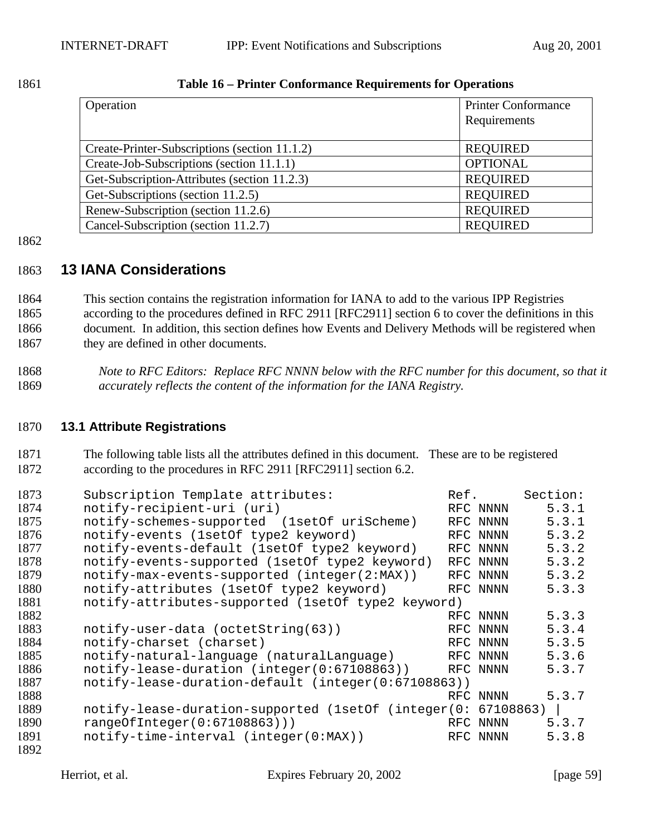| 1861 | <b>Table 16 – Printer Conformance Requirements for Operations</b> |  |  |
|------|-------------------------------------------------------------------|--|--|
|      |                                                                   |  |  |

| Operation                                     | <b>Printer Conformance</b> |
|-----------------------------------------------|----------------------------|
|                                               | Requirements               |
|                                               |                            |
| Create-Printer-Subscriptions (section 11.1.2) | <b>REQUIRED</b>            |
| Create-Job-Subscriptions (section 11.1.1)     | <b>OPTIONAL</b>            |
| Get-Subscription-Attributes (section 11.2.3)  | <b>REQUIRED</b>            |
| Get-Subscriptions (section 11.2.5)            | <b>REQUIRED</b>            |
| Renew-Subscription (section 11.2.6)           | <b>REQUIRED</b>            |
| Cancel-Subscription (section 11.2.7)          | <b>REQUIRED</b>            |

1862

# 1863 **13 IANA Considerations**

 This section contains the registration information for IANA to add to the various IPP Registries according to the procedures defined in RFC 2911 [RFC2911] section 6 to cover the definitions in this document. In addition, this section defines how Events and Delivery Methods will be registered when 1867 they are defined in other documents.

1868 *Note to RFC Editors: Replace RFC NNNN below with the RFC number for this document, so that it*  1869 *accurately reflects the content of the information for the IANA Registry.*

### 1870 **13.1 Attribute Registrations**

1871 The following table lists all the attributes defined in this document. These are to be registered 1872 according to the procedures in RFC 2911 [RFC2911] section 6.2.

| 1873 | Subscription Template attributes:                   | Ref.      | Section: |
|------|-----------------------------------------------------|-----------|----------|
| 1874 | notify-recipient-uri (uri)                          | RFC NNNN  | 5.3.1    |
| 1875 | notify-schemes-supported (1setOf uriScheme)         | RFC NNNN  | 5.3.1    |
| 1876 | notify-events (1setOf type2 keyword)                | RFC NNNN  | 5.3.2    |
| 1877 | notify-events-default (1set of type2 keyword)       | RFC NNNN  | 5.3.2    |
| 1878 | notify-events-supported (1set0f type2 keyword)      | RFC NNNN  | 5.3.2    |
| 1879 | notify-max-events-supported (integer(2:MAX))        | RFC NNNN  | 5.3.2    |
| 1880 | notify-attributes (1setOf type2 keyword)            | RFC NNNN  | 5.3.3    |
| 1881 | notify-attributes-supported (1setOf type2 keyword)  |           |          |
| 1882 |                                                     | RFC NNNN  | 5.3.3    |
| 1883 | notify-user-data (octetString(63))                  | RFC NNNN  | 5.3.4    |
| 1884 | notify-charset (charset)                            | RFC NNNN  | 5.3.5    |
| 1885 | notify-natural-language (naturalLanguage)           | RFC NNNN  | 5.3.6    |
| 1886 | notify-lease-duration (integer(0:67108863))         | RFC NNNN  | 5.3.7    |
| 1887 | notify-lease-duration-default (integer(0:67108863)) |           |          |
| 1888 |                                                     | RFC NNNN  | 5.3.7    |
| 1889 | notify-lease-duration-supported (1setOf (integer(0: | 67108863) |          |
| 1890 | rangeOfInteger(0:67108863))                         | RFC NNNN  | 5.3.7    |
| 1891 | notify-time-interval (integer(0:MAX))               | RFC NNNN  | 5.3.8    |
| 1892 |                                                     |           |          |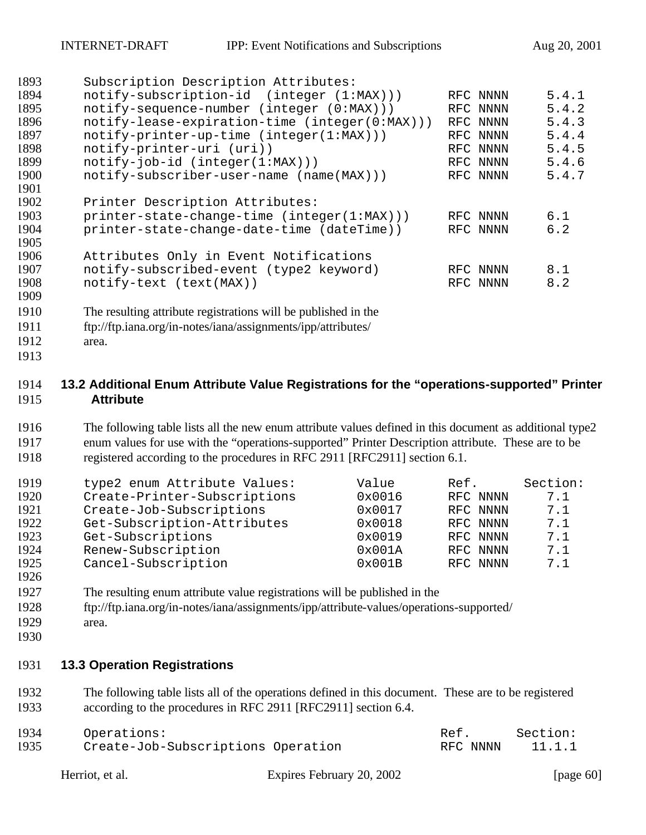| 1893 | Subscription Description Attributes:                           |          |       |
|------|----------------------------------------------------------------|----------|-------|
| 1894 | notify-subscription-id (integer (1:MAX)))                      | RFC NNNN | 5.4.1 |
| 1895 | notify-sequence-number (integer (0:MAX)))                      | RFC NNNN | 5.4.2 |
| 1896 | notify-lease-expiration-time (integer(0:MAX)))                 | RFC NNNN | 5.4.3 |
| 1897 | notify-printer-up-time (integer(1:MAX)))                       | RFC NNNN | 5.4.4 |
| 1898 | notify-printer-uri (uri))                                      | RFC NNNN | 5.4.5 |
| 1899 | $notify-job-id (integer(1:MAX)))$                              | RFC NNNN | 5.4.6 |
| 1900 | notify-subscriber-user-name (name(MAX)))                       | RFC NNNN | 5.4.7 |
| 1901 |                                                                |          |       |
| 1902 | Printer Description Attributes:                                |          |       |
| 1903 | printer-state-change-time (integer(1:MAX)))                    | RFC NNNN | 6.1   |
| 1904 | printer-state-change-date-time (dateTime))                     | RFC NNNN | 6.2   |
| 1905 |                                                                |          |       |
| 1906 | Attributes Only in Event Notifications                         |          |       |
| 1907 | notify-subscribed-event (type2 keyword)                        | RFC NNNN | 8.1   |
| 1908 | notify-text (text(MAX))                                        | RFC NNNN | 8.2   |
| 1909 |                                                                |          |       |
| 1910 | The resulting attribute registrations will be published in the |          |       |
| 1911 | ftp://ftp.iana.org/in-notes/iana/assignments/ipp/attributes/   |          |       |
| 1912 | area.                                                          |          |       |
|      |                                                                |          |       |

#### **13.2 Additional Enum Attribute Value Registrations for the "operations-supported" Printer Attribute**

 The following table lists all the new enum attribute values defined in this document as additional type2 enum values for use with the "operations-supported" Printer Description attribute. These are to be registered according to the procedures in RFC 2911 [RFC2911] section 6.1.

| 1919 | type2 enum Attribute Values: | Value  | Ref.     | Section: |
|------|------------------------------|--------|----------|----------|
| 1920 | Create-Printer-Subscriptions | 0x0016 | RFC NNNN | 7.1      |
| 1921 | Create-Job-Subscriptions     | 0x0017 | RFC NNNN | 7.1      |
| 1922 | Get-Subscription-Attributes  | 0x0018 | RFC NNNN | 7.1      |
| 1923 | Get-Subscriptions            | 0x0019 | RFC NNNN | 7.1      |
| 1924 | Renew-Subscription           | 0x001A | RFC NNNN | 7.1      |
| 1925 | Cancel-Subscription          | 0x001B | RFC NNNN | 7.1      |
| 1926 |                              |        |          |          |

- The resulting enum attribute value registrations will be published in the
- ftp://ftp.iana.org/in-notes/iana/assignments/ipp/attribute-values/operations-supported/
- area.
- 

# **13.3 Operation Registrations**

 The following table lists all of the operations defined in this document. These are to be registered according to the procedures in RFC 2911 [RFC2911] section 6.4.

| 1934 | Operations:                        | Ref.     | Section: |
|------|------------------------------------|----------|----------|
| 1935 | Create-Job-Subscriptions Operation | RFC NNNN | 11.1.1   |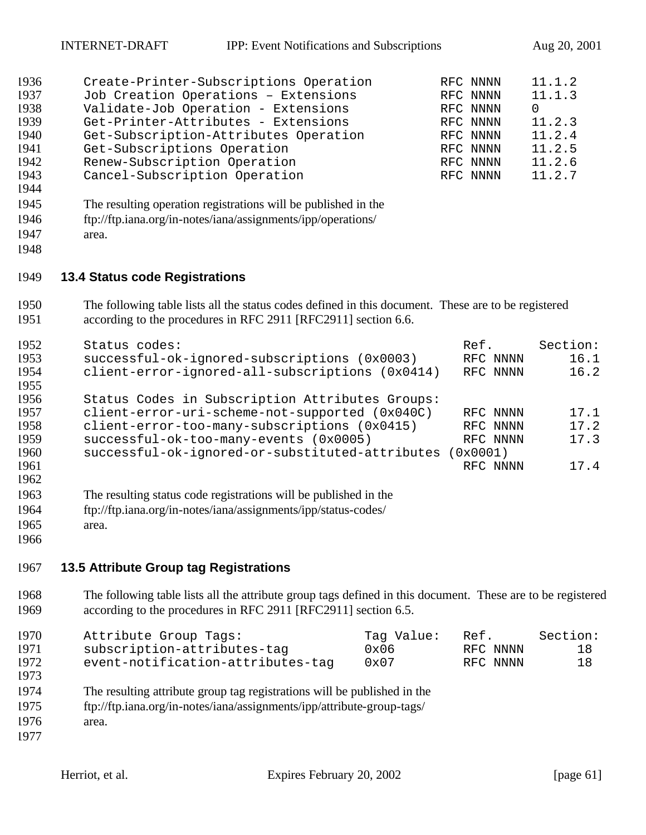| 1936 | Create-Printer-Subscriptions Operation | RFC NNNN | 11.1.2   |
|------|----------------------------------------|----------|----------|
| 1937 | Job Creation Operations - Extensions   | RFC NNNN | 11.1.3   |
| 1938 | Validate-Job Operation - Extensions    | RFC NNNN | $\Omega$ |
| 1939 | Get-Printer-Attributes - Extensions    | RFC NNNN | 11.2.3   |
| 1940 | Get-Subscription-Attributes Operation  | RFC NNNN | 11.2.4   |
| 1941 | Get-Subscriptions Operation            | RFC NNNN | 11.2.5   |
| 1942 | Renew-Subscription Operation           | RFC NNNN | 11.2.6   |
| 1943 | Cancel-Subscription Operation          | RFC NNNN | 11.2.7   |

- 
- The resulting operation registrations will be published in the
- ftp://ftp.iana.org/in-notes/iana/assignments/ipp/operations/
- area.
- 

#### **13.4 Status code Registrations**

 The following table lists all the status codes defined in this document. These are to be registered according to the procedures in RFC 2911 [RFC2911] section 6.6.

| 1952 | Status codes:                                                    | Ref.       | Section: |
|------|------------------------------------------------------------------|------------|----------|
| 1953 | successful-ok-ignored-subscriptions (0x0003)                     | RFC NNNN   | 16.1     |
| 1954 | client-error-ignored-all-subscriptions (0x0414)                  | RFC NNNN   | 16.2     |
| 1955 |                                                                  |            |          |
| 1956 | Status Codes in Subscription Attributes Groups:                  |            |          |
| 1957 | client-error-uri-scheme-not-supported (0x040C)                   | RFC NNNN   | 17.1     |
| 1958 | client-error-too-many-subscriptions (0x0415)                     | RFC NNNN   | 17.2     |
| 1959 | successful-ok-too-many-events (0x0005)                           | RFC NNNN   | 17.3     |
| 1960 | successful-ok-ignored-or-substituted-attributes                  | $0x0001$ ) |          |
| 1961 |                                                                  | RFC NNNN   | 17.4     |
| 1962 |                                                                  |            |          |
| 1963 | The resulting status code registrations will be published in the |            |          |
| 1964 | ftp://ftp.iana.org/in-notes/iana/assignments/ipp/status-codes/   |            |          |
| 1965 | area.                                                            |            |          |

#### **13.5 Attribute Group tag Registrations**

 The following table lists all the attribute group tags defined in this document. These are to be registered according to the procedures in RFC 2911 [RFC2911] section 6.5.

| 1970 | Attribute Group Tags:             | Taq Value: | Ref.     | Section: |
|------|-----------------------------------|------------|----------|----------|
| 1971 | subscription-attributes-tag       | 0x06       | RFC NNNN | 18       |
| 1972 | event-notification-attributes-tag | 0x07       | RFC NNNN | 18       |
| 1973 |                                   |            |          |          |

- The resulting attribute group tag registrations will be published in the
- ftp://ftp.iana.org/in-notes/iana/assignments/ipp/attribute-group-tags/
- area.
-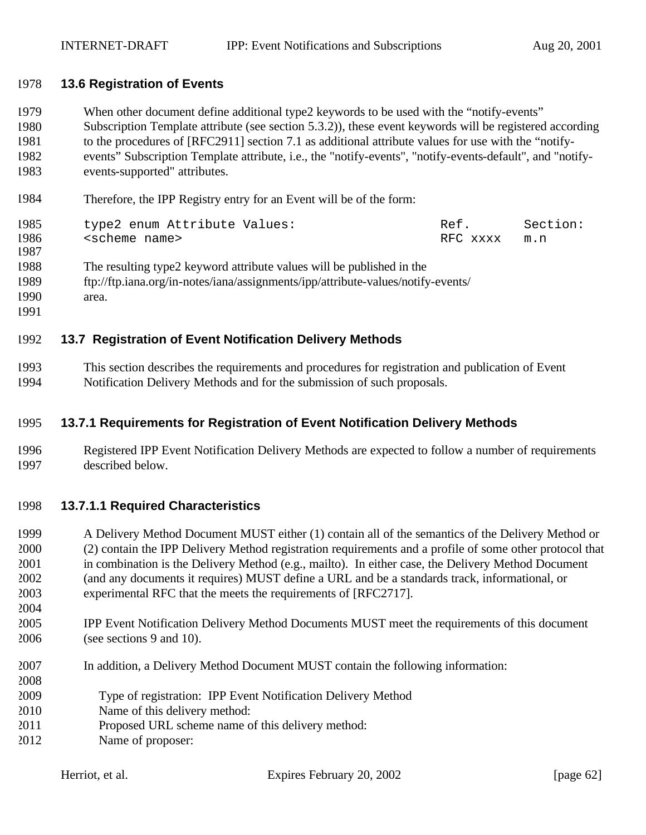#### **13.6 Registration of Events**

 When other document define additional type2 keywords to be used with the "notify-events" Subscription Template attribute (see section 5.3.2)), these event keywords will be registered according to the procedures of [RFC2911] section 7.1 as additional attribute values for use with the "notify- events" Subscription Template attribute, i.e., the "notify-events", "notify-events-default", and "notify-events-supported" attributes.

Therefore, the IPP Registry entry for an Event will be of the form:

| 1985 | type2 enum Attribute Values: | Ref.     | Section: |
|------|------------------------------|----------|----------|
| 1986 | <scheme name=""></scheme>    | RFC xxxx | m.n      |
| 1987 |                              |          |          |

The resulting type2 keyword attribute values will be published in the

 ftp://ftp.iana.org/in-notes/iana/assignments/ipp/attribute-values/notify-events/ area.

#### **13.7 Registration of Event Notification Delivery Methods**

 This section describes the requirements and procedures for registration and publication of Event Notification Delivery Methods and for the submission of such proposals.

#### **13.7.1 Requirements for Registration of Event Notification Delivery Methods**

 Registered IPP Event Notification Delivery Methods are expected to follow a number of requirements described below.

#### **13.7.1.1 Required Characteristics**

 A Delivery Method Document MUST either (1) contain all of the semantics of the Delivery Method or (2) contain the IPP Delivery Method registration requirements and a profile of some other protocol that in combination is the Delivery Method (e.g., mailto). In either case, the Delivery Method Document (and any documents it requires) MUST define a URL and be a standards track, informational, or experimental RFC that the meets the requirements of [RFC2717].

- IPP Event Notification Delivery Method Documents MUST meet the requirements of this document (see sections 9 and 10).
- In addition, a Delivery Method Document MUST contain the following information:
- Type of registration: IPP Event Notification Delivery Method
- Name of this delivery method:
- Proposed URL scheme name of this delivery method:
- Name of proposer: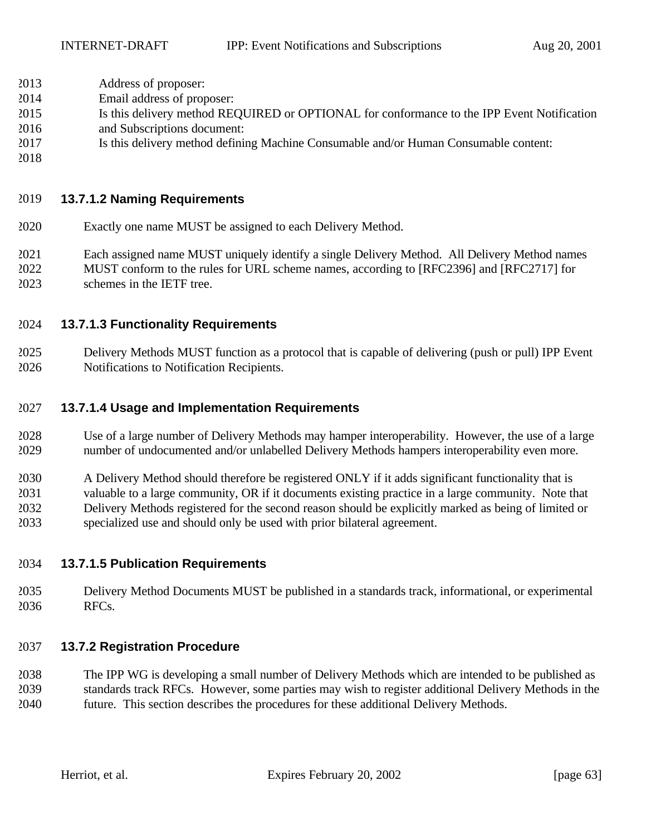- Address of proposer:
- Email address of proposer:
- Is this delivery method REQUIRED or OPTIONAL for conformance to the IPP Event Notification
- and Subscriptions document:
- Is this delivery method defining Machine Consumable and/or Human Consumable content:
- 

## **13.7.1.2 Naming Requirements**

- Exactly one name MUST be assigned to each Delivery Method.
- Each assigned name MUST uniquely identify a single Delivery Method. All Delivery Method names MUST conform to the rules for URL scheme names, according to [RFC2396] and [RFC2717] for
- schemes in the IETF tree.

### **13.7.1.3 Functionality Requirements**

 Delivery Methods MUST function as a protocol that is capable of delivering (push or pull) IPP Event Notifications to Notification Recipients.

#### **13.7.1.4 Usage and Implementation Requirements**

- Use of a large number of Delivery Methods may hamper interoperability. However, the use of a large number of undocumented and/or unlabelled Delivery Methods hampers interoperability even more.
- A Delivery Method should therefore be registered ONLY if it adds significant functionality that is
- valuable to a large community, OR if it documents existing practice in a large community. Note that Delivery Methods registered for the second reason should be explicitly marked as being of limited or
- specialized use and should only be used with prior bilateral agreement.

### **13.7.1.5 Publication Requirements**

 Delivery Method Documents MUST be published in a standards track, informational, or experimental RFCs.

### **13.7.2 Registration Procedure**

 The IPP WG is developing a small number of Delivery Methods which are intended to be published as standards track RFCs. However, some parties may wish to register additional Delivery Methods in the future. This section describes the procedures for these additional Delivery Methods.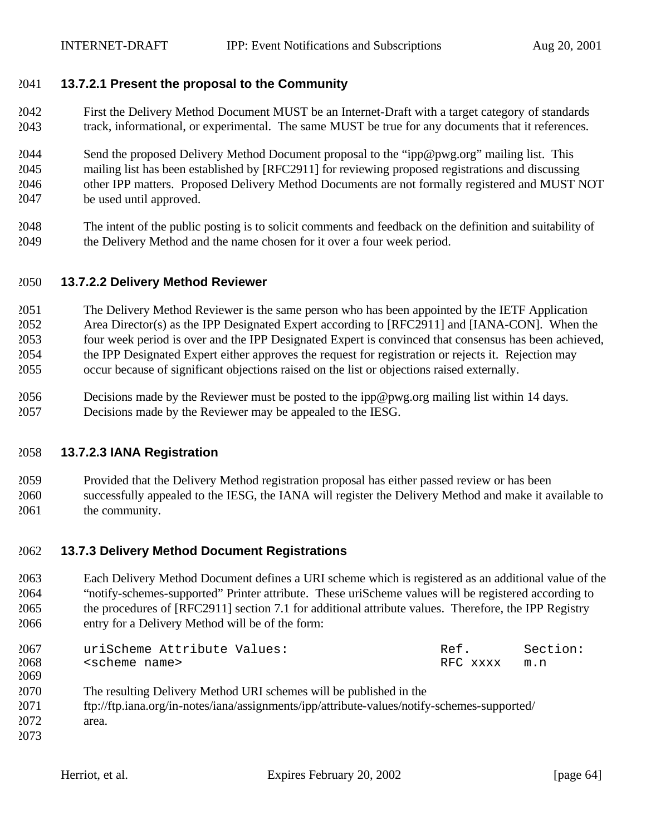#### **13.7.2.1 Present the proposal to the Community**

- First the Delivery Method Document MUST be an Internet-Draft with a target category of standards track, informational, or experimental. The same MUST be true for any documents that it references.
- Send the proposed Delivery Method Document proposal to the "ipp@pwg.org" mailing list. This mailing list has been established by [RFC2911] for reviewing proposed registrations and discussing other IPP matters. Proposed Delivery Method Documents are not formally registered and MUST NOT be used until approved.
- The intent of the public posting is to solicit comments and feedback on the definition and suitability of the Delivery Method and the name chosen for it over a four week period.

#### **13.7.2.2 Delivery Method Reviewer**

 The Delivery Method Reviewer is the same person who has been appointed by the IETF Application Area Director(s) as the IPP Designated Expert according to [RFC2911] and [IANA-CON]. When the four week period is over and the IPP Designated Expert is convinced that consensus has been achieved, the IPP Designated Expert either approves the request for registration or rejects it. Rejection may occur because of significant objections raised on the list or objections raised externally.

 Decisions made by the Reviewer must be posted to the ipp@pwg.org mailing list within 14 days. Decisions made by the Reviewer may be appealed to the IESG.

#### **13.7.2.3 IANA Registration**

 Provided that the Delivery Method registration proposal has either passed review or has been successfully appealed to the IESG, the IANA will register the Delivery Method and make it available to 2061 the community.

#### **13.7.3 Delivery Method Document Registrations**

 Each Delivery Method Document defines a URI scheme which is registered as an additional value of the "notify-schemes-supported" Printer attribute. These uriScheme values will be registered according to the procedures of [RFC2911] section 7.1 for additional attribute values. Therefore, the IPP Registry entry for a Delivery Method will be of the form:

| 2067 | uriScheme Attribute Values: | Ref.     | Section: |
|------|-----------------------------|----------|----------|
| 2068 | <scheme name=""></scheme>   | RFC xxxx | m.n      |
| 2069 |                             |          |          |

- The resulting Delivery Method URI schemes will be published in the
- ftp://ftp.iana.org/in-notes/iana/assignments/ipp/attribute-values/notify-schemes-supported/
- area.
-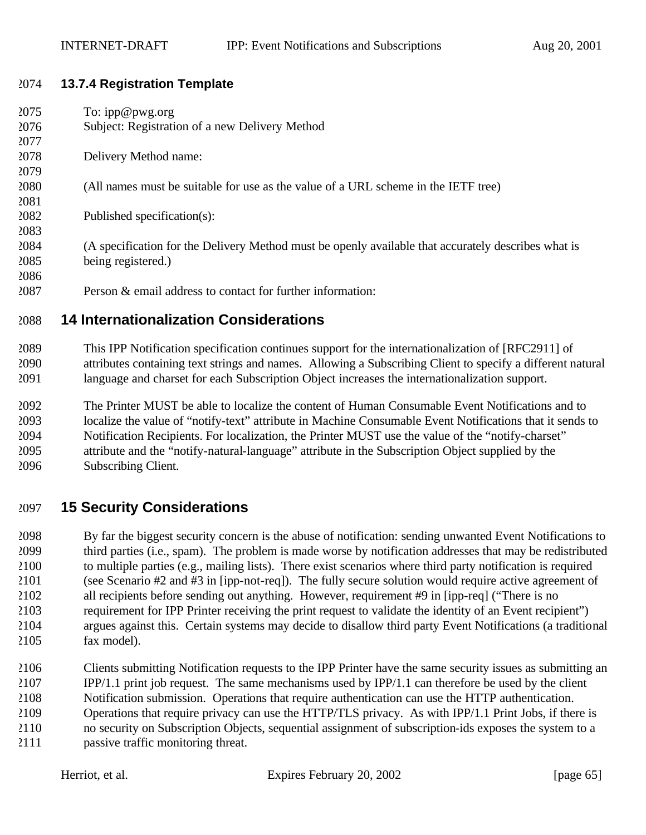#### **13.7.4 Registration Template**

| 2075 | To: $ipp@pwg.org$                                                                                   |
|------|-----------------------------------------------------------------------------------------------------|
| 2076 | Subject: Registration of a new Delivery Method                                                      |
| 2077 |                                                                                                     |
| 2078 | Delivery Method name:                                                                               |
| 2079 |                                                                                                     |
| 2080 | (All names must be suitable for use as the value of a URL scheme in the IETF tree)                  |
| 2081 |                                                                                                     |
| 2082 | Published specification(s):                                                                         |
| 2083 |                                                                                                     |
| 2084 | (A specification for the Delivery Method must be openly available that accurately describes what is |
| 2085 | being registered.)                                                                                  |
| 2086 |                                                                                                     |
| 2087 | Person & email address to contact for further information:                                          |

# **14 Internationalization Considerations**

 This IPP Notification specification continues support for the internationalization of [RFC2911] of attributes containing text strings and names. Allowing a Subscribing Client to specify a different natural language and charset for each Subscription Object increases the internationalization support.

 The Printer MUST be able to localize the content of Human Consumable Event Notifications and to localize the value of "notify-text" attribute in Machine Consumable Event Notifications that it sends to Notification Recipients. For localization, the Printer MUST use the value of the "notify-charset" attribute and the "notify-natural-language" attribute in the Subscription Object supplied by the Subscribing Client.

# **15 Security Considerations**

 By far the biggest security concern is the abuse of notification: sending unwanted Event Notifications to third parties (i.e., spam). The problem is made worse by notification addresses that may be redistributed to multiple parties (e.g., mailing lists). There exist scenarios where third party notification is required (see Scenario #2 and #3 in [ipp-not-req]). The fully secure solution would require active agreement of all recipients before sending out anything. However, requirement #9 in [ipp-req] ("There is no requirement for IPP Printer receiving the print request to validate the identity of an Event recipient") argues against this. Certain systems may decide to disallow third party Event Notifications (a traditional fax model).

 Clients submitting Notification requests to the IPP Printer have the same security issues as submitting an IPP/1.1 print job request. The same mechanisms used by IPP/1.1 can therefore be used by the client Notification submission. Operations that require authentication can use the HTTP authentication. Operations that require privacy can use the HTTP/TLS privacy. As with IPP/1.1 Print Jobs, if there is no security on Subscription Objects, sequential assignment of subscription-ids exposes the system to a

passive traffic monitoring threat.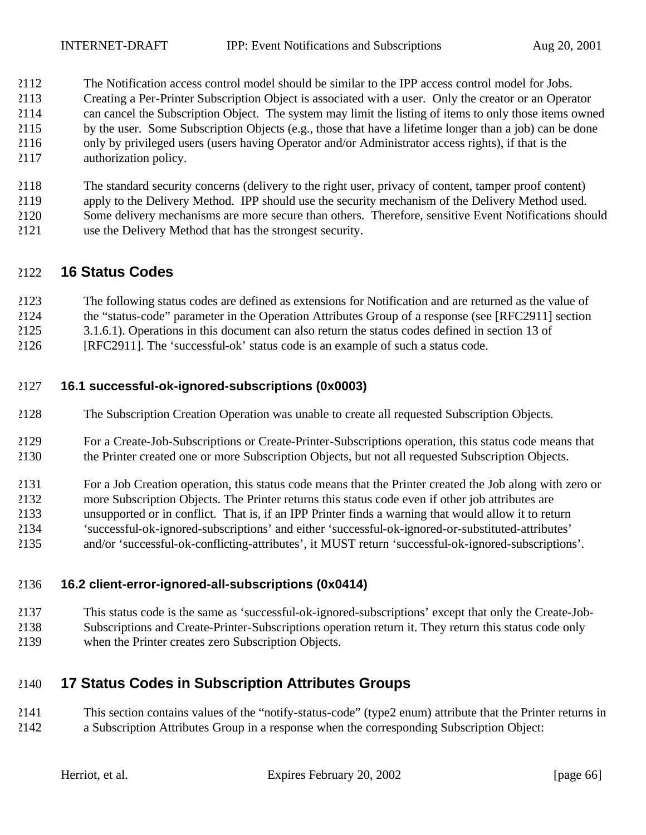- The Notification access control model should be similar to the IPP access control model for Jobs.
- Creating a Per-Printer Subscription Object is associated with a user. Only the creator or an Operator
- can cancel the Subscription Object. The system may limit the listing of items to only those items owned
- by the user. Some Subscription Objects (e.g., those that have a lifetime longer than a job) can be done
- only by privileged users (users having Operator and/or Administrator access rights), if that is the authorization policy.
- The standard security concerns (delivery to the right user, privacy of content, tamper proof content) apply to the Delivery Method. IPP should use the security mechanism of the Delivery Method used. Some delivery mechanisms are more secure than others. Therefore, sensitive Event Notifications should
- use the Delivery Method that has the strongest security.

# **16 Status Codes**

- The following status codes are defined as extensions for Notification and are returned as the value of the "status-code" parameter in the Operation Attributes Group of a response (see [RFC2911] section
- 3.1.6.1). Operations in this document can also return the status codes defined in section 13 of
- [RFC2911]. The 'successful-ok' status code is an example of such a status code.

### **16.1 successful-ok-ignored-subscriptions (0x0003)**

- The Subscription Creation Operation was unable to create all requested Subscription Objects.
- For a Create-Job-Subscriptions or Create-Printer-Subscriptions operation, this status code means that the Printer created one or more Subscription Objects, but not all requested Subscription Objects.
- For a Job Creation operation, this status code means that the Printer created the Job along with zero or
- more Subscription Objects. The Printer returns this status code even if other job attributes are unsupported or in conflict. That is, if an IPP Printer finds a warning that would allow it to return
- 'successful-ok-ignored-subscriptions' and either 'successful-ok-ignored-or-substituted-attributes'
- and/or 'successful-ok-conflicting-attributes', it MUST return 'successful-ok-ignored-subscriptions'.

### **16.2 client-error-ignored-all-subscriptions (0x0414)**

- This status code is the same as 'successful-ok-ignored-subscriptions' except that only the Create-Job-
- Subscriptions and Create-Printer-Subscriptions operation return it. They return this status code only
- when the Printer creates zero Subscription Objects.

# **17 Status Codes in Subscription Attributes Groups**

 This section contains values of the "notify-status-code" (type2 enum) attribute that the Printer returns in a Subscription Attributes Group in a response when the corresponding Subscription Object: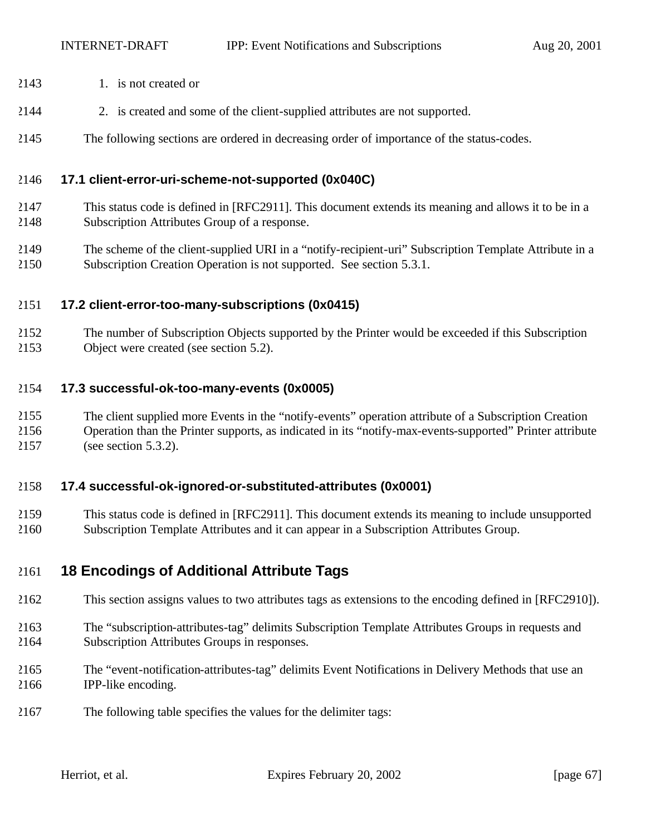- 2143 1. is not created or
- 2. is created and some of the client-supplied attributes are not supported.
- The following sections are ordered in decreasing order of importance of the status-codes.

#### **17.1 client-error-uri-scheme-not-supported (0x040C)**

- This status code is defined in [RFC2911]. This document extends its meaning and allows it to be in a Subscription Attributes Group of a response.
- The scheme of the client-supplied URI in a "notify-recipient-uri" Subscription Template Attribute in a Subscription Creation Operation is not supported. See section 5.3.1.

#### **17.2 client-error-too-many-subscriptions (0x0415)**

 The number of Subscription Objects supported by the Printer would be exceeded if this Subscription Object were created (see section 5.2).

#### **17.3 successful-ok-too-many-events (0x0005)**

- The client supplied more Events in the "notify-events" operation attribute of a Subscription Creation
- Operation than the Printer supports, as indicated in its "notify-max-events-supported" Printer attribute (see section 5.3.2).

# **17.4 successful-ok-ignored-or-substituted-attributes (0x0001)**

 This status code is defined in [RFC2911]. This document extends its meaning to include unsupported Subscription Template Attributes and it can appear in a Subscription Attributes Group.

# **18 Encodings of Additional Attribute Tags**

- This section assigns values to two attributes tags as extensions to the encoding defined in [RFC2910]).
- The "subscription-attributes-tag" delimits Subscription Template Attributes Groups in requests and Subscription Attributes Groups in responses.
- The "event-notification-attributes-tag" delimits Event Notifications in Delivery Methods that use an IPP-like encoding.
- The following table specifies the values for the delimiter tags: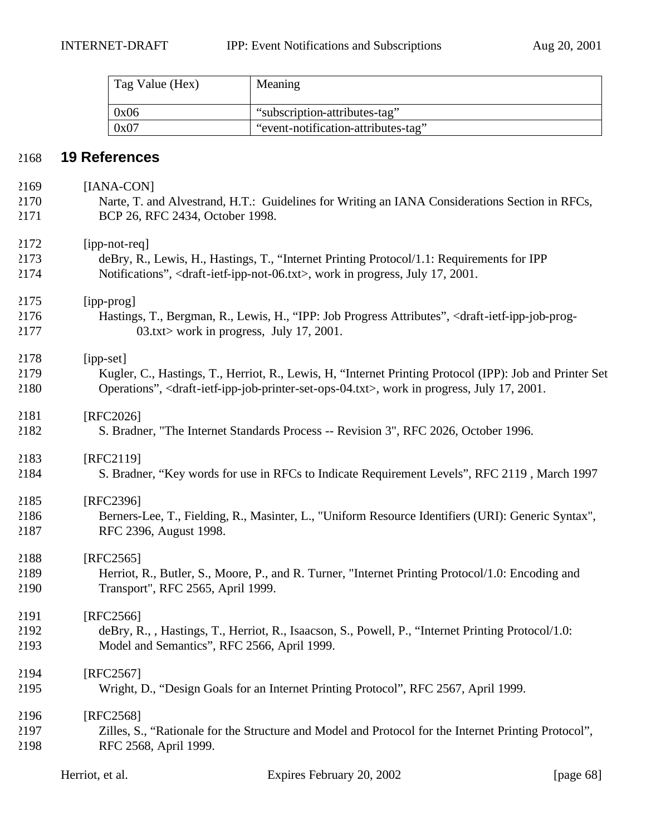| Tag Value (Hex) | Meaning                             |
|-----------------|-------------------------------------|
| 0x06            | "subscription-attributes-tag"       |
| 0x07            | "event-notification-attributes-tag" |

# **19 References**

| 2169 | [IANA-CON]                                                                                                                             |
|------|----------------------------------------------------------------------------------------------------------------------------------------|
| 2170 | Narte, T. and Alvestrand, H.T.: Guidelines for Writing an IANA Considerations Section in RFCs,                                         |
| 2171 | BCP 26, RFC 2434, October 1998.                                                                                                        |
| 2172 | [ipp-not-req]                                                                                                                          |
| 2173 | deBry, R., Lewis, H., Hastings, T., "Internet Printing Protocol/1.1: Requirements for IPP                                              |
| 2174 | Notifications", <draft-ietf-ipp-not-06.txt>, work in progress, July 17, 2001.</draft-ietf-ipp-not-06.txt>                              |
| 2175 | [ipp-prog]                                                                                                                             |
| 2176 | Hastings, T., Bergman, R., Lewis, H., "IPP: Job Progress Attributes", <draft-ietf-ipp-job-prog-< td=""></draft-ietf-ipp-job-prog-<>    |
| 2177 | $03.txt$ work in progress, July 17, 2001.                                                                                              |
| 2178 | [ipp-set]                                                                                                                              |
| 2179 | Kugler, C., Hastings, T., Herriot, R., Lewis, H. "Internet Printing Protocol (IPP): Job and Printer Set                                |
| 2180 | Operations", <draft-ietf-ipp-job-printer-set-ops-04.txt>, work in progress, July 17, 2001.</draft-ietf-ipp-job-printer-set-ops-04.txt> |
| 2181 | [RFC2026]                                                                                                                              |
| 2182 | S. Bradner, "The Internet Standards Process -- Revision 3", RFC 2026, October 1996.                                                    |
| 2183 | [RFC2119]                                                                                                                              |
| 2184 | S. Bradner, "Key words for use in RFCs to Indicate Requirement Levels", RFC 2119, March 1997                                           |
| 2185 | [RFC2396]                                                                                                                              |
| 2186 | Berners-Lee, T., Fielding, R., Masinter, L., "Uniform Resource Identifiers (URI): Generic Syntax",                                     |
| 2187 | RFC 2396, August 1998.                                                                                                                 |
| 2188 | $[RFC2565]$                                                                                                                            |
| 2189 | Herriot, R., Butler, S., Moore, P., and R. Turner, "Internet Printing Protocol/1.0: Encoding and                                       |
| 2190 | Transport", RFC 2565, April 1999.                                                                                                      |
| 2191 | [RFC2566]                                                                                                                              |
| 2192 | deBry, R., , Hastings, T., Herriot, R., Isaacson, S., Powell, P., "Internet Printing Protocol/1.0:                                     |
| 2193 | Model and Semantics", RFC 2566, April 1999.                                                                                            |
| 2194 | $[RFC2567]$                                                                                                                            |
| 2195 | Wright, D., "Design Goals for an Internet Printing Protocol", RFC 2567, April 1999.                                                    |
| 2196 | [RFC2568]                                                                                                                              |
| 2197 | Zilles, S., "Rationale for the Structure and Model and Protocol for the Internet Printing Protocol",                                   |
| 2198 | RFC 2568, April 1999.                                                                                                                  |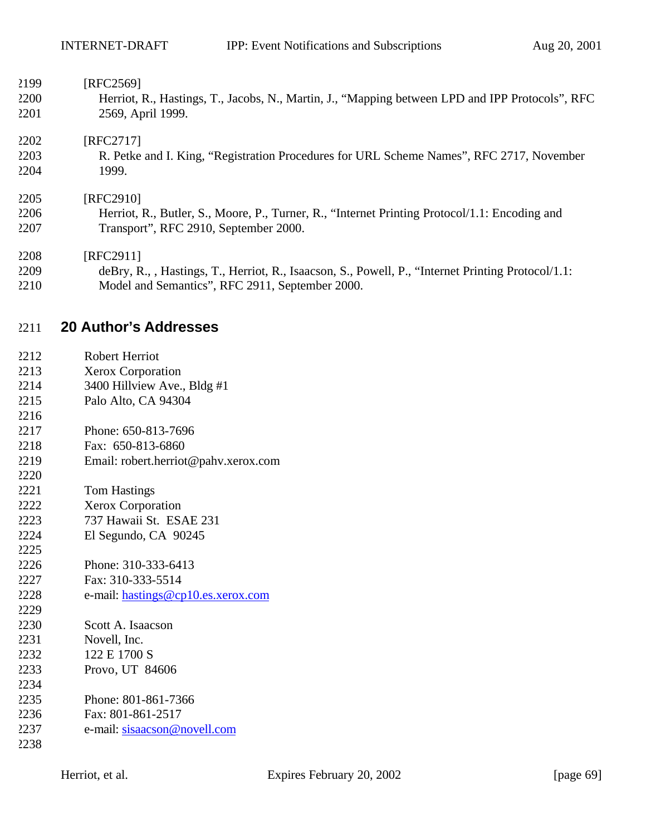| 2199 | [RFC2569]                                                                                          |
|------|----------------------------------------------------------------------------------------------------|
| 2200 | Herriot, R., Hastings, T., Jacobs, N., Martin, J., "Mapping between LPD and IPP Protocols", RFC    |
| 2201 | 2569, April 1999.                                                                                  |
| 2202 | [RFC2717]                                                                                          |
| 2203 | R. Petke and I. King, "Registration Procedures for URL Scheme Names", RFC 2717, November           |
| 2204 | 1999.                                                                                              |
| 2205 | [RFC2910]                                                                                          |
| 2206 | Herriot, R., Butler, S., Moore, P., Turner, R., "Internet Printing Protocol/1.1: Encoding and      |
| 2207 | Transport", RFC 2910, September 2000.                                                              |
| 2208 | [RFC2911]                                                                                          |
| 2209 | deBry, R., , Hastings, T., Herriot, R., Isaacson, S., Powell, P., "Internet Printing Protocol/1.1: |
| 2210 | Model and Semantics", RFC 2911, September 2000.                                                    |

# **20 Author's Addresses**

| 2212 | Robert Herriot           |
|------|--------------------------|
| 2213 | <b>Xerox Corporation</b> |

- 3400 Hillview Ave., Bldg #1
- Palo Alto, CA 94304
- Phone: 650-813-7696
- Fax: 650-813-6860
- Email: robert.herriot@pahv.xerox.com
- Tom Hastings
- Xerox Corporation
- 737 Hawaii St. ESAE 231
- El Segundo, CA 90245
- Phone: 310-333-6413
- Fax: 310-333-5514
- e-mail: hastings@cp10.es.xerox.com
- Scott A. Isaacson Novell, Inc. 122 E 1700 S Provo, UT 84606 Phone: 801-861-7366 Fax: 801-861-2517 e-mail: sisaacson@novell.com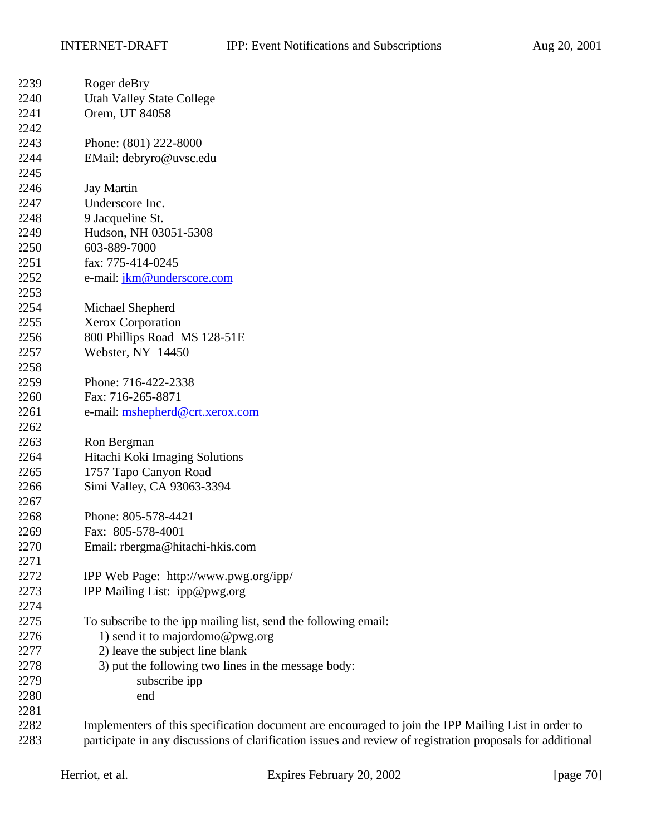| 2239 | Roger deBry                                                                                                |
|------|------------------------------------------------------------------------------------------------------------|
| 2240 | <b>Utah Valley State College</b>                                                                           |
| 2241 | Orem, UT 84058                                                                                             |
| 2242 |                                                                                                            |
| 2243 | Phone: (801) 222-8000                                                                                      |
| 2244 | EMail: debryro@uvsc.edu                                                                                    |
| 2245 |                                                                                                            |
| 2246 | <b>Jay Martin</b>                                                                                          |
| 2247 | Underscore Inc.                                                                                            |
| 2248 | 9 Jacqueline St.                                                                                           |
| 2249 | Hudson, NH 03051-5308                                                                                      |
| 2250 | 603-889-7000                                                                                               |
| 2251 | fax: 775-414-0245                                                                                          |
| 2252 | e-mail: jkm@underscore.com                                                                                 |
| 2253 |                                                                                                            |
| 2254 | Michael Shepherd                                                                                           |
| 2255 | Xerox Corporation                                                                                          |
| 2256 | 800 Phillips Road MS 128-51E                                                                               |
| 2257 | Webster, NY 14450                                                                                          |
| 2258 |                                                                                                            |
| 2259 | Phone: 716-422-2338                                                                                        |
| 2260 | Fax: 716-265-8871                                                                                          |
| 2261 | e-mail: mshepherd@crt.xerox.com                                                                            |
| 2262 |                                                                                                            |
| 2263 | Ron Bergman                                                                                                |
| 2264 | Hitachi Koki Imaging Solutions                                                                             |
| 2265 | 1757 Tapo Canyon Road                                                                                      |
| 2266 | Simi Valley, CA 93063-3394                                                                                 |
| 2267 |                                                                                                            |
| 2268 | Phone: 805-578-4421                                                                                        |
| 2269 | Fax: 805-578-4001                                                                                          |
| 2270 | Email: rbergma@hitachi-hkis.com                                                                            |
| 2271 |                                                                                                            |
| 2272 | IPP Web Page: http://www.pwg.org/ipp/                                                                      |
| 2273 | IPP Mailing List: ipp@pwg.org                                                                              |
| 2274 |                                                                                                            |
| 2275 | To subscribe to the ipp mailing list, send the following email:                                            |
| 2276 | 1) send it to majordomo@pwg.org                                                                            |
| 2277 | 2) leave the subject line blank                                                                            |
| 2278 | 3) put the following two lines in the message body:                                                        |
| 2279 | subscribe ipp                                                                                              |
| 2280 | end                                                                                                        |
| 2281 |                                                                                                            |
| 2282 | Implementers of this specification document are encouraged to join the IPP Mailing List in order to        |
| 2283 | participate in any discussions of clarification issues and review of registration proposals for additional |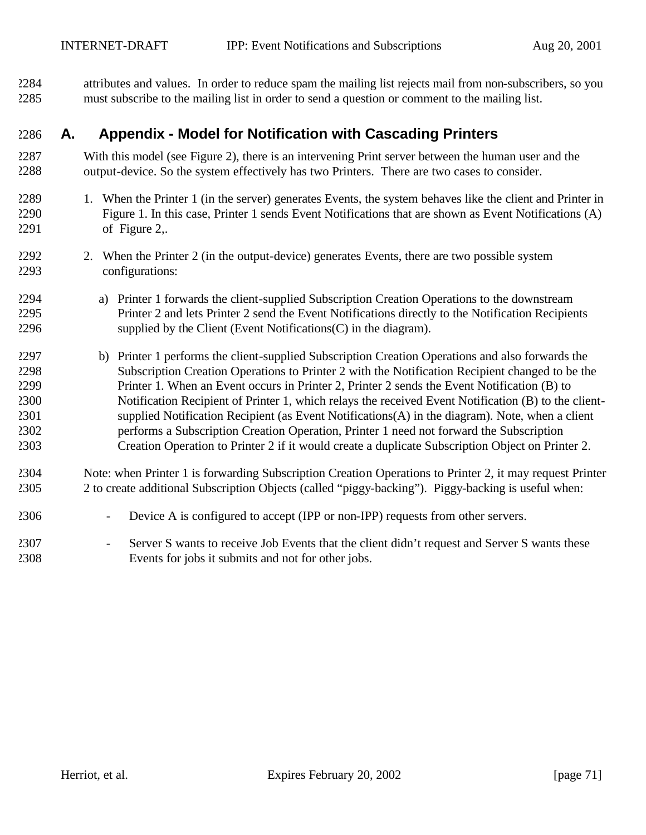attributes and values. In order to reduce spam the mailing list rejects mail from non-subscribers, so you must subscribe to the mailing list in order to send a question or comment to the mailing list.

# **A. Appendix - Model for Notification with Cascading Printers**

- With this model (see Figure 2), there is an intervening Print server between the human user and the output-device. So the system effectively has two Printers. There are two cases to consider.
- 1. When the Printer 1 (in the server) generates Events, the system behaves like the client and Printer in Figure 1. In this case, Printer 1 sends Event Notifications that are shown as Event Notifications (A) of Figure 2,.
- 2292 2. When the Printer 2 (in the output-device) generates Events, there are two possible system configurations:
- a) Printer 1 forwards the client-supplied Subscription Creation Operations to the downstream Printer 2 and lets Printer 2 send the Event Notifications directly to the Notification Recipients supplied by the Client (Event Notifications (C) in the diagram).
- b) Printer 1 performs the client-supplied Subscription Creation Operations and also forwards the Subscription Creation Operations to Printer 2 with the Notification Recipient changed to be the Printer 1. When an Event occurs in Printer 2, Printer 2 sends the Event Notification (B) to Notification Recipient of Printer 1, which relays the received Event Notification (B) to the client- supplied Notification Recipient (as Event Notifications(A) in the diagram). Note, when a client performs a Subscription Creation Operation, Printer 1 need not forward the Subscription Creation Operation to Printer 2 if it would create a duplicate Subscription Object on Printer 2.
- Note: when Printer 1 is forwarding Subscription Creation Operations to Printer 2, it may request Printer 2 to create additional Subscription Objects (called "piggy-backing"). Piggy-backing is useful when:
- Device A is configured to accept (IPP or non-IPP) requests from other servers.
- Server S wants to receive Job Events that the client didn't request and Server S wants these Events for jobs it submits and not for other jobs.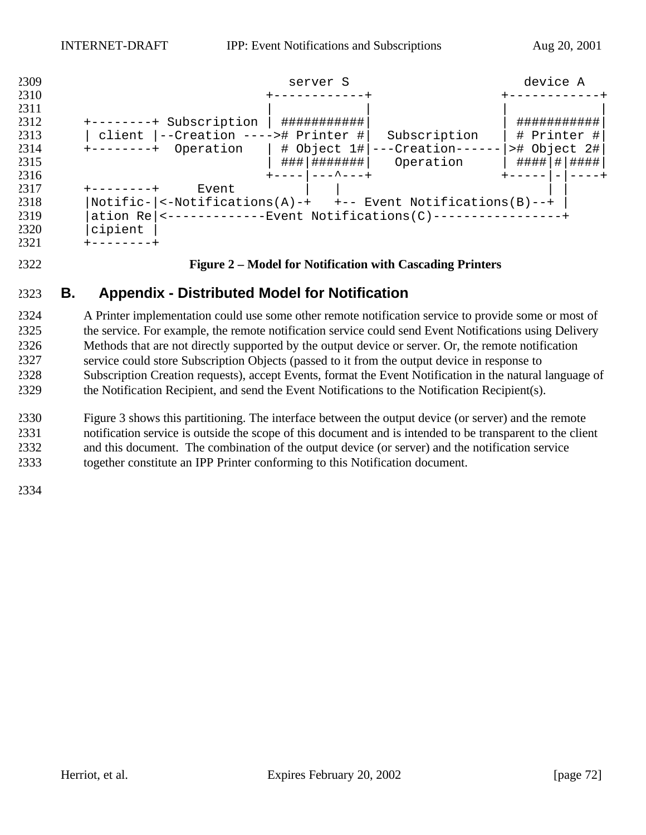

#### **Figure 2 – Model for Notification with Cascading Printers**

# **B. Appendix - Distributed Model for Notification**

 A Printer implementation could use some other remote notification service to provide some or most of the service. For example, the remote notification service could send Event Notifications using Delivery Methods that are not directly supported by the output device or server. Or, the remote notification service could store Subscription Objects (passed to it from the output device in response to Subscription Creation requests), accept Events, format the Event Notification in the natural language of the Notification Recipient, and send the Event Notifications to the Notification Recipient(s).

 Figure 3 shows this partitioning. The interface between the output device (or server) and the remote notification service is outside the scope of this document and is intended to be transparent to the client and this document. The combination of the output device (or server) and the notification service

together constitute an IPP Printer conforming to this Notification document.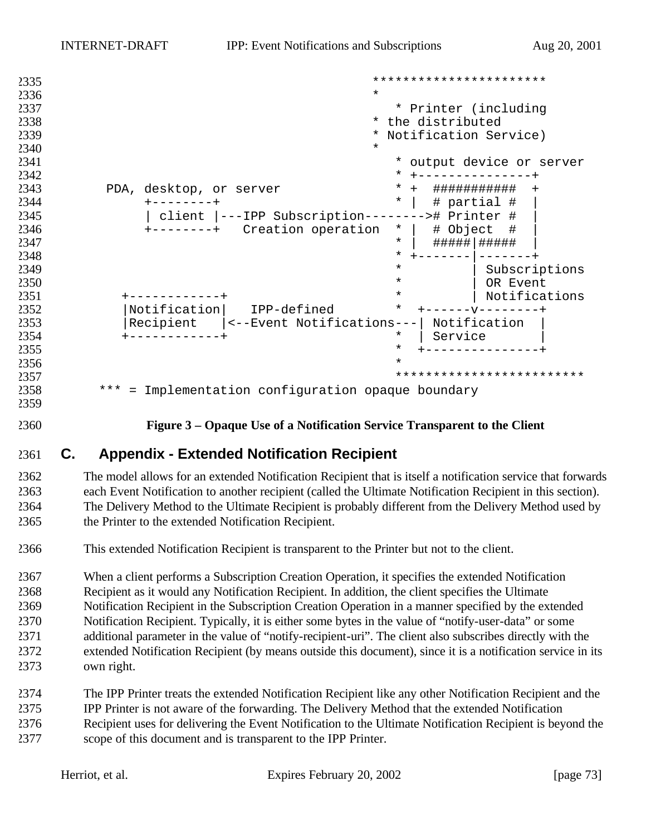```
2335<br>2335<br>*2336 * 
2337 * Printer (including * 1995)<br>2338 * the distributed
2338 * the distributed * the distributed * Motification Sem
                           * Notification Service)
2340 *
2341 * output device or server
2342 * +---------------+
2343 PDA, desktop, or server * + ############ +<br>2344 +--------+ * | # partial # |
2344 +--------+ * | # partial # |
         2345 | client |---IPP Subscription--------># Printer # |
2346 +--------+ Creation operation<br>2347* | #####|######
2348 * +-------|-------+
^{2349} Subscriptions ^{*} Subscriptions ^{*} Subscriptions ^{*}2350 * | OR Event
2351 +------------+ * | Notifications
2352 |Notification| IPP-defined * +------v--------+
2353 |Recipient |<--Event Notifications---| Notification |
2354 +------------+ * | Service |
2355 * +---------------+
2356 *
2357 *************************
2358 *** = Implementation configuration opaque boundary
```
**Figure 3 – Opaque Use of a Notification Service Transparent to the Client**

## **C. Appendix - Extended Notification Recipient**

 The model allows for an extended Notification Recipient that is itself a notification service that forwards each Event Notification to another recipient (called the Ultimate Notification Recipient in this section). The Delivery Method to the Ultimate Recipient is probably different from the Delivery Method used by the Printer to the extended Notification Recipient.

This extended Notification Recipient is transparent to the Printer but not to the client.

 When a client performs a Subscription Creation Operation, it specifies the extended Notification Recipient as it would any Notification Recipient. In addition, the client specifies the Ultimate Notification Recipient in the Subscription Creation Operation in a manner specified by the extended Notification Recipient. Typically, it is either some bytes in the value of "notify-user-data" or some additional parameter in the value of "notify-recipient-uri". The client also subscribes directly with the extended Notification Recipient (by means outside this document), since it is a notification service in its own right.

- The IPP Printer treats the extended Notification Recipient like any other Notification Recipient and the IPP Printer is not aware of the forwarding. The Delivery Method that the extended Notification Recipient uses for delivering the Event Notification to the Ultimate Notification Recipient is beyond the
- scope of this document and is transparent to the IPP Printer.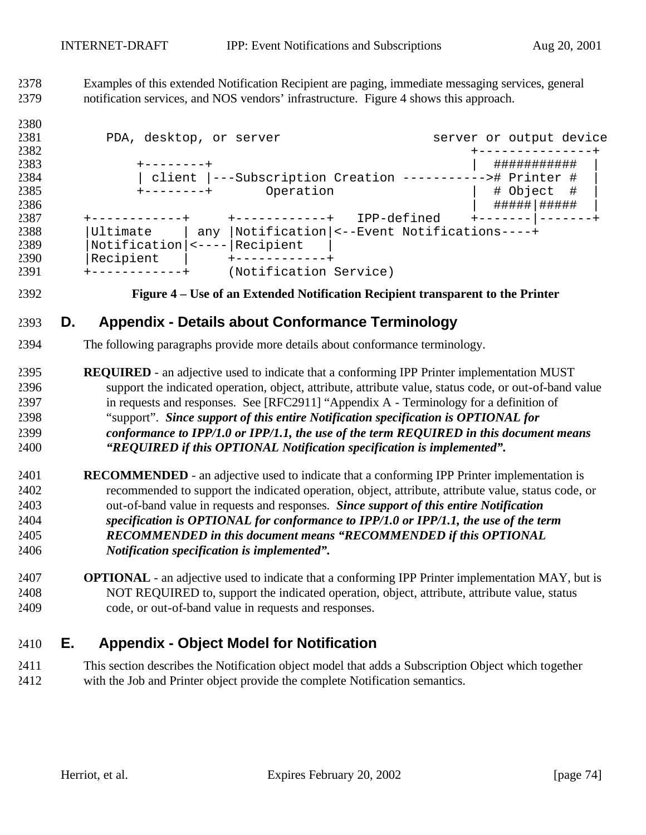Examples of this extended Notification Recipient are paging, immediate messaging services, general notification services, and NOS vendors' infrastructure. Figure 4 shows this approach.

| 2380 |                                                          |                        |                                          |                         |
|------|----------------------------------------------------------|------------------------|------------------------------------------|-------------------------|
| 2381 | PDA, desktop, or server                                  |                        |                                          | server or output device |
| 2382 |                                                          |                        |                                          |                         |
| 2383 | -------+                                                 |                        |                                          | ###########             |
| 2384 | client  ---Subscription Creation -----------># Printer # |                        |                                          |                         |
| 2385 | Operation<br>$+ - - - - - - - +$                         |                        | # Object<br>- #                          |                         |
| 2386 |                                                          |                        |                                          | #####   #####           |
| 2387 |                                                          | -----------+           | IPP-defined                              |                         |
| 2388 | Ultimate                                                 | any l                  | Notification <--Event Notifications----+ |                         |
| 2389 | $Notification$   <----                                   | Recipient              |                                          |                         |
| 2390 | Recipient                                                |                        |                                          |                         |
| 2391 |                                                          | (Notification Service) |                                          |                         |

#### **Figure 4 – Use of an Extended Notification Recipient transparent to the Printer**

## **D. Appendix - Details about Conformance Terminology**

- The following paragraphs provide more details about conformance terminology.
- **REQUIRED**  an adjective used to indicate that a conforming IPP Printer implementation MUST support the indicated operation, object, attribute, attribute value, status code, or out-of-band value in requests and responses. See [RFC2911] "Appendix A - Terminology for a definition of "support". *Since support of this entire Notification specification is OPTIONAL for conformance to IPP/1.0 or IPP/1.1, the use of the term REQUIRED in this document means "REQUIRED if this OPTIONAL Notification specification is implemented".*
- **RECOMMENDED**  an adjective used to indicate that a conforming IPP Printer implementation is recommended to support the indicated operation, object, attribute, attribute value, status code, or out-of-band value in requests and responses. *Since support of this entire Notification specification is OPTIONAL for conformance to IPP/1.0 or IPP/1.1, the use of the term RECOMMENDED in this document means "RECOMMENDED if this OPTIONAL Notification specification is implemented".*
- **OPTIONAL**  an adjective used to indicate that a conforming IPP Printer implementation MAY, but is NOT REQUIRED to, support the indicated operation, object, attribute, attribute value, status code, or out-of-band value in requests and responses.

# **E. Appendix - Object Model for Notification**

 This section describes the Notification object model that adds a Subscription Object which together with the Job and Printer object provide the complete Notification semantics.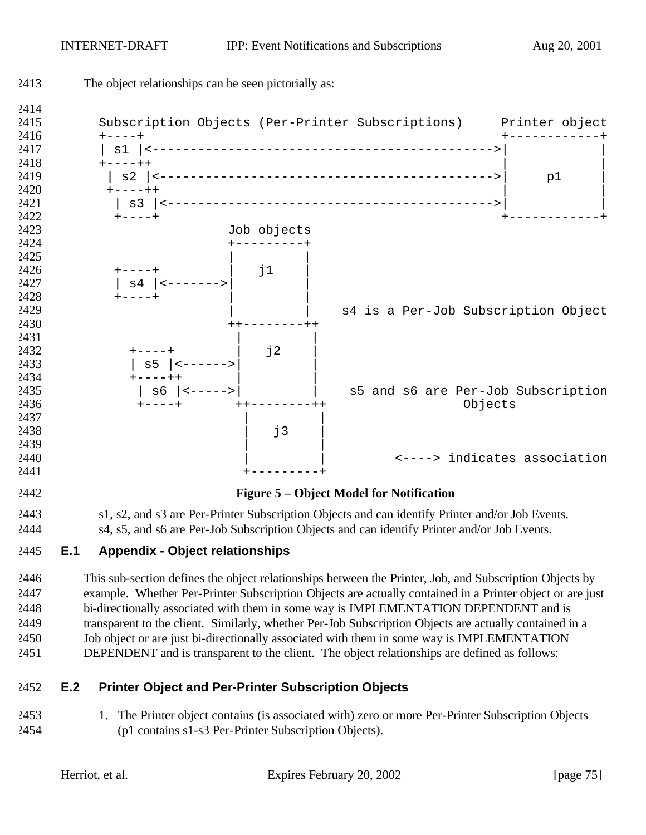

 example. Whether Per-Printer Subscription Objects are actually contained in a Printer object or are just bi-directionally associated with them in some way is IMPLEMENTATION DEPENDENT and is transparent to the client. Similarly, whether Per-Job Subscription Objects are actually contained in a Job object or are just bi-directionally associated with them in some way is IMPLEMENTATION DEPENDENT and is transparent to the client. The object relationships are defined as follows:

### **E.2 Printer Object and Per-Printer Subscription Objects**

 1. The Printer object contains (is associated with) zero or more Per-Printer Subscription Objects (p1 contains s1-s3 Per-Printer Subscription Objects).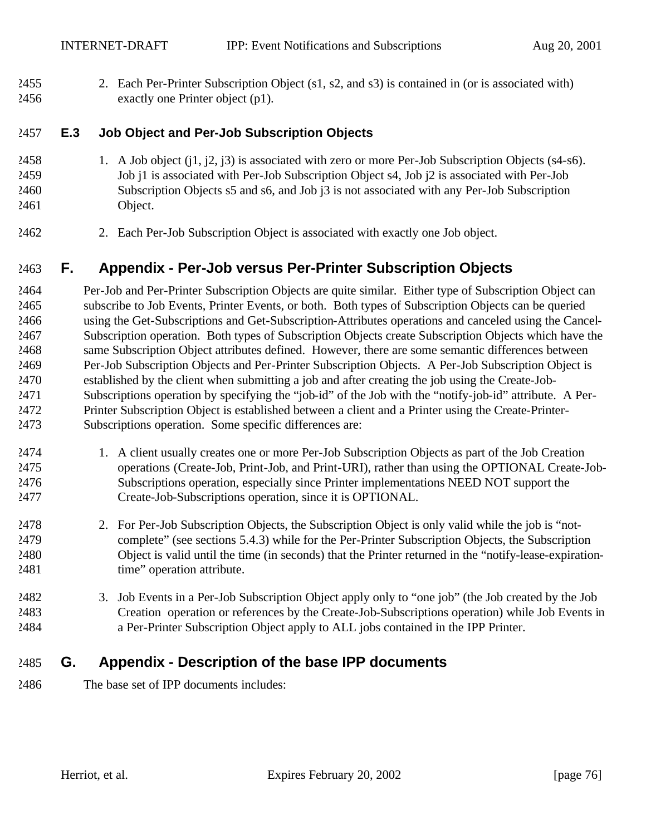2. Each Per-Printer Subscription Object (s1, s2, and s3) is contained in (or is associated with) exactly one Printer object (p1).

#### **E.3 Job Object and Per-Job Subscription Objects**

- 1. A Job object (j1, j2, j3) is associated with zero or more Per-Job Subscription Objects (s4-s6). Job j1 is associated with Per-Job Subscription Object s4, Job j2 is associated with Per-Job Subscription Objects s5 and s6, and Job j3 is not associated with any Per-Job Subscription Object.
- 2. Each Per-Job Subscription Object is associated with exactly one Job object.

## **F. Appendix - Per-Job versus Per-Printer Subscription Objects**

 Per-Job and Per-Printer Subscription Objects are quite similar. Either type of Subscription Object can subscribe to Job Events, Printer Events, or both. Both types of Subscription Objects can be queried using the Get-Subscriptions and Get-Subscription-Attributes operations and canceled using the Cancel- Subscription operation. Both types of Subscription Objects create Subscription Objects which have the same Subscription Object attributes defined. However, there are some semantic differences between Per-Job Subscription Objects and Per-Printer Subscription Objects. A Per-Job Subscription Object is established by the client when submitting a job and after creating the job using the Create-Job- Subscriptions operation by specifying the "job-id" of the Job with the "notify-job-id" attribute. A Per- Printer Subscription Object is established between a client and a Printer using the Create-Printer-Subscriptions operation. Some specific differences are:

- 1. A client usually creates one or more Per-Job Subscription Objects as part of the Job Creation operations (Create-Job, Print-Job, and Print-URI), rather than using the OPTIONAL Create-Job- Subscriptions operation, especially since Printer implementations NEED NOT support the Create-Job-Subscriptions operation, since it is OPTIONAL.
- 2. For Per-Job Subscription Objects, the Subscription Object is only valid while the job is "not- complete" (see sections 5.4.3) while for the Per-Printer Subscription Objects, the Subscription Object is valid until the time (in seconds) that the Printer returned in the "notify-lease-expiration-2481 time" operation attribute.
- 3. Job Events in a Per-Job Subscription Object apply only to "one job" (the Job created by the Job Creation operation or references by the Create-Job-Subscriptions operation) while Job Events in a Per-Printer Subscription Object apply to ALL jobs contained in the IPP Printer.

## **G. Appendix - Description of the base IPP documents**

The base set of IPP documents includes: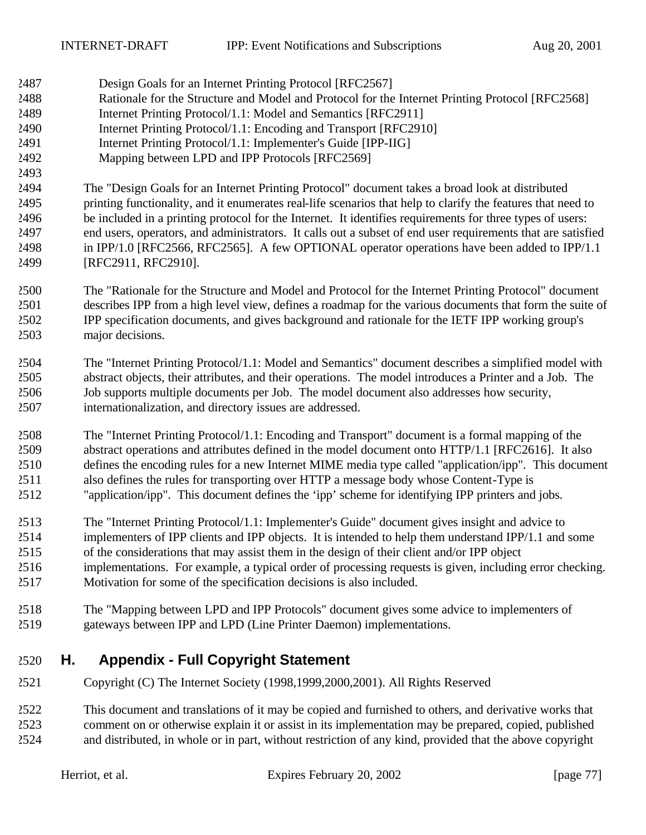- Design Goals for an Internet Printing Protocol [RFC2567]
- Rationale for the Structure and Model and Protocol for the Internet Printing Protocol [RFC2568]
- Internet Printing Protocol/1.1: Model and Semantics [RFC2911]
- Internet Printing Protocol/1.1: Encoding and Transport [RFC2910]
- Internet Printing Protocol/1.1: Implementer's Guide [IPP-IIG]
- Mapping between LPD and IPP Protocols [RFC2569]
- The "Design Goals for an Internet Printing Protocol" document takes a broad look at distributed printing functionality, and it enumerates real-life scenarios that help to clarify the features that need to be included in a printing protocol for the Internet. It identifies requirements for three types of users: end users, operators, and administrators. It calls out a subset of end user requirements that are satisfied in IPP/1.0 [RFC2566, RFC2565]. A few OPTIONAL operator operations have been added to IPP/1.1 [RFC2911, RFC2910].
- The "Rationale for the Structure and Model and Protocol for the Internet Printing Protocol" document describes IPP from a high level view, defines a roadmap for the various documents that form the suite of IPP specification documents, and gives background and rationale for the IETF IPP working group's major decisions.
- The "Internet Printing Protocol/1.1: Model and Semantics" document describes a simplified model with abstract objects, their attributes, and their operations. The model introduces a Printer and a Job. The Job supports multiple documents per Job. The model document also addresses how security, internationalization, and directory issues are addressed.
- The "Internet Printing Protocol/1.1: Encoding and Transport" document is a formal mapping of the abstract operations and attributes defined in the model document onto HTTP/1.1 [RFC2616]. It also defines the encoding rules for a new Internet MIME media type called "application/ipp". This document also defines the rules for transporting over HTTP a message body whose Content-Type is "application/ipp". This document defines the 'ipp' scheme for identifying IPP printers and jobs.
- The "Internet Printing Protocol/1.1: Implementer's Guide" document gives insight and advice to implementers of IPP clients and IPP objects. It is intended to help them understand IPP/1.1 and some of the considerations that may assist them in the design of their client and/or IPP object
- implementations. For example, a typical order of processing requests is given, including error checking. Motivation for some of the specification decisions is also included.
- The "Mapping between LPD and IPP Protocols" document gives some advice to implementers of gateways between IPP and LPD (Line Printer Daemon) implementations.

# **H. Appendix - Full Copyright Statement**

Copyright (C) The Internet Society (1998,1999,2000,2001). All Rights Reserved

 This document and translations of it may be copied and furnished to others, and derivative works that comment on or otherwise explain it or assist in its implementation may be prepared, copied, published and distributed, in whole or in part, without restriction of any kind, provided that the above copyright